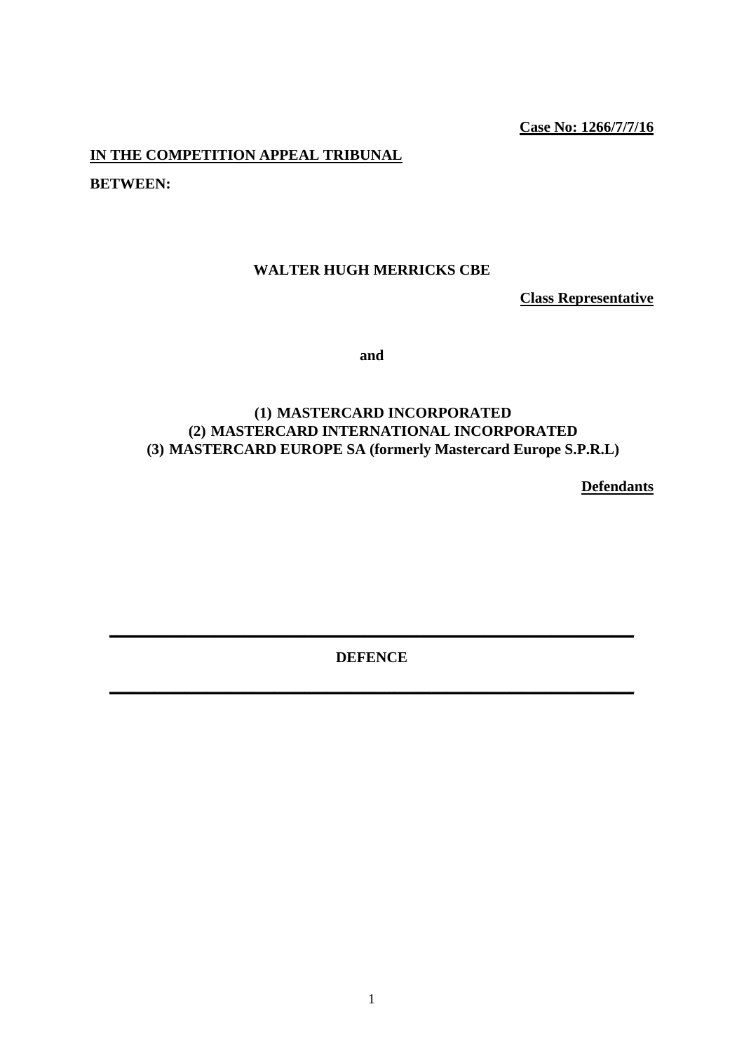# **Case No: 1266/7/7/16**

**IN THE COMPETITION APPEAL TRIBUNAL** 

**BETWEEN:** 

# **WALTER HUGH MERRICKS CBE**

**Class Representative** 

**and** 

# **(1) MASTERCARD INCORPORATED (2) MASTERCARD INTERNATIONAL INCORPORATED (3) MASTERCARD EUROPE SA (formerly Mastercard Europe S.P.R.L)**

**Defendants** 

**DEFENCE** 

**\_\_\_\_\_\_\_\_\_\_\_\_\_\_\_\_\_\_\_\_\_\_\_\_\_\_\_\_\_\_\_\_\_\_\_\_\_\_\_\_\_\_\_\_\_\_\_\_\_\_\_\_\_\_\_\_\_\_\_\_\_\_\_\_\_\_\_\_\_\_** 

**\_\_\_\_\_\_\_\_\_\_\_\_\_\_\_\_\_\_\_\_\_\_\_\_\_\_\_\_\_\_\_\_\_\_\_\_\_\_\_\_\_\_\_\_\_\_\_\_\_\_\_\_\_\_\_\_\_\_\_\_\_\_\_\_\_\_\_\_\_\_**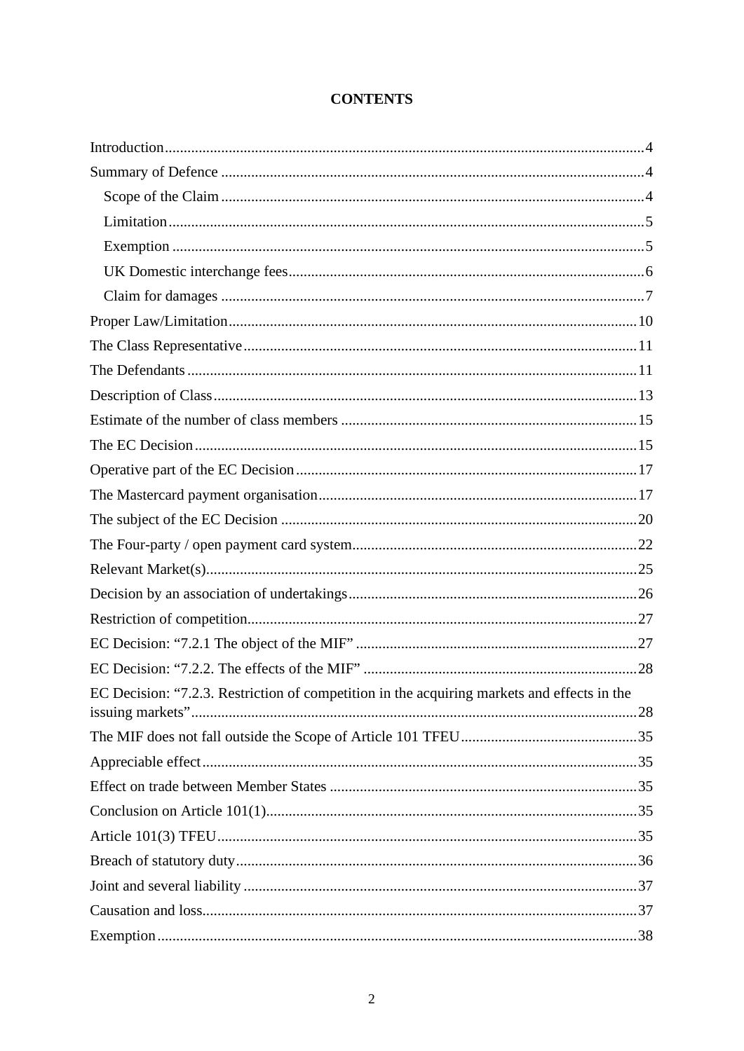# **CONTENTS**

| EC Decision: "7.2.3. Restriction of competition in the acquiring markets and effects in the |  |
|---------------------------------------------------------------------------------------------|--|
|                                                                                             |  |
|                                                                                             |  |
|                                                                                             |  |
|                                                                                             |  |
|                                                                                             |  |
|                                                                                             |  |
|                                                                                             |  |
|                                                                                             |  |
|                                                                                             |  |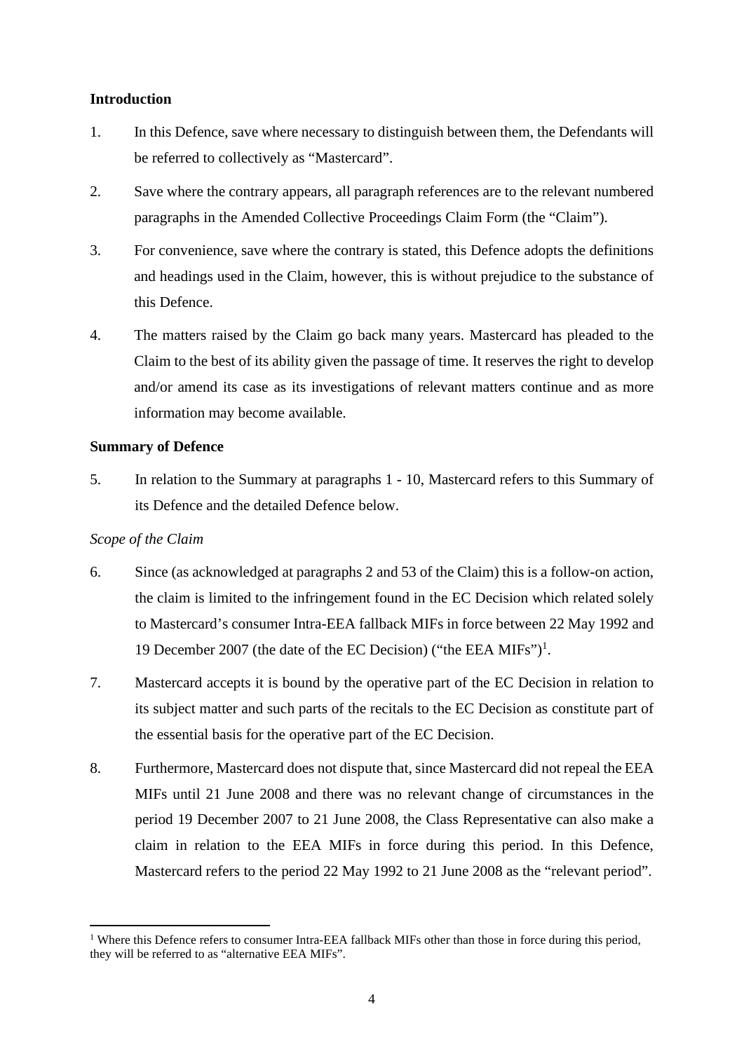# <span id="page-3-0"></span>**Introduction**

- 1. In this Defence, save where necessary to distinguish between them, the Defendants will be referred to collectively as "Mastercard".
- 2. Save where the contrary appears, all paragraph references are to the relevant numbered paragraphs in the Amended Collective Proceedings Claim Form (the "Claim").
- 3. For convenience, save where the contrary is stated, this Defence adopts the definitions and headings used in the Claim, however, this is without prejudice to the substance of this Defence.
- 4. The matters raised by the Claim go back many years. Mastercard has pleaded to the Claim to the best of its ability given the passage of time. It reserves the right to develop and/or amend its case as its investigations of relevant matters continue and as more information may become available.

# <span id="page-3-1"></span>**Summary of Defence**

5. In relation to the Summary at paragraphs 1 - 10, Mastercard refers to this Summary of its Defence and the detailed Defence below.

# <span id="page-3-2"></span>*Scope of the Claim*

- 6. Since (as acknowledged at paragraphs 2 and 53 of the Claim) this is a follow-on action, the claim is limited to the infringement found in the EC Decision which related solely to Mastercard's consumer Intra-EEA fallback MIFs in force between 22 May 1992 and 19 December 2007 (the date of the EC Decision) ("the EEA MIFs")<sup>1</sup>.
- 7. Mastercard accepts it is bound by the operative part of the EC Decision in relation to its subject matter and such parts of the recitals to the EC Decision as constitute part of the essential basis for the operative part of the EC Decision.
- 8. Furthermore, Mastercard does not dispute that, since Mastercard did not repeal the EEA MIFs until 21 June 2008 and there was no relevant change of circumstances in the period 19 December 2007 to 21 June 2008, the Class Representative can also make a claim in relation to the EEA MIFs in force during this period. In this Defence, Mastercard refers to the period 22 May 1992 to 21 June 2008 as the "relevant period".

<sup>&</sup>lt;sup>1</sup> Where this Defence refers to consumer Intra-EEA fallback MIFs other than those in force during this period, they will be referred to as "alternative EEA MIFs".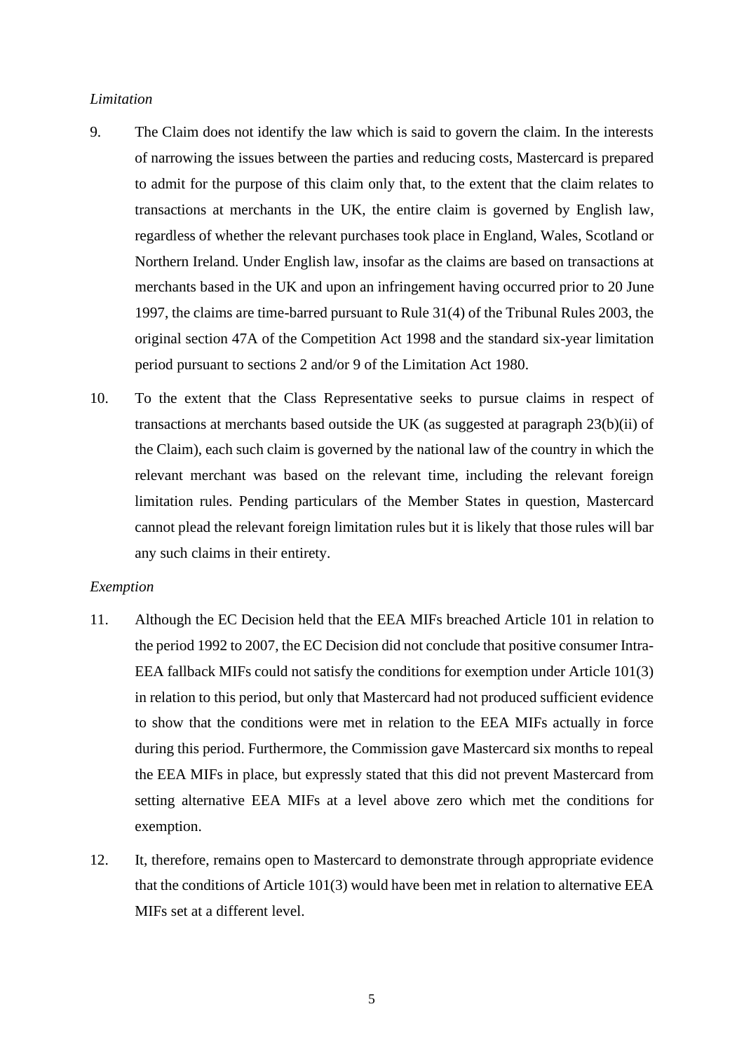#### <span id="page-4-0"></span>*Limitation*

- 9. The Claim does not identify the law which is said to govern the claim. In the interests of narrowing the issues between the parties and reducing costs, Mastercard is prepared to admit for the purpose of this claim only that, to the extent that the claim relates to transactions at merchants in the UK, the entire claim is governed by English law, regardless of whether the relevant purchases took place in England, Wales, Scotland or Northern Ireland. Under English law, insofar as the claims are based on transactions at merchants based in the UK and upon an infringement having occurred prior to 20 June 1997, the claims are time-barred pursuant to Rule 31(4) of the Tribunal Rules 2003, the original section 47A of the Competition Act 1998 and the standard six-year limitation period pursuant to sections 2 and/or 9 of the Limitation Act 1980.
- 10. To the extent that the Class Representative seeks to pursue claims in respect of transactions at merchants based outside the UK (as suggested at paragraph 23(b)(ii) of the Claim), each such claim is governed by the national law of the country in which the relevant merchant was based on the relevant time, including the relevant foreign limitation rules. Pending particulars of the Member States in question, Mastercard cannot plead the relevant foreign limitation rules but it is likely that those rules will bar any such claims in their entirety.

#### <span id="page-4-1"></span>*Exemption*

- 11. Although the EC Decision held that the EEA MIFs breached Article 101 in relation to the period 1992 to 2007, the EC Decision did not conclude that positive consumer Intra-EEA fallback MIFs could not satisfy the conditions for exemption under Article 101(3) in relation to this period, but only that Mastercard had not produced sufficient evidence to show that the conditions were met in relation to the EEA MIFs actually in force during this period. Furthermore, the Commission gave Mastercard six months to repeal the EEA MIFs in place, but expressly stated that this did not prevent Mastercard from setting alternative EEA MIFs at a level above zero which met the conditions for exemption.
- 12. It, therefore, remains open to Mastercard to demonstrate through appropriate evidence that the conditions of Article 101(3) would have been met in relation to alternative EEA MIFs set at a different level.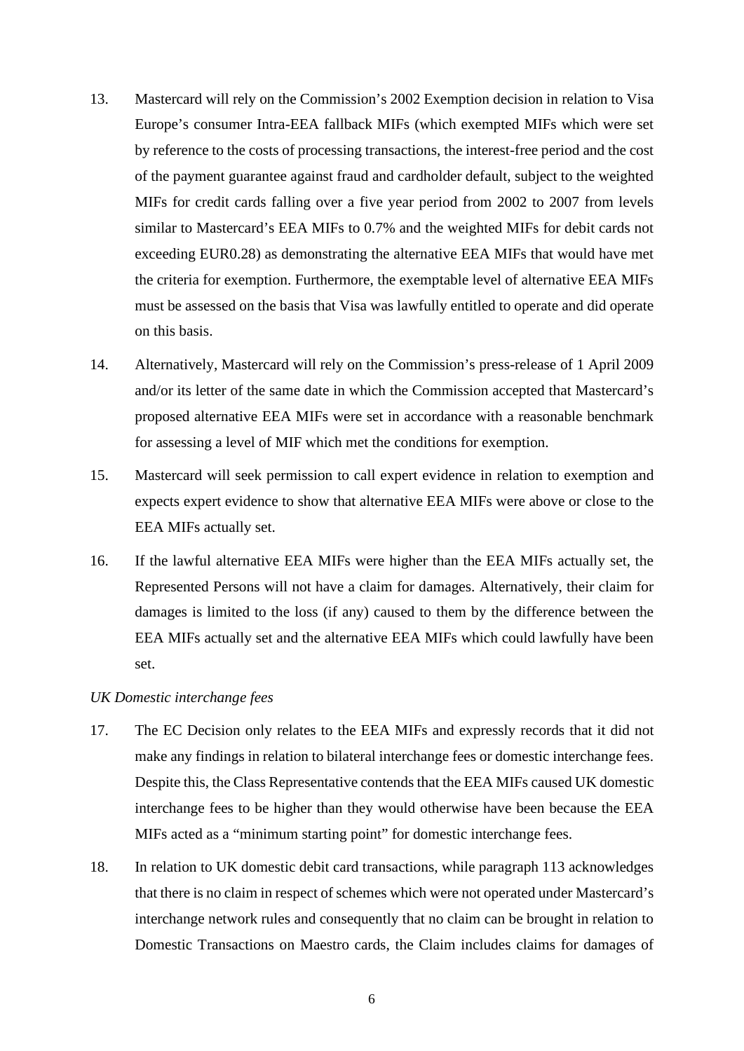- 13. Mastercard will rely on the Commission's 2002 Exemption decision in relation to Visa Europe's consumer Intra-EEA fallback MIFs (which exempted MIFs which were set by reference to the costs of processing transactions, the interest-free period and the cost of the payment guarantee against fraud and cardholder default, subject to the weighted MIFs for credit cards falling over a five year period from 2002 to 2007 from levels similar to Mastercard's EEA MIFs to 0.7% and the weighted MIFs for debit cards not exceeding EUR0.28) as demonstrating the alternative EEA MIFs that would have met the criteria for exemption. Furthermore, the exemptable level of alternative EEA MIFs must be assessed on the basis that Visa was lawfully entitled to operate and did operate on this basis.
- 14. Alternatively, Mastercard will rely on the Commission's press-release of 1 April 2009 and/or its letter of the same date in which the Commission accepted that Mastercard's proposed alternative EEA MIFs were set in accordance with a reasonable benchmark for assessing a level of MIF which met the conditions for exemption.
- 15. Mastercard will seek permission to call expert evidence in relation to exemption and expects expert evidence to show that alternative EEA MIFs were above or close to the EEA MIFs actually set.
- 16. If the lawful alternative EEA MIFs were higher than the EEA MIFs actually set, the Represented Persons will not have a claim for damages. Alternatively, their claim for damages is limited to the loss (if any) caused to them by the difference between the EEA MIFs actually set and the alternative EEA MIFs which could lawfully have been set.

#### <span id="page-5-0"></span>*UK Domestic interchange fees*

- 17. The EC Decision only relates to the EEA MIFs and expressly records that it did not make any findings in relation to bilateral interchange fees or domestic interchange fees. Despite this, the Class Representative contends that the EEA MIFs caused UK domestic interchange fees to be higher than they would otherwise have been because the EEA MIFs acted as a "minimum starting point" for domestic interchange fees.
- 18. In relation to UK domestic debit card transactions, while paragraph 113 acknowledges that there is no claim in respect of schemes which were not operated under Mastercard's interchange network rules and consequently that no claim can be brought in relation to Domestic Transactions on Maestro cards, the Claim includes claims for damages of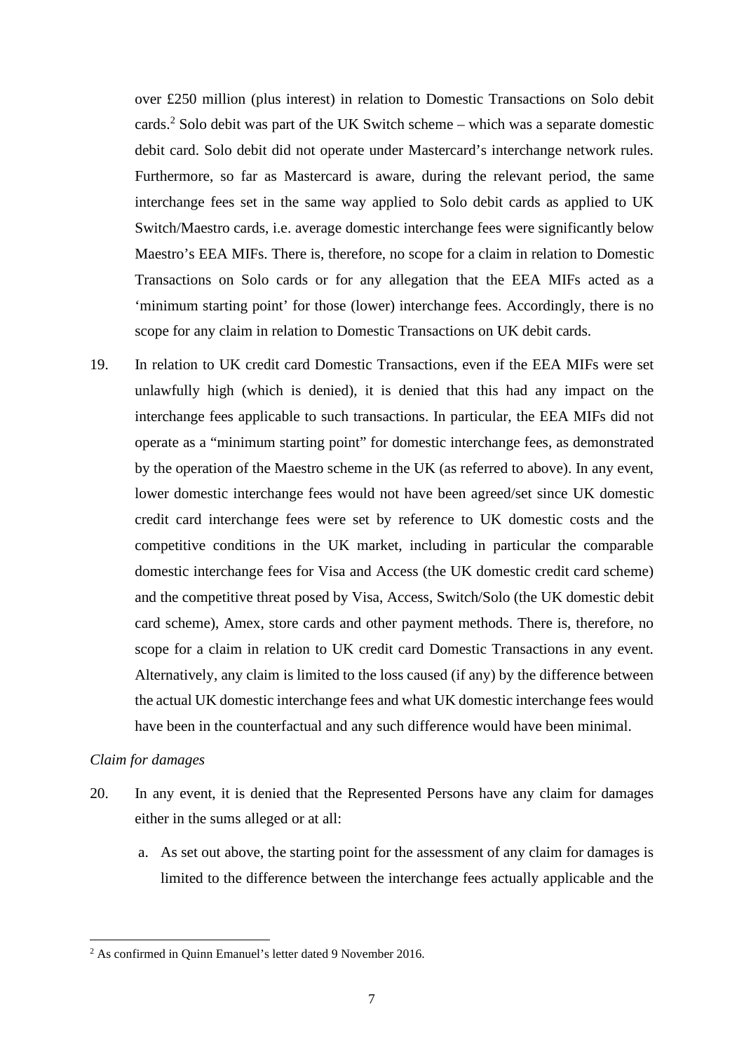over £250 million (plus interest) in relation to Domestic Transactions on Solo debit cards.<sup>2</sup> Solo debit was part of the UK Switch scheme – which was a separate domestic debit card. Solo debit did not operate under Mastercard's interchange network rules. Furthermore, so far as Mastercard is aware, during the relevant period, the same interchange fees set in the same way applied to Solo debit cards as applied to UK Switch/Maestro cards, i.e. average domestic interchange fees were significantly below Maestro's EEA MIFs. There is, therefore, no scope for a claim in relation to Domestic Transactions on Solo cards or for any allegation that the EEA MIFs acted as a 'minimum starting point' for those (lower) interchange fees. Accordingly, there is no scope for any claim in relation to Domestic Transactions on UK debit cards.

19. In relation to UK credit card Domestic Transactions, even if the EEA MIFs were set unlawfully high (which is denied), it is denied that this had any impact on the interchange fees applicable to such transactions. In particular, the EEA MIFs did not operate as a "minimum starting point" for domestic interchange fees, as demonstrated by the operation of the Maestro scheme in the UK (as referred to above). In any event, lower domestic interchange fees would not have been agreed/set since UK domestic credit card interchange fees were set by reference to UK domestic costs and the competitive conditions in the UK market, including in particular the comparable domestic interchange fees for Visa and Access (the UK domestic credit card scheme) and the competitive threat posed by Visa, Access, Switch/Solo (the UK domestic debit card scheme), Amex, store cards and other payment methods. There is, therefore, no scope for a claim in relation to UK credit card Domestic Transactions in any event. Alternatively, any claim is limited to the loss caused (if any) by the difference between the actual UK domestic interchange fees and what UK domestic interchange fees would have been in the counterfactual and any such difference would have been minimal.

## <span id="page-6-0"></span>*Claim for damages*

- 20. In any event, it is denied that the Represented Persons have any claim for damages either in the sums alleged or at all:
	- a. As set out above, the starting point for the assessment of any claim for damages is limited to the difference between the interchange fees actually applicable and the

<sup>&</sup>lt;sup>2</sup> As confirmed in Quinn Emanuel's letter dated 9 November 2016.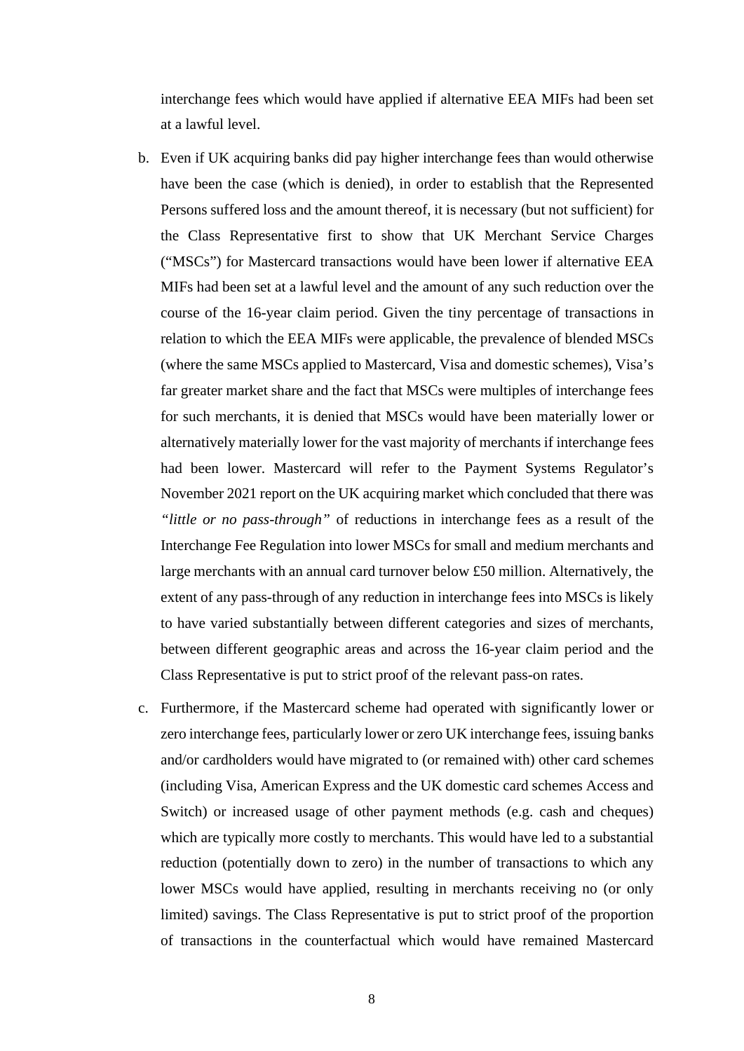interchange fees which would have applied if alternative EEA MIFs had been set at a lawful level.

- b. Even if UK acquiring banks did pay higher interchange fees than would otherwise have been the case (which is denied), in order to establish that the Represented Persons suffered loss and the amount thereof, it is necessary (but not sufficient) for the Class Representative first to show that UK Merchant Service Charges ("MSCs") for Mastercard transactions would have been lower if alternative EEA MIFs had been set at a lawful level and the amount of any such reduction over the course of the 16-year claim period. Given the tiny percentage of transactions in relation to which the EEA MIFs were applicable, the prevalence of blended MSCs (where the same MSCs applied to Mastercard, Visa and domestic schemes), Visa's far greater market share and the fact that MSCs were multiples of interchange fees for such merchants, it is denied that MSCs would have been materially lower or alternatively materially lower for the vast majority of merchants if interchange fees had been lower. Mastercard will refer to the Payment Systems Regulator's November 2021 report on the UK acquiring market which concluded that there was *"little or no pass-through"* of reductions in interchange fees as a result of the Interchange Fee Regulation into lower MSCs for small and medium merchants and large merchants with an annual card turnover below £50 million. Alternatively, the extent of any pass-through of any reduction in interchange fees into MSCs is likely to have varied substantially between different categories and sizes of merchants, between different geographic areas and across the 16-year claim period and the Class Representative is put to strict proof of the relevant pass-on rates.
- c. Furthermore, if the Mastercard scheme had operated with significantly lower or zero interchange fees, particularly lower or zero UK interchange fees, issuing banks and/or cardholders would have migrated to (or remained with) other card schemes (including Visa, American Express and the UK domestic card schemes Access and Switch) or increased usage of other payment methods (e.g. cash and cheques) which are typically more costly to merchants. This would have led to a substantial reduction (potentially down to zero) in the number of transactions to which any lower MSCs would have applied, resulting in merchants receiving no (or only limited) savings. The Class Representative is put to strict proof of the proportion of transactions in the counterfactual which would have remained Mastercard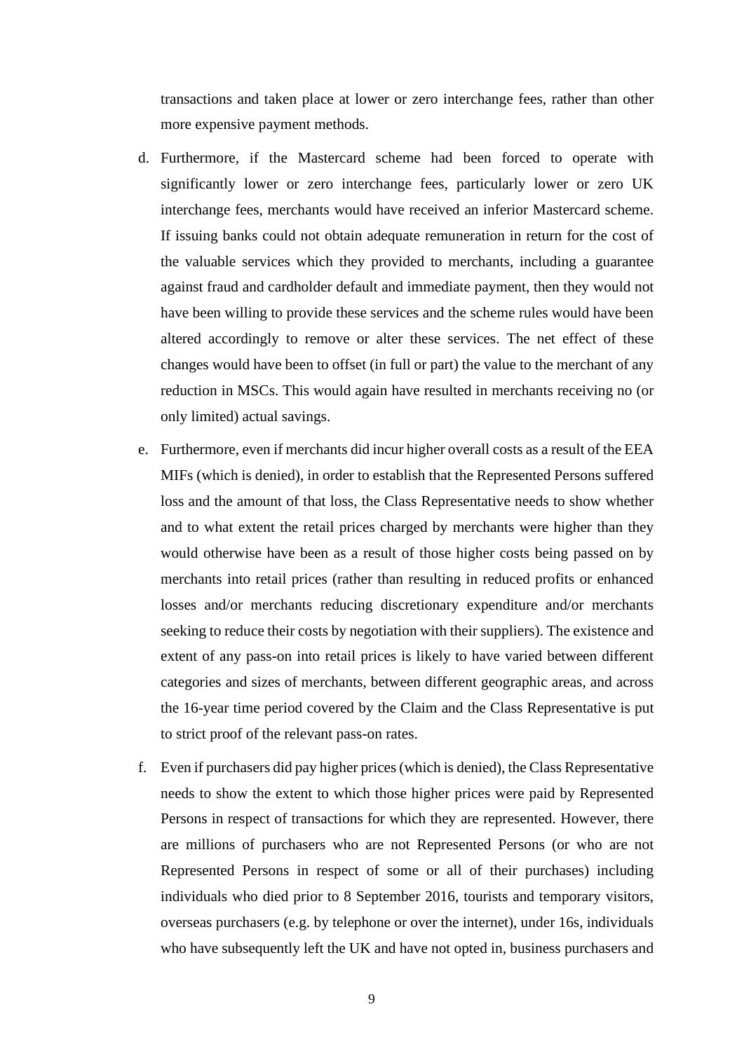transactions and taken place at lower or zero interchange fees, rather than other more expensive payment methods.

- d. Furthermore, if the Mastercard scheme had been forced to operate with significantly lower or zero interchange fees, particularly lower or zero UK interchange fees, merchants would have received an inferior Mastercard scheme. If issuing banks could not obtain adequate remuneration in return for the cost of the valuable services which they provided to merchants, including a guarantee against fraud and cardholder default and immediate payment, then they would not have been willing to provide these services and the scheme rules would have been altered accordingly to remove or alter these services. The net effect of these changes would have been to offset (in full or part) the value to the merchant of any reduction in MSCs. This would again have resulted in merchants receiving no (or only limited) actual savings.
- e. Furthermore, even if merchants did incur higher overall costs as a result of the EEA MIFs (which is denied), in order to establish that the Represented Persons suffered loss and the amount of that loss, the Class Representative needs to show whether and to what extent the retail prices charged by merchants were higher than they would otherwise have been as a result of those higher costs being passed on by merchants into retail prices (rather than resulting in reduced profits or enhanced losses and/or merchants reducing discretionary expenditure and/or merchants seeking to reduce their costs by negotiation with their suppliers). The existence and extent of any pass-on into retail prices is likely to have varied between different categories and sizes of merchants, between different geographic areas, and across the 16-year time period covered by the Claim and the Class Representative is put to strict proof of the relevant pass-on rates.
- f. Even if purchasers did pay higher prices (which is denied), the Class Representative needs to show the extent to which those higher prices were paid by Represented Persons in respect of transactions for which they are represented. However, there are millions of purchasers who are not Represented Persons (or who are not Represented Persons in respect of some or all of their purchases) including individuals who died prior to 8 September 2016, tourists and temporary visitors, overseas purchasers (e.g. by telephone or over the internet), under 16s, individuals who have subsequently left the UK and have not opted in, business purchasers and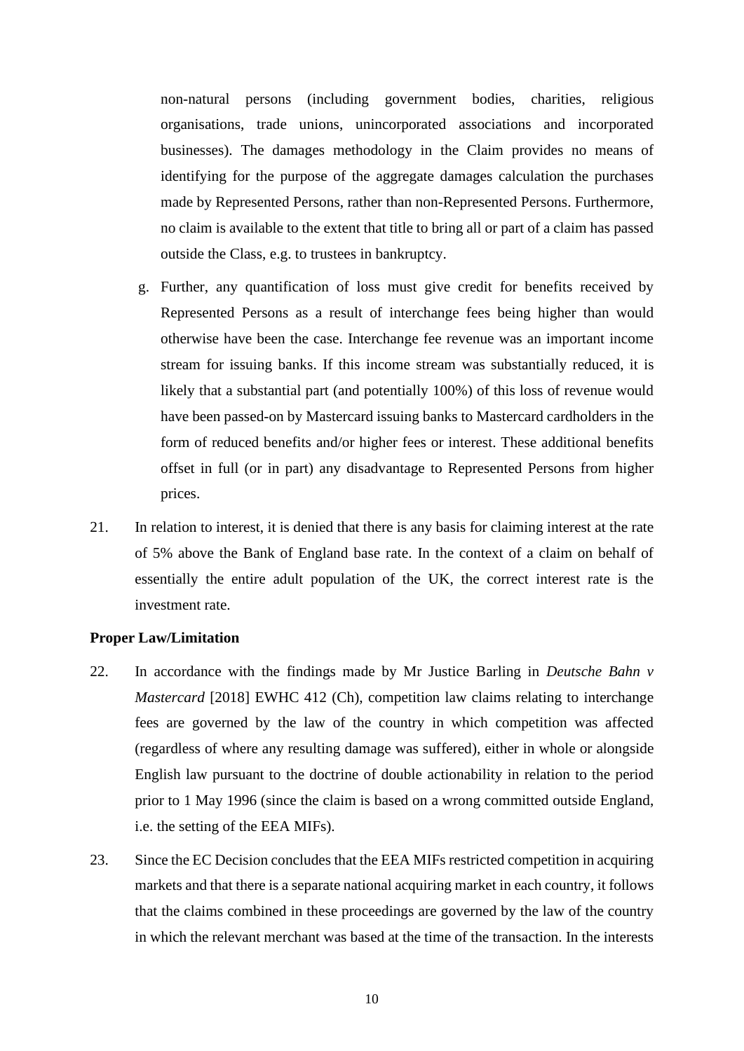non-natural persons (including government bodies, charities, religious organisations, trade unions, unincorporated associations and incorporated businesses). The damages methodology in the Claim provides no means of identifying for the purpose of the aggregate damages calculation the purchases made by Represented Persons, rather than non-Represented Persons. Furthermore, no claim is available to the extent that title to bring all or part of a claim has passed outside the Class, e.g. to trustees in bankruptcy.

- g. Further, any quantification of loss must give credit for benefits received by Represented Persons as a result of interchange fees being higher than would otherwise have been the case. Interchange fee revenue was an important income stream for issuing banks. If this income stream was substantially reduced, it is likely that a substantial part (and potentially 100%) of this loss of revenue would have been passed-on by Mastercard issuing banks to Mastercard cardholders in the form of reduced benefits and/or higher fees or interest. These additional benefits offset in full (or in part) any disadvantage to Represented Persons from higher prices.
- 21. In relation to interest, it is denied that there is any basis for claiming interest at the rate of 5% above the Bank of England base rate. In the context of a claim on behalf of essentially the entire adult population of the UK, the correct interest rate is the investment rate.

#### <span id="page-9-0"></span>**Proper Law/Limitation**

- 22. In accordance with the findings made by Mr Justice Barling in *Deutsche Bahn v Mastercard* [2018] EWHC 412 (Ch), competition law claims relating to interchange fees are governed by the law of the country in which competition was affected (regardless of where any resulting damage was suffered), either in whole or alongside English law pursuant to the doctrine of double actionability in relation to the period prior to 1 May 1996 (since the claim is based on a wrong committed outside England, i.e. the setting of the EEA MIFs).
- 23. Since the EC Decision concludes that the EEA MIFs restricted competition in acquiring markets and that there is a separate national acquiring market in each country, it follows that the claims combined in these proceedings are governed by the law of the country in which the relevant merchant was based at the time of the transaction. In the interests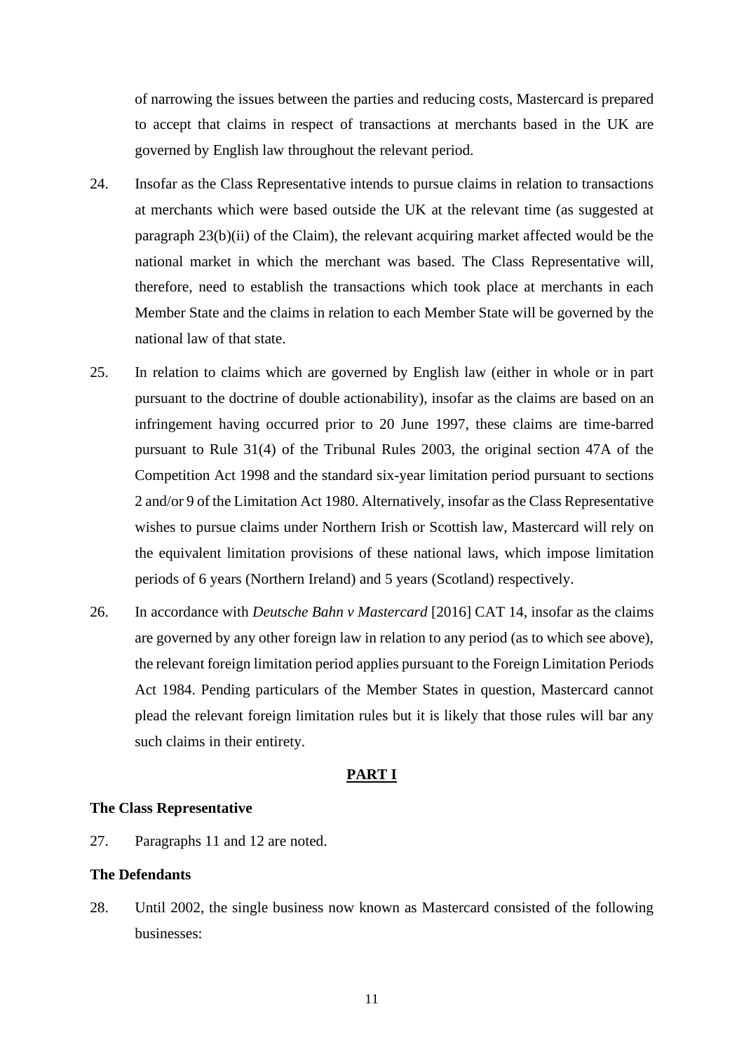of narrowing the issues between the parties and reducing costs, Mastercard is prepared to accept that claims in respect of transactions at merchants based in the UK are governed by English law throughout the relevant period.

- 24. Insofar as the Class Representative intends to pursue claims in relation to transactions at merchants which were based outside the UK at the relevant time (as suggested at paragraph 23(b)(ii) of the Claim), the relevant acquiring market affected would be the national market in which the merchant was based. The Class Representative will, therefore, need to establish the transactions which took place at merchants in each Member State and the claims in relation to each Member State will be governed by the national law of that state.
- 25. In relation to claims which are governed by English law (either in whole or in part pursuant to the doctrine of double actionability), insofar as the claims are based on an infringement having occurred prior to 20 June 1997, these claims are time-barred pursuant to Rule 31(4) of the Tribunal Rules 2003, the original section 47A of the Competition Act 1998 and the standard six-year limitation period pursuant to sections 2 and/or 9 of the Limitation Act 1980. Alternatively, insofar as the Class Representative wishes to pursue claims under Northern Irish or Scottish law, Mastercard will rely on the equivalent limitation provisions of these national laws, which impose limitation periods of 6 years (Northern Ireland) and 5 years (Scotland) respectively.
- 26. In accordance with *Deutsche Bahn v Mastercard* [2016] CAT 14, insofar as the claims are governed by any other foreign law in relation to any period (as to which see above), the relevant foreign limitation period applies pursuant to the Foreign Limitation Periods Act 1984. Pending particulars of the Member States in question, Mastercard cannot plead the relevant foreign limitation rules but it is likely that those rules will bar any such claims in their entirety.

## **PART I**

#### <span id="page-10-0"></span>**The Class Representative**

27. Paragraphs 11 and 12 are noted.

## <span id="page-10-1"></span>**The Defendants**

28. Until 2002, the single business now known as Mastercard consisted of the following businesses: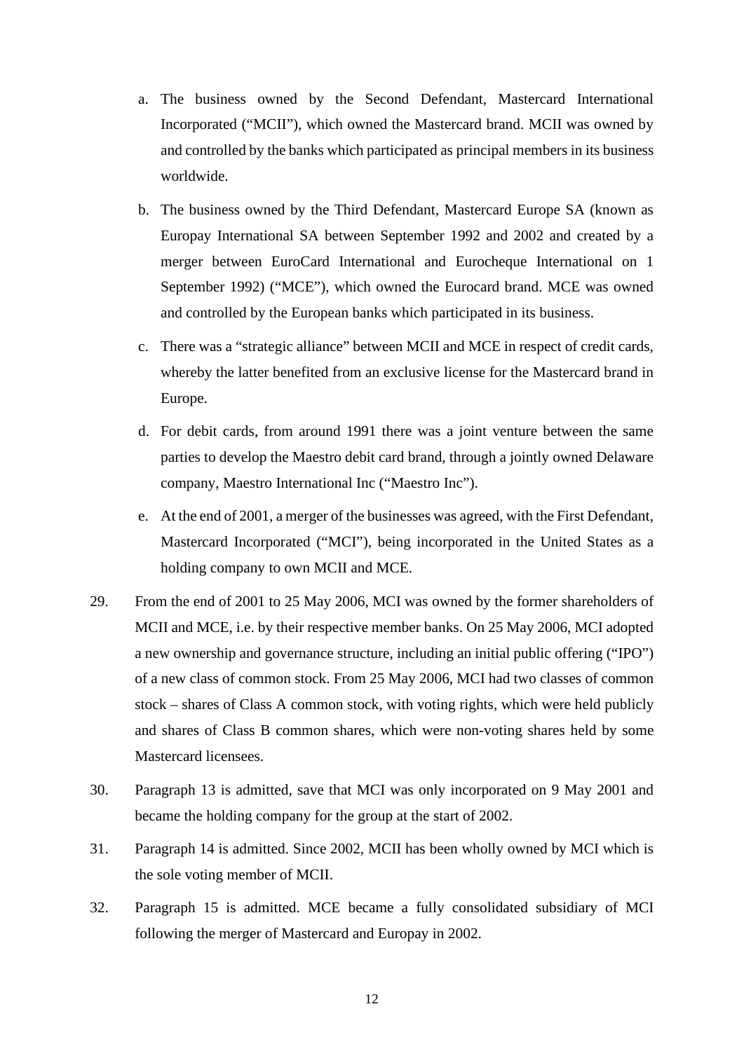- a. The business owned by the Second Defendant, Mastercard International Incorporated ("MCII"), which owned the Mastercard brand. MCII was owned by and controlled by the banks which participated as principal members in its business worldwide.
- b. The business owned by the Third Defendant, Mastercard Europe SA (known as Europay International SA between September 1992 and 2002 and created by a merger between EuroCard International and Eurocheque International on 1 September 1992) ("MCE"), which owned the Eurocard brand. MCE was owned and controlled by the European banks which participated in its business.
- c. There was a "strategic alliance" between MCII and MCE in respect of credit cards, whereby the latter benefited from an exclusive license for the Mastercard brand in Europe.
- d. For debit cards, from around 1991 there was a joint venture between the same parties to develop the Maestro debit card brand, through a jointly owned Delaware company, Maestro International Inc ("Maestro Inc").
- e. At the end of 2001, a merger of the businesses was agreed, with the First Defendant, Mastercard Incorporated ("MCI"), being incorporated in the United States as a holding company to own MCII and MCE.
- 29. From the end of 2001 to 25 May 2006, MCI was owned by the former shareholders of MCII and MCE, i.e. by their respective member banks. On 25 May 2006, MCI adopted a new ownership and governance structure, including an initial public offering ("IPO") of a new class of common stock. From 25 May 2006, MCI had two classes of common stock – shares of Class A common stock, with voting rights, which were held publicly and shares of Class B common shares, which were non-voting shares held by some Mastercard licensees.
- 30. Paragraph 13 is admitted, save that MCI was only incorporated on 9 May 2001 and became the holding company for the group at the start of 2002.
- 31. Paragraph 14 is admitted. Since 2002, MCII has been wholly owned by MCI which is the sole voting member of MCII.
- 32. Paragraph 15 is admitted. MCE became a fully consolidated subsidiary of MCI following the merger of Mastercard and Europay in 2002.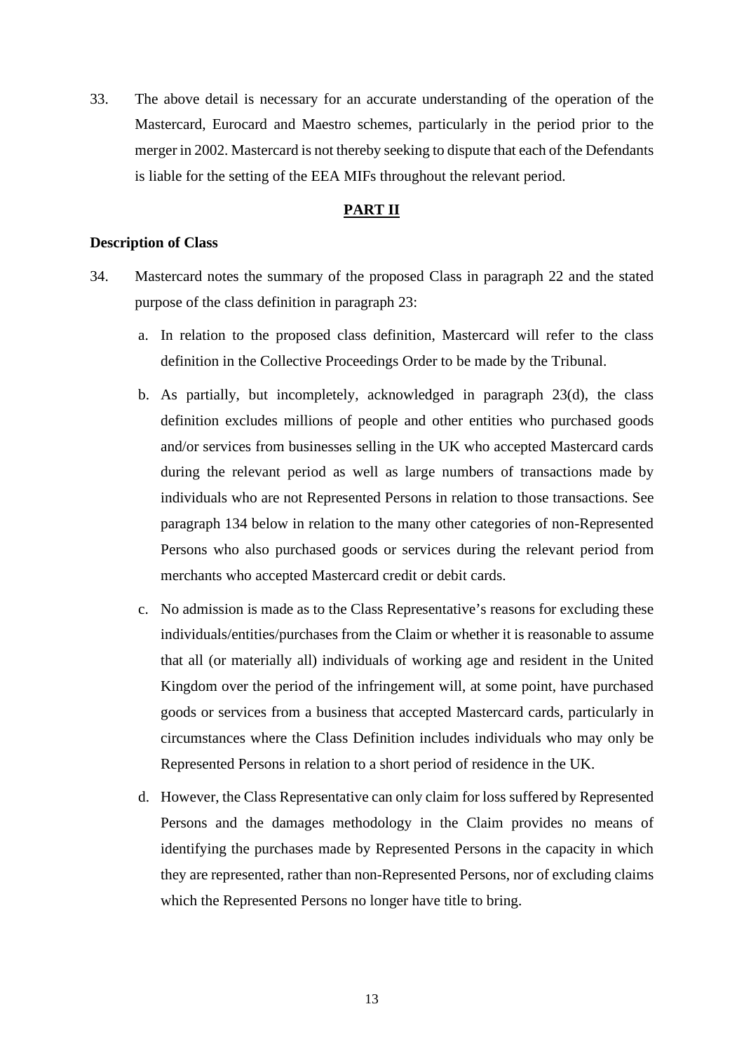33. The above detail is necessary for an accurate understanding of the operation of the Mastercard, Eurocard and Maestro schemes, particularly in the period prior to the merger in 2002. Mastercard is not thereby seeking to dispute that each of the Defendants is liable for the setting of the EEA MIFs throughout the relevant period.

## **PART II**

#### <span id="page-12-0"></span>**Description of Class**

- 34. Mastercard notes the summary of the proposed Class in paragraph 22 and the stated purpose of the class definition in paragraph 23:
	- a. In relation to the proposed class definition, Mastercard will refer to the class definition in the Collective Proceedings Order to be made by the Tribunal.
	- b. As partially, but incompletely, acknowledged in paragraph 23(d), the class definition excludes millions of people and other entities who purchased goods and/or services from businesses selling in the UK who accepted Mastercard cards during the relevant period as well as large numbers of transactions made by individuals who are not Represented Persons in relation to those transactions. See paragraph 134 below in relation to the many other categories of non-Represented Persons who also purchased goods or services during the relevant period from merchants who accepted Mastercard credit or debit cards.
	- c. No admission is made as to the Class Representative's reasons for excluding these individuals/entities/purchases from the Claim or whether it is reasonable to assume that all (or materially all) individuals of working age and resident in the United Kingdom over the period of the infringement will, at some point, have purchased goods or services from a business that accepted Mastercard cards, particularly in circumstances where the Class Definition includes individuals who may only be Represented Persons in relation to a short period of residence in the UK.
	- d. However, the Class Representative can only claim for loss suffered by Represented Persons and the damages methodology in the Claim provides no means of identifying the purchases made by Represented Persons in the capacity in which they are represented, rather than non-Represented Persons, nor of excluding claims which the Represented Persons no longer have title to bring.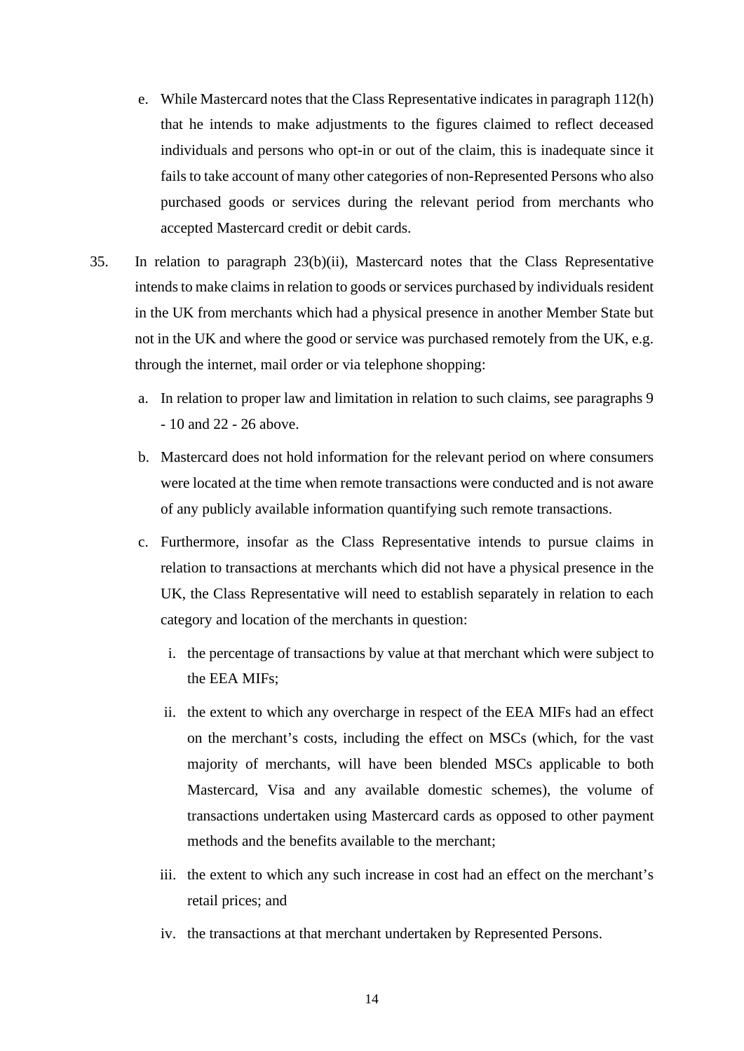- e. While Mastercard notes that the Class Representative indicates in paragraph 112(h) that he intends to make adjustments to the figures claimed to reflect deceased individuals and persons who opt-in or out of the claim, this is inadequate since it fails to take account of many other categories of non-Represented Persons who also purchased goods or services during the relevant period from merchants who accepted Mastercard credit or debit cards.
- 35. In relation to paragraph 23(b)(ii), Mastercard notes that the Class Representative intends to make claims in relation to goods or services purchased by individuals resident in the UK from merchants which had a physical presence in another Member State but not in the UK and where the good or service was purchased remotely from the UK, e.g. through the internet, mail order or via telephone shopping:
	- a. In relation to proper law and limitation in relation to such claims, see paragraphs 9 - 10 and 22 - 26 above.
	- b. Mastercard does not hold information for the relevant period on where consumers were located at the time when remote transactions were conducted and is not aware of any publicly available information quantifying such remote transactions.
	- c. Furthermore, insofar as the Class Representative intends to pursue claims in relation to transactions at merchants which did not have a physical presence in the UK, the Class Representative will need to establish separately in relation to each category and location of the merchants in question:
		- i. the percentage of transactions by value at that merchant which were subject to the EEA MIFs;
		- ii. the extent to which any overcharge in respect of the EEA MIFs had an effect on the merchant's costs, including the effect on MSCs (which, for the vast majority of merchants, will have been blended MSCs applicable to both Mastercard, Visa and any available domestic schemes), the volume of transactions undertaken using Mastercard cards as opposed to other payment methods and the benefits available to the merchant;
		- iii. the extent to which any such increase in cost had an effect on the merchant's retail prices; and
		- iv. the transactions at that merchant undertaken by Represented Persons.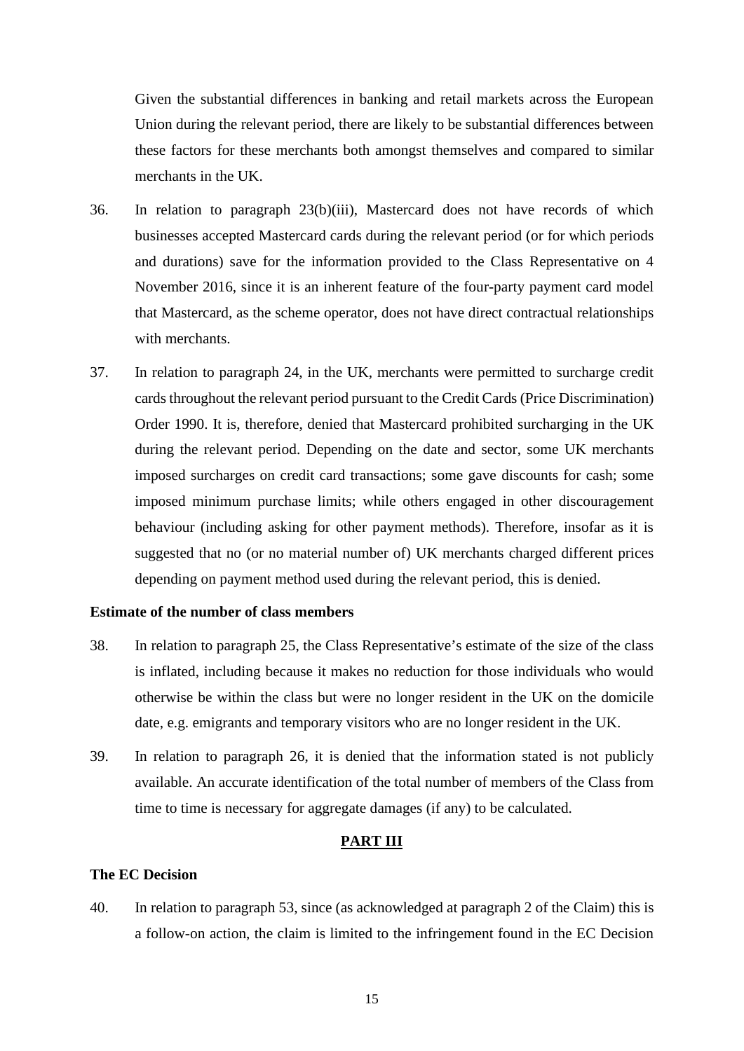Given the substantial differences in banking and retail markets across the European Union during the relevant period, there are likely to be substantial differences between these factors for these merchants both amongst themselves and compared to similar merchants in the UK.

- 36. In relation to paragraph 23(b)(iii), Mastercard does not have records of which businesses accepted Mastercard cards during the relevant period (or for which periods and durations) save for the information provided to the Class Representative on 4 November 2016, since it is an inherent feature of the four-party payment card model that Mastercard, as the scheme operator, does not have direct contractual relationships with merchants.
- 37. In relation to paragraph 24, in the UK, merchants were permitted to surcharge credit cards throughout the relevant period pursuant to the Credit Cards (Price Discrimination) Order 1990. It is, therefore, denied that Mastercard prohibited surcharging in the UK during the relevant period. Depending on the date and sector, some UK merchants imposed surcharges on credit card transactions; some gave discounts for cash; some imposed minimum purchase limits; while others engaged in other discouragement behaviour (including asking for other payment methods). Therefore, insofar as it is suggested that no (or no material number of) UK merchants charged different prices depending on payment method used during the relevant period, this is denied.

## <span id="page-14-0"></span>**Estimate of the number of class members**

- 38. In relation to paragraph 25, the Class Representative's estimate of the size of the class is inflated, including because it makes no reduction for those individuals who would otherwise be within the class but were no longer resident in the UK on the domicile date, e.g. emigrants and temporary visitors who are no longer resident in the UK.
- 39. In relation to paragraph 26, it is denied that the information stated is not publicly available. An accurate identification of the total number of members of the Class from time to time is necessary for aggregate damages (if any) to be calculated.

## **PART III**

## <span id="page-14-1"></span>**The EC Decision**

40. In relation to paragraph 53, since (as acknowledged at paragraph 2 of the Claim) this is a follow-on action, the claim is limited to the infringement found in the EC Decision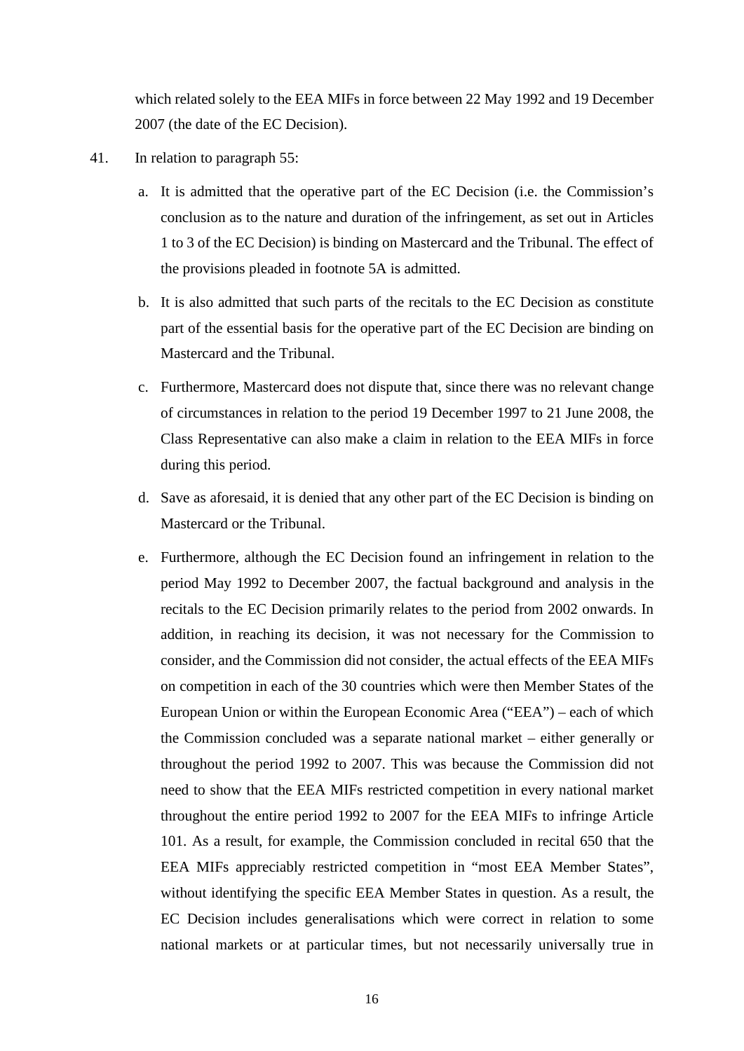which related solely to the EEA MIFs in force between 22 May 1992 and 19 December 2007 (the date of the EC Decision).

- 41. In relation to paragraph 55:
	- a. It is admitted that the operative part of the EC Decision (i.e. the Commission's conclusion as to the nature and duration of the infringement, as set out in Articles 1 to 3 of the EC Decision) is binding on Mastercard and the Tribunal. The effect of the provisions pleaded in footnote 5A is admitted.
	- b. It is also admitted that such parts of the recitals to the EC Decision as constitute part of the essential basis for the operative part of the EC Decision are binding on Mastercard and the Tribunal.
	- c. Furthermore, Mastercard does not dispute that, since there was no relevant change of circumstances in relation to the period 19 December 1997 to 21 June 2008, the Class Representative can also make a claim in relation to the EEA MIFs in force during this period.
	- d. Save as aforesaid, it is denied that any other part of the EC Decision is binding on Mastercard or the Tribunal.
	- e. Furthermore, although the EC Decision found an infringement in relation to the period May 1992 to December 2007, the factual background and analysis in the recitals to the EC Decision primarily relates to the period from 2002 onwards. In addition, in reaching its decision, it was not necessary for the Commission to consider, and the Commission did not consider, the actual effects of the EEA MIFs on competition in each of the 30 countries which were then Member States of the European Union or within the European Economic Area ("EEA") – each of which the Commission concluded was a separate national market – either generally or throughout the period 1992 to 2007. This was because the Commission did not need to show that the EEA MIFs restricted competition in every national market throughout the entire period 1992 to 2007 for the EEA MIFs to infringe Article 101. As a result, for example, the Commission concluded in recital 650 that the EEA MIFs appreciably restricted competition in "most EEA Member States", without identifying the specific EEA Member States in question. As a result, the EC Decision includes generalisations which were correct in relation to some national markets or at particular times, but not necessarily universally true in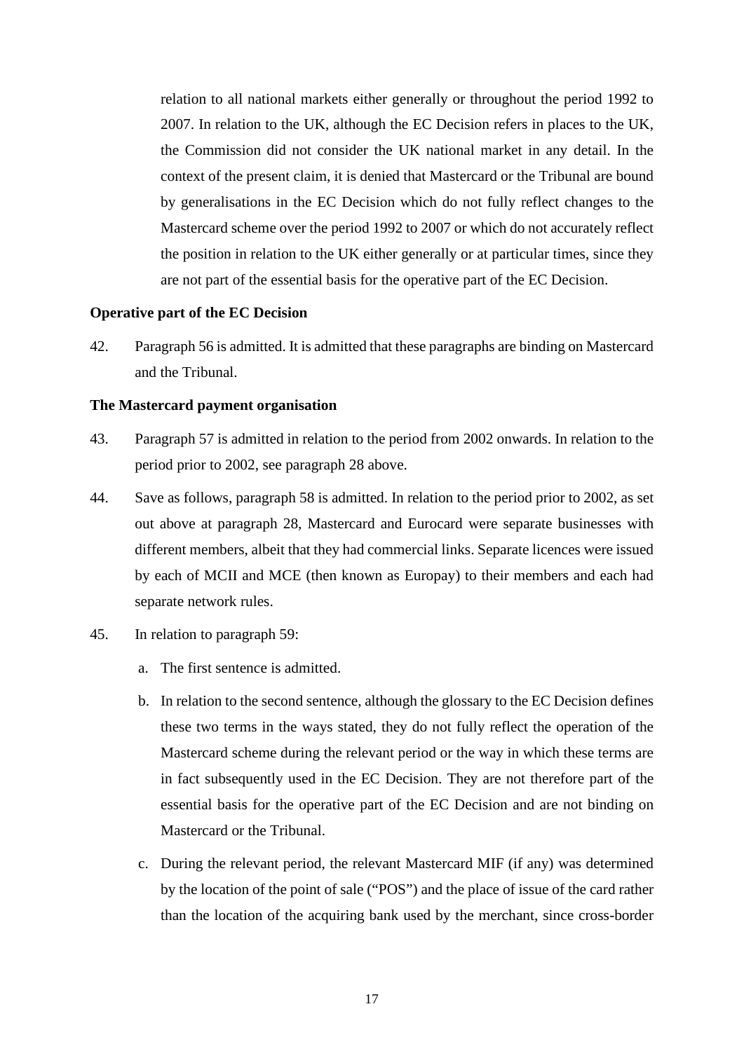relation to all national markets either generally or throughout the period 1992 to 2007. In relation to the UK, although the EC Decision refers in places to the UK, the Commission did not consider the UK national market in any detail. In the context of the present claim, it is denied that Mastercard or the Tribunal are bound by generalisations in the EC Decision which do not fully reflect changes to the Mastercard scheme over the period 1992 to 2007 or which do not accurately reflect the position in relation to the UK either generally or at particular times, since they are not part of the essential basis for the operative part of the EC Decision.

#### <span id="page-16-0"></span>**Operative part of the EC Decision**

42. Paragraph 56 is admitted. It is admitted that these paragraphs are binding on Mastercard and the Tribunal.

#### <span id="page-16-1"></span>**The Mastercard payment organisation**

- 43. Paragraph 57 is admitted in relation to the period from 2002 onwards. In relation to the period prior to 2002, see paragraph 28 above.
- 44. Save as follows, paragraph 58 is admitted. In relation to the period prior to 2002, as set out above at paragraph 28, Mastercard and Eurocard were separate businesses with different members, albeit that they had commercial links. Separate licences were issued by each of MCII and MCE (then known as Europay) to their members and each had separate network rules.
- 45. In relation to paragraph 59:
	- a. The first sentence is admitted.
	- b. In relation to the second sentence, although the glossary to the EC Decision defines these two terms in the ways stated, they do not fully reflect the operation of the Mastercard scheme during the relevant period or the way in which these terms are in fact subsequently used in the EC Decision. They are not therefore part of the essential basis for the operative part of the EC Decision and are not binding on Mastercard or the Tribunal.
	- c. During the relevant period, the relevant Mastercard MIF (if any) was determined by the location of the point of sale ("POS") and the place of issue of the card rather than the location of the acquiring bank used by the merchant, since cross-border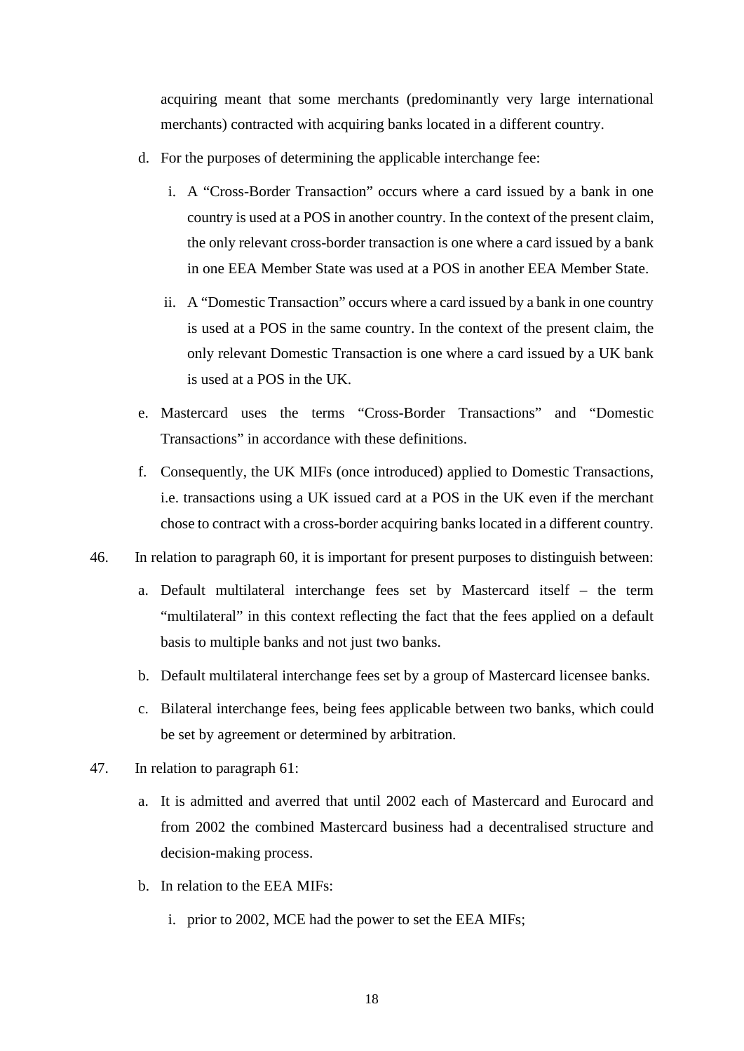acquiring meant that some merchants (predominantly very large international merchants) contracted with acquiring banks located in a different country.

- d. For the purposes of determining the applicable interchange fee:
	- i. A "Cross-Border Transaction" occurs where a card issued by a bank in one country is used at a POS in another country. In the context of the present claim, the only relevant cross-border transaction is one where a card issued by a bank in one EEA Member State was used at a POS in another EEA Member State.
	- ii. A "Domestic Transaction" occurs where a card issued by a bank in one country is used at a POS in the same country. In the context of the present claim, the only relevant Domestic Transaction is one where a card issued by a UK bank is used at a POS in the UK.
- e. Mastercard uses the terms "Cross-Border Transactions" and "Domestic Transactions" in accordance with these definitions.
- f. Consequently, the UK MIFs (once introduced) applied to Domestic Transactions, i.e. transactions using a UK issued card at a POS in the UK even if the merchant chose to contract with a cross-border acquiring banks located in a different country.
- 46. In relation to paragraph 60, it is important for present purposes to distinguish between:
	- a. Default multilateral interchange fees set by Mastercard itself the term "multilateral" in this context reflecting the fact that the fees applied on a default basis to multiple banks and not just two banks.
	- b. Default multilateral interchange fees set by a group of Mastercard licensee banks.
	- c. Bilateral interchange fees, being fees applicable between two banks, which could be set by agreement or determined by arbitration.
- 47. In relation to paragraph 61:
	- a. It is admitted and averred that until 2002 each of Mastercard and Eurocard and from 2002 the combined Mastercard business had a decentralised structure and decision-making process.
	- b. In relation to the EEA MIFs:
		- i. prior to 2002, MCE had the power to set the EEA MIFs;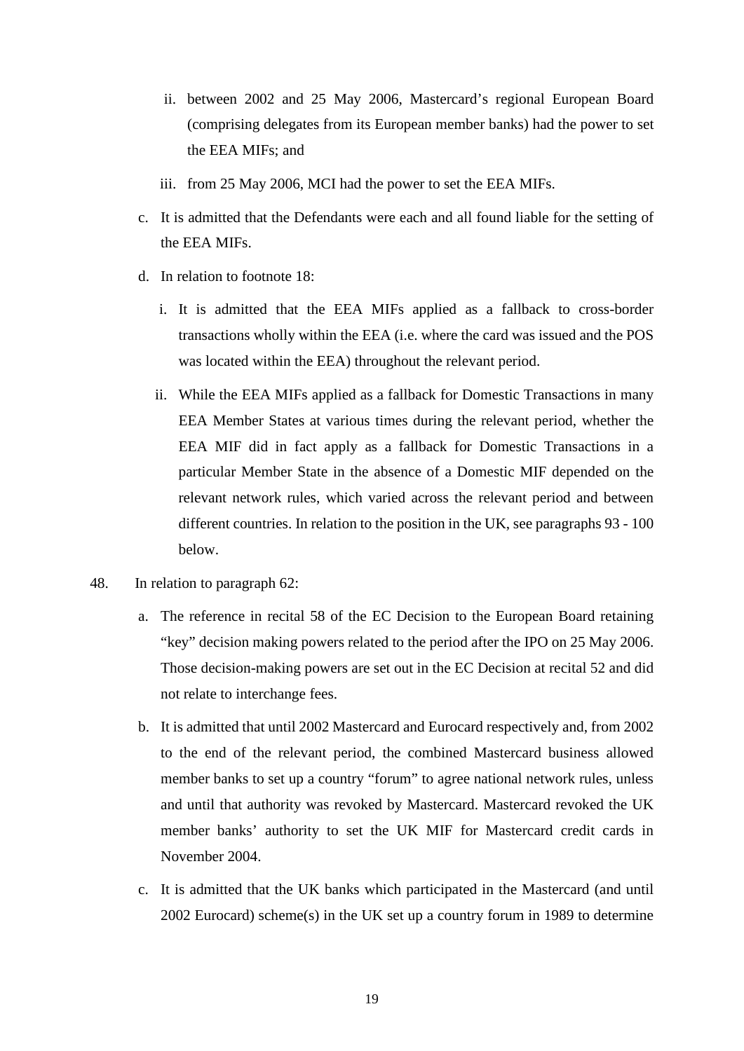- ii. between 2002 and 25 May 2006, Mastercard's regional European Board (comprising delegates from its European member banks) had the power to set the EEA MIFs; and
- iii. from 25 May 2006, MCI had the power to set the EEA MIFs.
- c. It is admitted that the Defendants were each and all found liable for the setting of the EEA MIFs.
- d. In relation to footnote 18:
	- i. It is admitted that the EEA MIFs applied as a fallback to cross-border transactions wholly within the EEA (i.e. where the card was issued and the POS was located within the EEA) throughout the relevant period.
	- ii. While the EEA MIFs applied as a fallback for Domestic Transactions in many EEA Member States at various times during the relevant period, whether the EEA MIF did in fact apply as a fallback for Domestic Transactions in a particular Member State in the absence of a Domestic MIF depended on the relevant network rules, which varied across the relevant period and between different countries. In relation to the position in the UK, see paragraphs 93 - 100 below.
- 48. In relation to paragraph 62:
	- a. The reference in recital 58 of the EC Decision to the European Board retaining "key" decision making powers related to the period after the IPO on 25 May 2006. Those decision-making powers are set out in the EC Decision at recital 52 and did not relate to interchange fees.
	- b. It is admitted that until 2002 Mastercard and Eurocard respectively and, from 2002 to the end of the relevant period, the combined Mastercard business allowed member banks to set up a country "forum" to agree national network rules, unless and until that authority was revoked by Mastercard. Mastercard revoked the UK member banks' authority to set the UK MIF for Mastercard credit cards in November 2004.
	- c. It is admitted that the UK banks which participated in the Mastercard (and until 2002 Eurocard) scheme(s) in the UK set up a country forum in 1989 to determine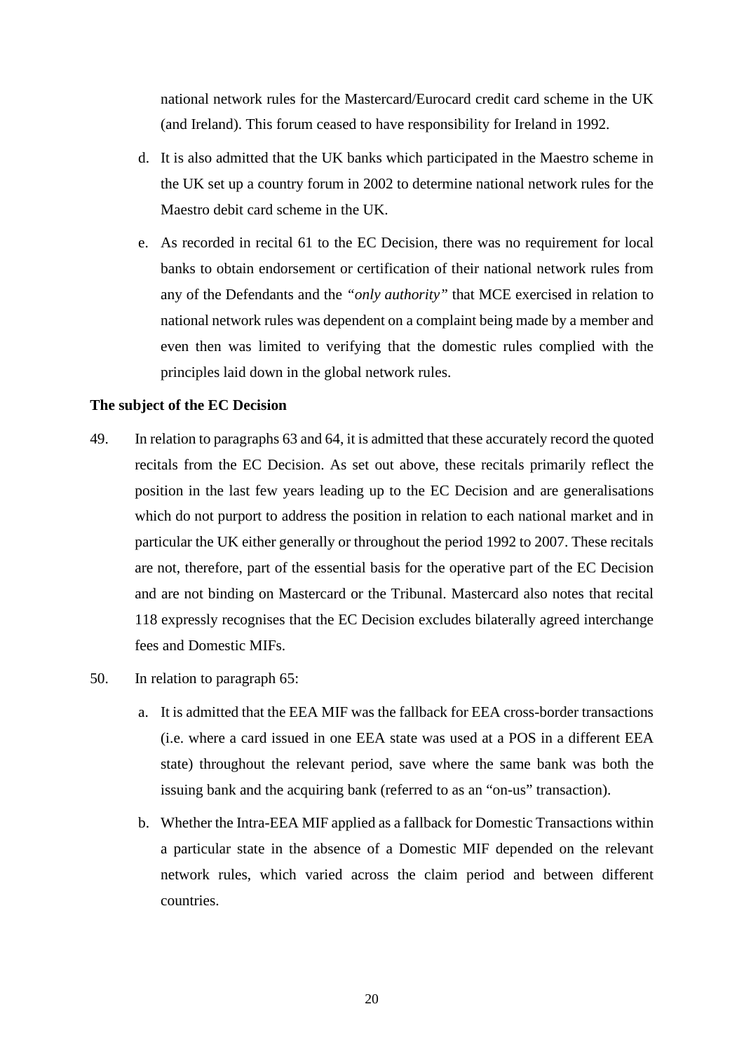national network rules for the Mastercard/Eurocard credit card scheme in the UK (and Ireland). This forum ceased to have responsibility for Ireland in 1992.

- d. It is also admitted that the UK banks which participated in the Maestro scheme in the UK set up a country forum in 2002 to determine national network rules for the Maestro debit card scheme in the UK.
- e. As recorded in recital 61 to the EC Decision, there was no requirement for local banks to obtain endorsement or certification of their national network rules from any of the Defendants and the *"only authority"* that MCE exercised in relation to national network rules was dependent on a complaint being made by a member and even then was limited to verifying that the domestic rules complied with the principles laid down in the global network rules.

## <span id="page-19-0"></span>**The subject of the EC Decision**

- 49. In relation to paragraphs 63 and 64, it is admitted that these accurately record the quoted recitals from the EC Decision. As set out above, these recitals primarily reflect the position in the last few years leading up to the EC Decision and are generalisations which do not purport to address the position in relation to each national market and in particular the UK either generally or throughout the period 1992 to 2007. These recitals are not, therefore, part of the essential basis for the operative part of the EC Decision and are not binding on Mastercard or the Tribunal. Mastercard also notes that recital 118 expressly recognises that the EC Decision excludes bilaterally agreed interchange fees and Domestic MIFs.
- 50. In relation to paragraph 65:
	- a. It is admitted that the EEA MIF was the fallback for EEA cross-border transactions (i.e. where a card issued in one EEA state was used at a POS in a different EEA state) throughout the relevant period, save where the same bank was both the issuing bank and the acquiring bank (referred to as an "on-us" transaction).
	- b. Whether the Intra-EEA MIF applied as a fallback for Domestic Transactions within a particular state in the absence of a Domestic MIF depended on the relevant network rules, which varied across the claim period and between different countries.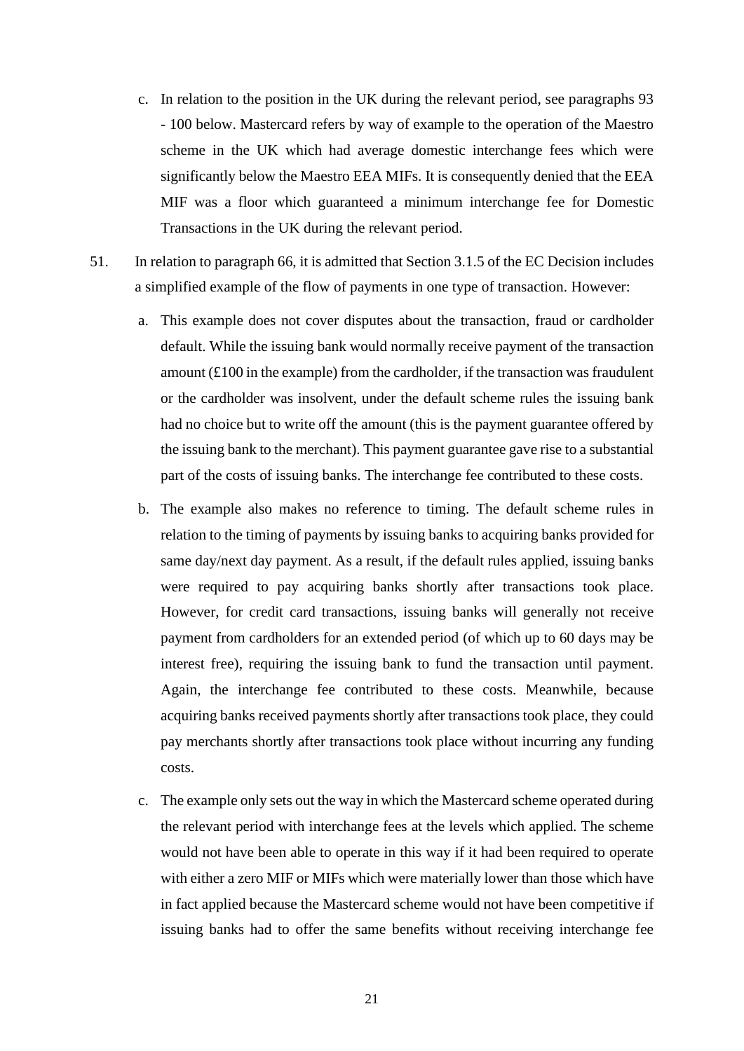- c. In relation to the position in the UK during the relevant period, see paragraphs 93 - 100 below. Mastercard refers by way of example to the operation of the Maestro scheme in the UK which had average domestic interchange fees which were significantly below the Maestro EEA MIFs. It is consequently denied that the EEA MIF was a floor which guaranteed a minimum interchange fee for Domestic Transactions in the UK during the relevant period.
- 51. In relation to paragraph 66, it is admitted that Section 3.1.5 of the EC Decision includes a simplified example of the flow of payments in one type of transaction. However:
	- a. This example does not cover disputes about the transaction, fraud or cardholder default. While the issuing bank would normally receive payment of the transaction amount  $(f100)$  in the example) from the cardholder, if the transaction was fraudulent or the cardholder was insolvent, under the default scheme rules the issuing bank had no choice but to write off the amount (this is the payment guarantee offered by the issuing bank to the merchant). This payment guarantee gave rise to a substantial part of the costs of issuing banks. The interchange fee contributed to these costs.
	- b. The example also makes no reference to timing. The default scheme rules in relation to the timing of payments by issuing banks to acquiring banks provided for same day/next day payment. As a result, if the default rules applied, issuing banks were required to pay acquiring banks shortly after transactions took place. However, for credit card transactions, issuing banks will generally not receive payment from cardholders for an extended period (of which up to 60 days may be interest free), requiring the issuing bank to fund the transaction until payment. Again, the interchange fee contributed to these costs. Meanwhile, because acquiring banks received payments shortly after transactions took place, they could pay merchants shortly after transactions took place without incurring any funding costs.
	- c. The example only sets out the way in which the Mastercard scheme operated during the relevant period with interchange fees at the levels which applied. The scheme would not have been able to operate in this way if it had been required to operate with either a zero MIF or MIFs which were materially lower than those which have in fact applied because the Mastercard scheme would not have been competitive if issuing banks had to offer the same benefits without receiving interchange fee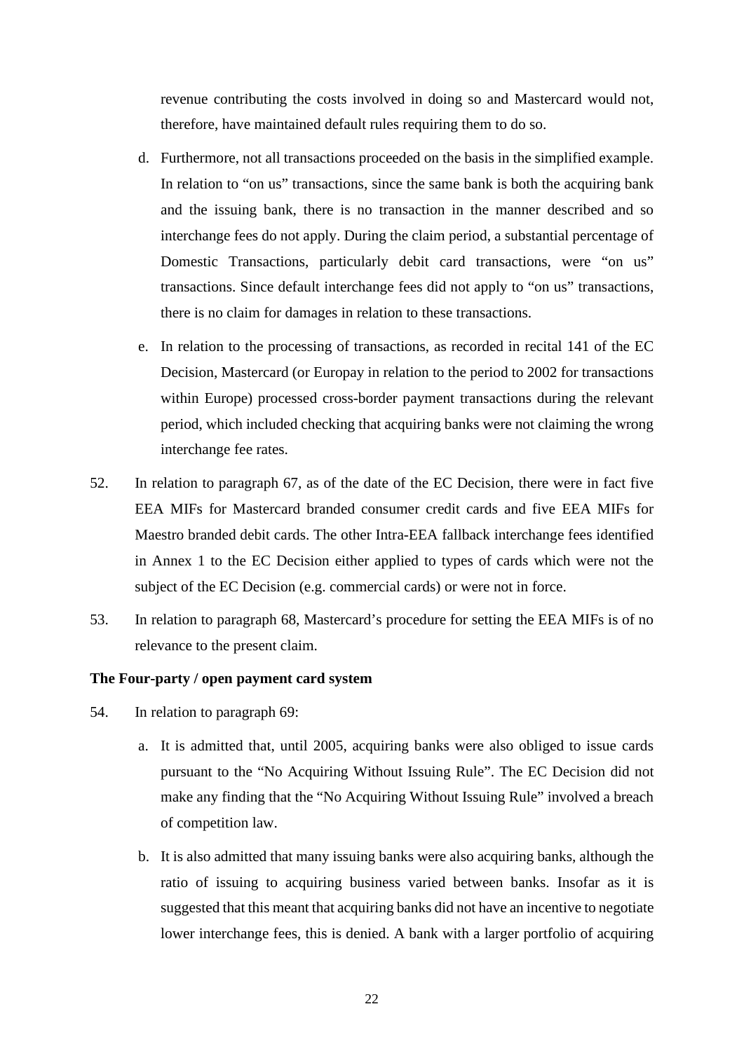revenue contributing the costs involved in doing so and Mastercard would not, therefore, have maintained default rules requiring them to do so.

- d. Furthermore, not all transactions proceeded on the basis in the simplified example. In relation to "on us" transactions, since the same bank is both the acquiring bank and the issuing bank, there is no transaction in the manner described and so interchange fees do not apply. During the claim period, a substantial percentage of Domestic Transactions, particularly debit card transactions, were "on us" transactions. Since default interchange fees did not apply to "on us" transactions, there is no claim for damages in relation to these transactions.
- e. In relation to the processing of transactions, as recorded in recital 141 of the EC Decision, Mastercard (or Europay in relation to the period to 2002 for transactions within Europe) processed cross-border payment transactions during the relevant period, which included checking that acquiring banks were not claiming the wrong interchange fee rates.
- 52. In relation to paragraph 67, as of the date of the EC Decision, there were in fact five EEA MIFs for Mastercard branded consumer credit cards and five EEA MIFs for Maestro branded debit cards. The other Intra-EEA fallback interchange fees identified in Annex 1 to the EC Decision either applied to types of cards which were not the subject of the EC Decision (e.g. commercial cards) or were not in force.
- 53. In relation to paragraph 68, Mastercard's procedure for setting the EEA MIFs is of no relevance to the present claim.

#### <span id="page-21-0"></span>**The Four-party / open payment card system**

- 54. In relation to paragraph 69:
	- a. It is admitted that, until 2005, acquiring banks were also obliged to issue cards pursuant to the "No Acquiring Without Issuing Rule". The EC Decision did not make any finding that the "No Acquiring Without Issuing Rule" involved a breach of competition law.
	- b. It is also admitted that many issuing banks were also acquiring banks, although the ratio of issuing to acquiring business varied between banks. Insofar as it is suggested that this meant that acquiring banks did not have an incentive to negotiate lower interchange fees, this is denied. A bank with a larger portfolio of acquiring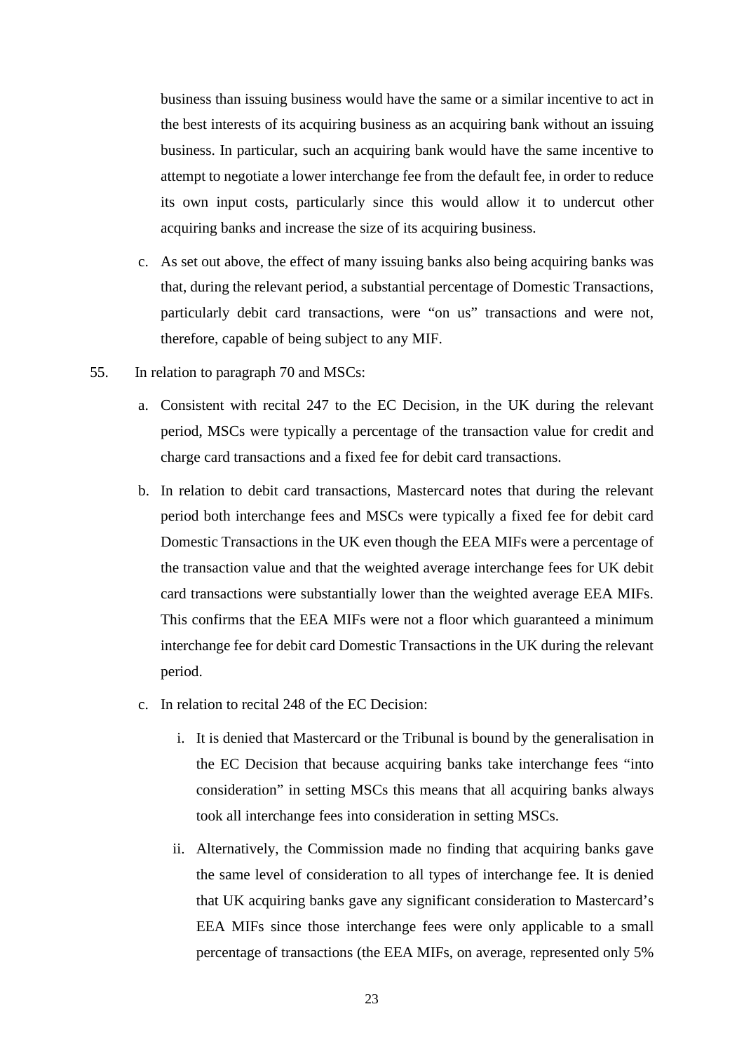business than issuing business would have the same or a similar incentive to act in the best interests of its acquiring business as an acquiring bank without an issuing business. In particular, such an acquiring bank would have the same incentive to attempt to negotiate a lower interchange fee from the default fee, in order to reduce its own input costs, particularly since this would allow it to undercut other acquiring banks and increase the size of its acquiring business.

- c. As set out above, the effect of many issuing banks also being acquiring banks was that, during the relevant period, a substantial percentage of Domestic Transactions, particularly debit card transactions, were "on us" transactions and were not, therefore, capable of being subject to any MIF.
- 55. In relation to paragraph 70 and MSCs:
	- a. Consistent with recital 247 to the EC Decision, in the UK during the relevant period, MSCs were typically a percentage of the transaction value for credit and charge card transactions and a fixed fee for debit card transactions.
	- b. In relation to debit card transactions, Mastercard notes that during the relevant period both interchange fees and MSCs were typically a fixed fee for debit card Domestic Transactions in the UK even though the EEA MIFs were a percentage of the transaction value and that the weighted average interchange fees for UK debit card transactions were substantially lower than the weighted average EEA MIFs. This confirms that the EEA MIFs were not a floor which guaranteed a minimum interchange fee for debit card Domestic Transactions in the UK during the relevant period.
	- c. In relation to recital 248 of the EC Decision:
		- i. It is denied that Mastercard or the Tribunal is bound by the generalisation in the EC Decision that because acquiring banks take interchange fees "into consideration" in setting MSCs this means that all acquiring banks always took all interchange fees into consideration in setting MSCs.
		- ii. Alternatively, the Commission made no finding that acquiring banks gave the same level of consideration to all types of interchange fee. It is denied that UK acquiring banks gave any significant consideration to Mastercard's EEA MIFs since those interchange fees were only applicable to a small percentage of transactions (the EEA MIFs, on average, represented only 5%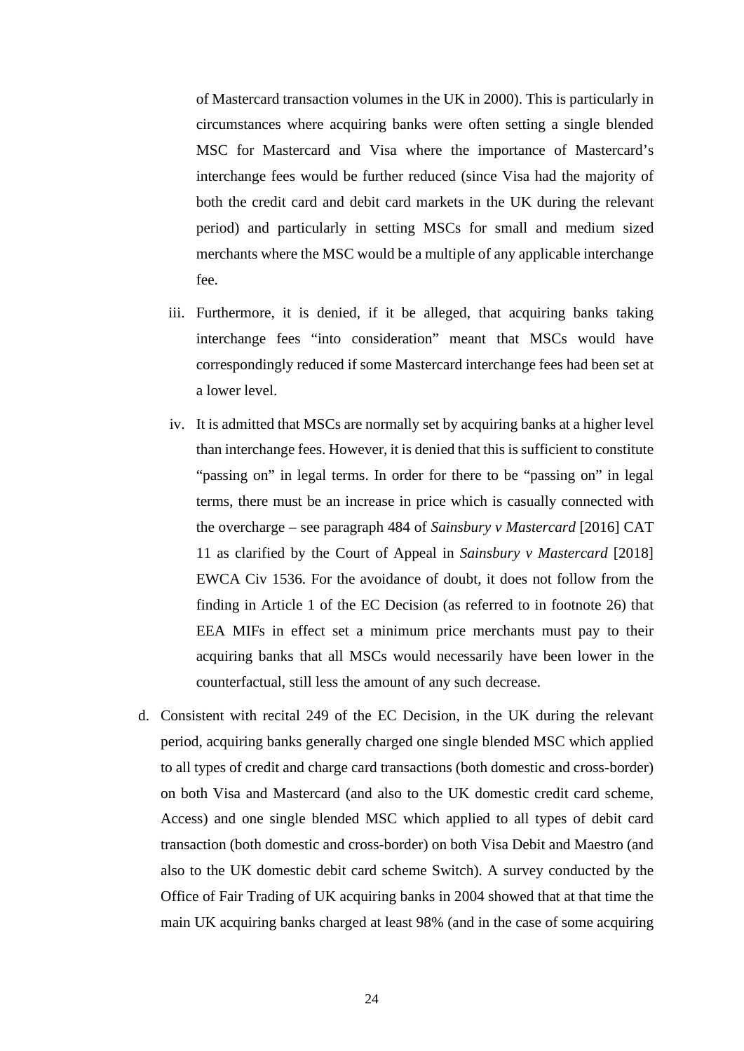of Mastercard transaction volumes in the UK in 2000). This is particularly in circumstances where acquiring banks were often setting a single blended MSC for Mastercard and Visa where the importance of Mastercard's interchange fees would be further reduced (since Visa had the majority of both the credit card and debit card markets in the UK during the relevant period) and particularly in setting MSCs for small and medium sized merchants where the MSC would be a multiple of any applicable interchange fee.

- iii. Furthermore, it is denied, if it be alleged, that acquiring banks taking interchange fees "into consideration" meant that MSCs would have correspondingly reduced if some Mastercard interchange fees had been set at a lower level.
- iv. It is admitted that MSCs are normally set by acquiring banks at a higher level than interchange fees. However, it is denied that this is sufficient to constitute "passing on" in legal terms. In order for there to be "passing on" in legal terms, there must be an increase in price which is casually connected with the overcharge – see paragraph 484 of *Sainsbury v Mastercard* [2016] CAT 11 as clarified by the Court of Appeal in *Sainsbury v Mastercard* [2018] EWCA Civ 1536. For the avoidance of doubt, it does not follow from the finding in Article 1 of the EC Decision (as referred to in footnote 26) that EEA MIFs in effect set a minimum price merchants must pay to their acquiring banks that all MSCs would necessarily have been lower in the counterfactual, still less the amount of any such decrease.
- d. Consistent with recital 249 of the EC Decision, in the UK during the relevant period, acquiring banks generally charged one single blended MSC which applied to all types of credit and charge card transactions (both domestic and cross-border) on both Visa and Mastercard (and also to the UK domestic credit card scheme, Access) and one single blended MSC which applied to all types of debit card transaction (both domestic and cross-border) on both Visa Debit and Maestro (and also to the UK domestic debit card scheme Switch). A survey conducted by the Office of Fair Trading of UK acquiring banks in 2004 showed that at that time the main UK acquiring banks charged at least 98% (and in the case of some acquiring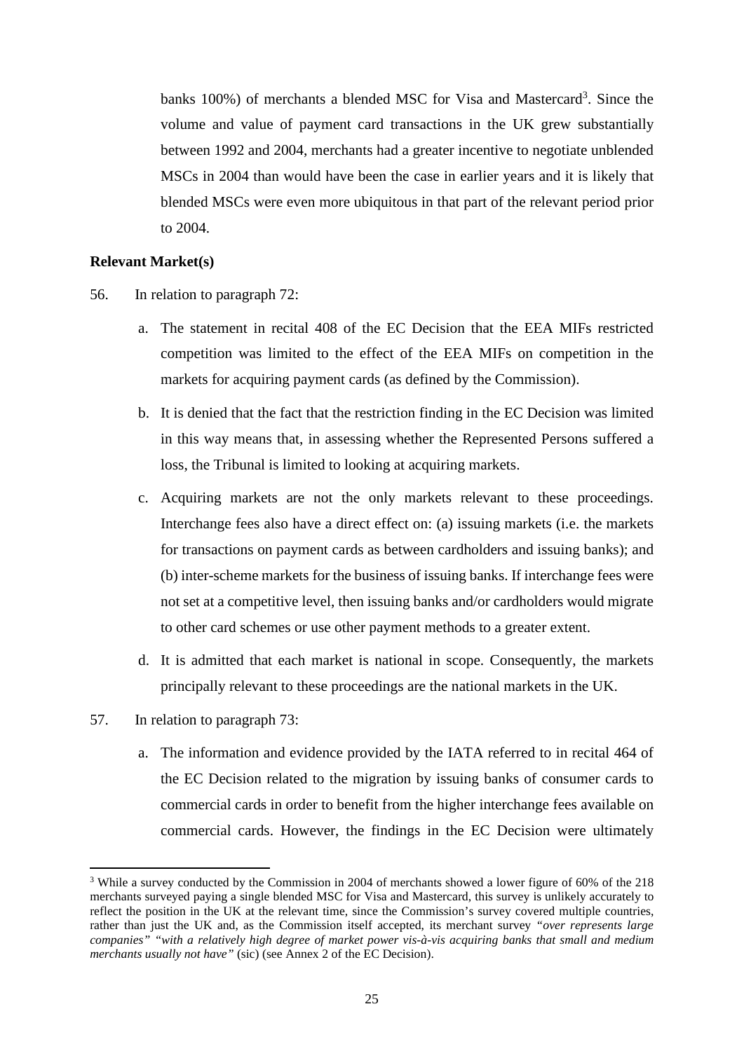banks 100%) of merchants a blended MSC for Visa and Mastercard<sup>3</sup>. Since the volume and value of payment card transactions in the UK grew substantially between 1992 and 2004, merchants had a greater incentive to negotiate unblended MSCs in 2004 than would have been the case in earlier years and it is likely that blended MSCs were even more ubiquitous in that part of the relevant period prior to 2004.

## <span id="page-24-0"></span>**Relevant Market(s)**

- 56. In relation to paragraph 72:
	- a. The statement in recital 408 of the EC Decision that the EEA MIFs restricted competition was limited to the effect of the EEA MIFs on competition in the markets for acquiring payment cards (as defined by the Commission).
	- b. It is denied that the fact that the restriction finding in the EC Decision was limited in this way means that, in assessing whether the Represented Persons suffered a loss, the Tribunal is limited to looking at acquiring markets.
	- c. Acquiring markets are not the only markets relevant to these proceedings. Interchange fees also have a direct effect on: (a) issuing markets (i.e. the markets for transactions on payment cards as between cardholders and issuing banks); and (b) inter-scheme markets for the business of issuing banks. If interchange fees were not set at a competitive level, then issuing banks and/or cardholders would migrate to other card schemes or use other payment methods to a greater extent.
	- d. It is admitted that each market is national in scope. Consequently, the markets principally relevant to these proceedings are the national markets in the UK.
- 57. In relation to paragraph 73:
	- a. The information and evidence provided by the IATA referred to in recital 464 of the EC Decision related to the migration by issuing banks of consumer cards to commercial cards in order to benefit from the higher interchange fees available on commercial cards. However, the findings in the EC Decision were ultimately

<sup>&</sup>lt;sup>3</sup> While a survey conducted by the Commission in 2004 of merchants showed a lower figure of 60% of the 218 merchants surveyed paying a single blended MSC for Visa and Mastercard, this survey is unlikely accurately to reflect the position in the UK at the relevant time, since the Commission's survey covered multiple countries, rather than just the UK and, as the Commission itself accepted, its merchant survey *"over represents large companies" "with a relatively high degree of market power vis-à-vis acquiring banks that small and medium merchants usually not have"* (sic) (see Annex 2 of the EC Decision).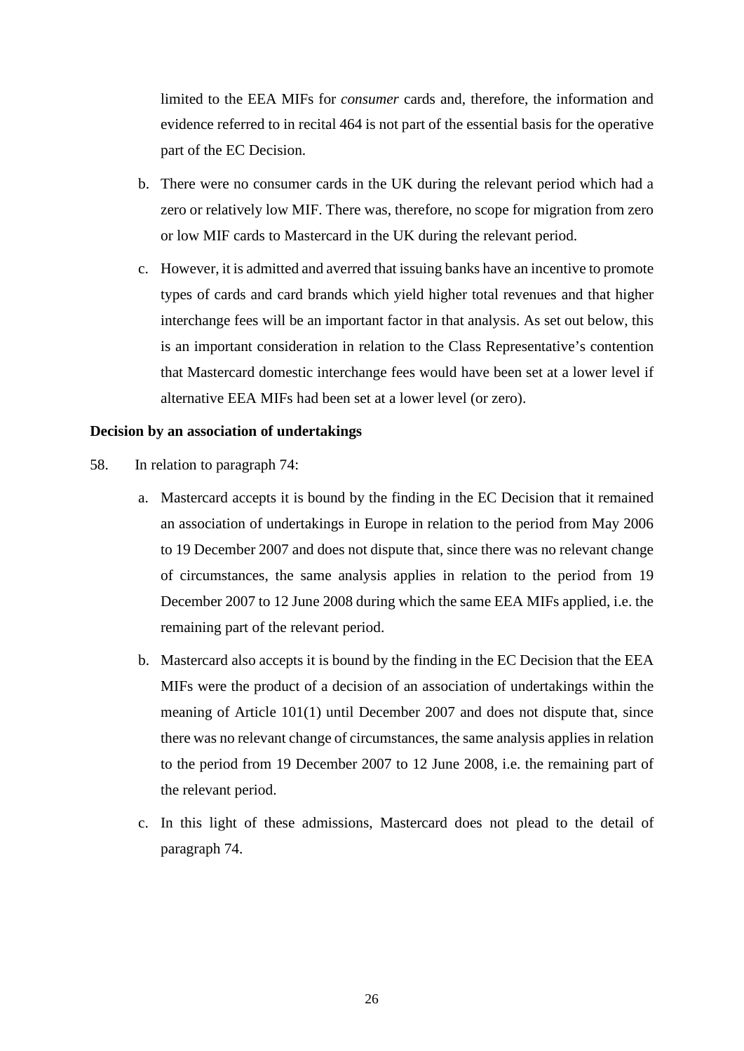limited to the EEA MIFs for *consumer* cards and, therefore, the information and evidence referred to in recital 464 is not part of the essential basis for the operative part of the EC Decision.

- b. There were no consumer cards in the UK during the relevant period which had a zero or relatively low MIF. There was, therefore, no scope for migration from zero or low MIF cards to Mastercard in the UK during the relevant period.
- c. However, it is admitted and averred that issuing banks have an incentive to promote types of cards and card brands which yield higher total revenues and that higher interchange fees will be an important factor in that analysis. As set out below, this is an important consideration in relation to the Class Representative's contention that Mastercard domestic interchange fees would have been set at a lower level if alternative EEA MIFs had been set at a lower level (or zero).

## <span id="page-25-0"></span>**Decision by an association of undertakings**

- 58. In relation to paragraph 74:
	- a. Mastercard accepts it is bound by the finding in the EC Decision that it remained an association of undertakings in Europe in relation to the period from May 2006 to 19 December 2007 and does not dispute that, since there was no relevant change of circumstances, the same analysis applies in relation to the period from 19 December 2007 to 12 June 2008 during which the same EEA MIFs applied, i.e. the remaining part of the relevant period.
	- b. Mastercard also accepts it is bound by the finding in the EC Decision that the EEA MIFs were the product of a decision of an association of undertakings within the meaning of Article 101(1) until December 2007 and does not dispute that, since there was no relevant change of circumstances, the same analysis applies in relation to the period from 19 December 2007 to 12 June 2008, i.e. the remaining part of the relevant period.
	- c. In this light of these admissions, Mastercard does not plead to the detail of paragraph 74.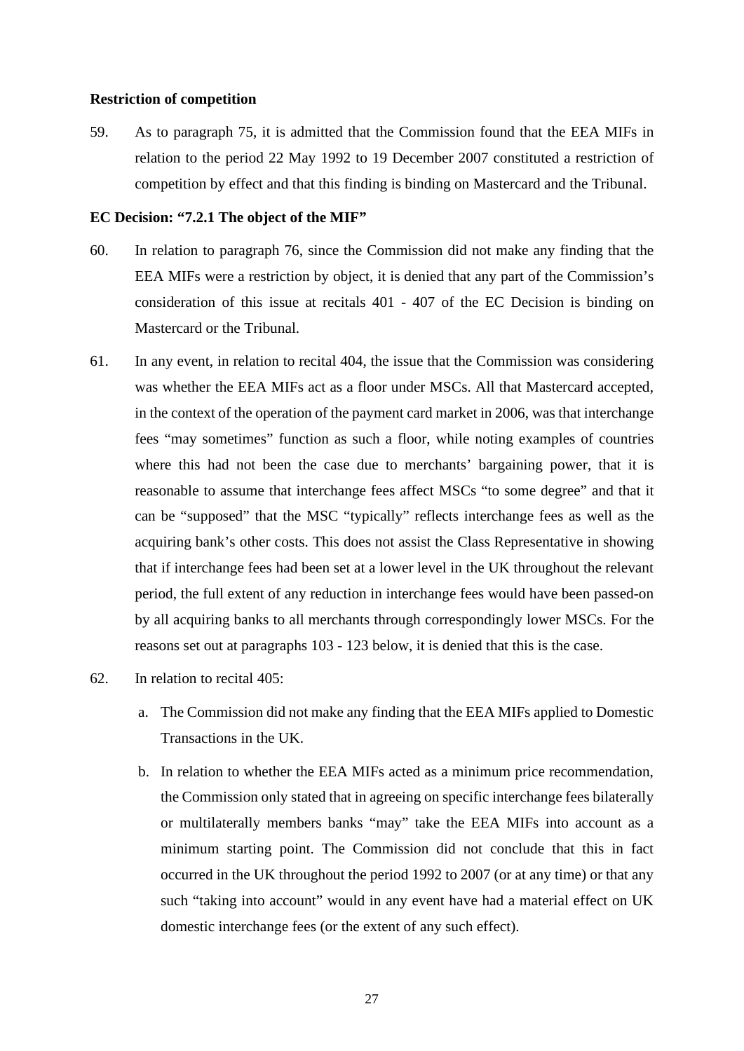#### <span id="page-26-0"></span>**Restriction of competition**

59. As to paragraph 75, it is admitted that the Commission found that the EEA MIFs in relation to the period 22 May 1992 to 19 December 2007 constituted a restriction of competition by effect and that this finding is binding on Mastercard and the Tribunal.

## <span id="page-26-1"></span>**EC Decision: "7.2.1 The object of the MIF"**

- 60. In relation to paragraph 76, since the Commission did not make any finding that the EEA MIFs were a restriction by object, it is denied that any part of the Commission's consideration of this issue at recitals 401 - 407 of the EC Decision is binding on Mastercard or the Tribunal.
- 61. In any event, in relation to recital 404, the issue that the Commission was considering was whether the EEA MIFs act as a floor under MSCs. All that Mastercard accepted, in the context of the operation of the payment card market in 2006, was that interchange fees "may sometimes" function as such a floor, while noting examples of countries where this had not been the case due to merchants' bargaining power, that it is reasonable to assume that interchange fees affect MSCs "to some degree" and that it can be "supposed" that the MSC "typically" reflects interchange fees as well as the acquiring bank's other costs. This does not assist the Class Representative in showing that if interchange fees had been set at a lower level in the UK throughout the relevant period, the full extent of any reduction in interchange fees would have been passed-on by all acquiring banks to all merchants through correspondingly lower MSCs. For the reasons set out at paragraphs 103 - 123 below, it is denied that this is the case.
- 62. In relation to recital 405:
	- a. The Commission did not make any finding that the EEA MIFs applied to Domestic Transactions in the UK.
	- b. In relation to whether the EEA MIFs acted as a minimum price recommendation, the Commission only stated that in agreeing on specific interchange fees bilaterally or multilaterally members banks "may" take the EEA MIFs into account as a minimum starting point. The Commission did not conclude that this in fact occurred in the UK throughout the period 1992 to 2007 (or at any time) or that any such "taking into account" would in any event have had a material effect on UK domestic interchange fees (or the extent of any such effect).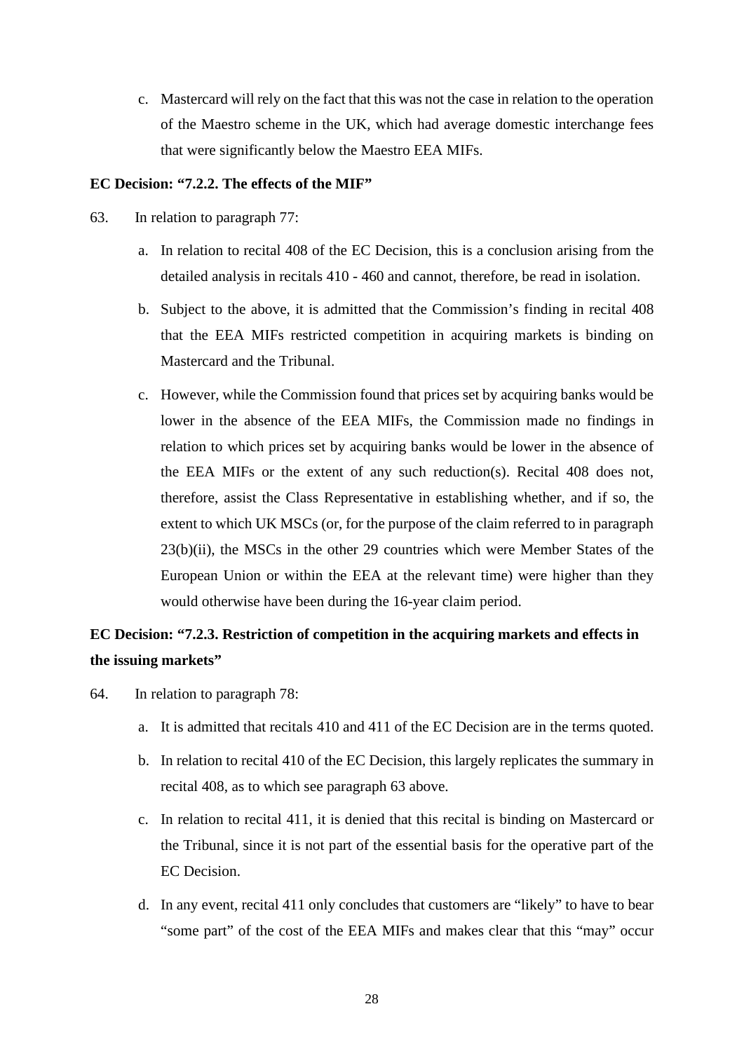c. Mastercard will rely on the fact that this was not the case in relation to the operation of the Maestro scheme in the UK, which had average domestic interchange fees that were significantly below the Maestro EEA MIFs.

## <span id="page-27-0"></span>**EC Decision: "7.2.2. The effects of the MIF"**

- 63. In relation to paragraph 77:
	- a. In relation to recital 408 of the EC Decision, this is a conclusion arising from the detailed analysis in recitals 410 - 460 and cannot, therefore, be read in isolation.
	- b. Subject to the above, it is admitted that the Commission's finding in recital 408 that the EEA MIFs restricted competition in acquiring markets is binding on Mastercard and the Tribunal.
	- c. However, while the Commission found that prices set by acquiring banks would be lower in the absence of the EEA MIFs, the Commission made no findings in relation to which prices set by acquiring banks would be lower in the absence of the EEA MIFs or the extent of any such reduction(s). Recital 408 does not, therefore, assist the Class Representative in establishing whether, and if so, the extent to which UK MSCs (or, for the purpose of the claim referred to in paragraph 23(b)(ii), the MSCs in the other 29 countries which were Member States of the European Union or within the EEA at the relevant time) were higher than they would otherwise have been during the 16-year claim period.

# <span id="page-27-1"></span>**EC Decision: "7.2.3. Restriction of competition in the acquiring markets and effects in the issuing markets"**

- 64. In relation to paragraph 78:
	- a. It is admitted that recitals 410 and 411 of the EC Decision are in the terms quoted.
	- b. In relation to recital 410 of the EC Decision, this largely replicates the summary in recital 408, as to which see paragraph 63 above.
	- c. In relation to recital 411, it is denied that this recital is binding on Mastercard or the Tribunal, since it is not part of the essential basis for the operative part of the EC Decision.
	- d. In any event, recital 411 only concludes that customers are "likely" to have to bear "some part" of the cost of the EEA MIFs and makes clear that this "may" occur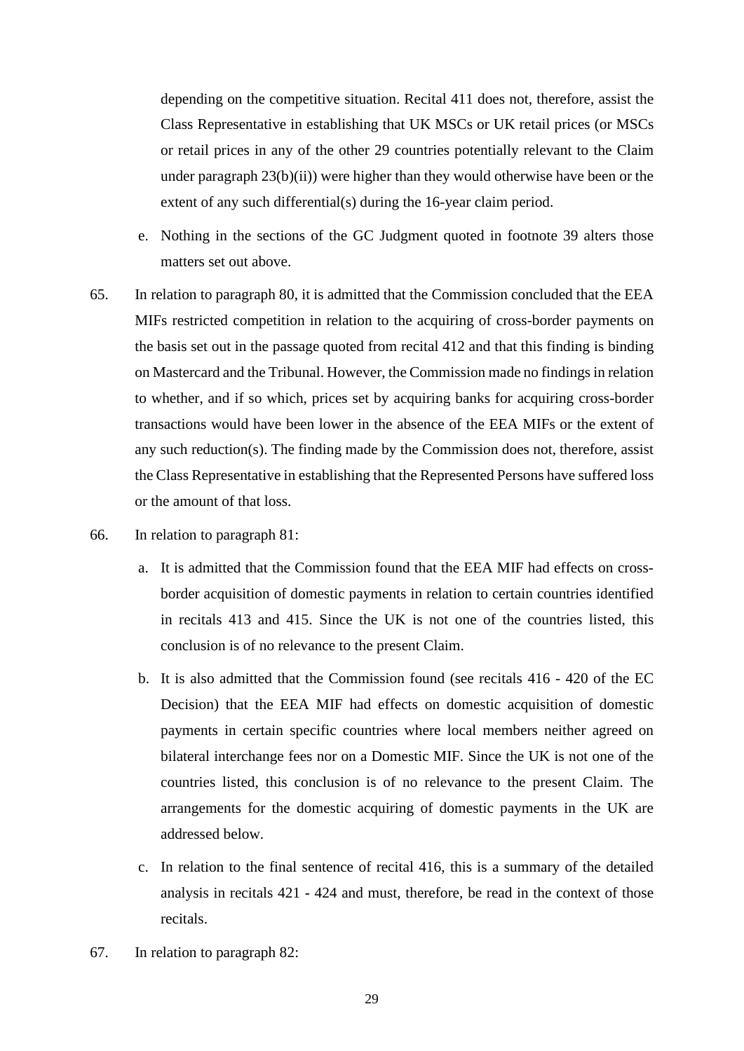depending on the competitive situation. Recital 411 does not, therefore, assist the Class Representative in establishing that UK MSCs or UK retail prices (or MSCs or retail prices in any of the other 29 countries potentially relevant to the Claim under paragraph  $23(b)(ii)$ ) were higher than they would otherwise have been or the extent of any such differential(s) during the 16-year claim period.

- e. Nothing in the sections of the GC Judgment quoted in footnote 39 alters those matters set out above.
- 65. In relation to paragraph 80, it is admitted that the Commission concluded that the EEA MIFs restricted competition in relation to the acquiring of cross-border payments on the basis set out in the passage quoted from recital 412 and that this finding is binding on Mastercard and the Tribunal. However, the Commission made no findings in relation to whether, and if so which, prices set by acquiring banks for acquiring cross-border transactions would have been lower in the absence of the EEA MIFs or the extent of any such reduction(s). The finding made by the Commission does not, therefore, assist the Class Representative in establishing that the Represented Persons have suffered loss or the amount of that loss.
- 66. In relation to paragraph 81:
	- a. It is admitted that the Commission found that the EEA MIF had effects on crossborder acquisition of domestic payments in relation to certain countries identified in recitals 413 and 415. Since the UK is not one of the countries listed, this conclusion is of no relevance to the present Claim.
	- b. It is also admitted that the Commission found (see recitals 416 420 of the EC Decision) that the EEA MIF had effects on domestic acquisition of domestic payments in certain specific countries where local members neither agreed on bilateral interchange fees nor on a Domestic MIF. Since the UK is not one of the countries listed, this conclusion is of no relevance to the present Claim. The arrangements for the domestic acquiring of domestic payments in the UK are addressed below.
	- c. In relation to the final sentence of recital 416, this is a summary of the detailed analysis in recitals 421 - 424 and must, therefore, be read in the context of those recitals.
- 67. In relation to paragraph 82: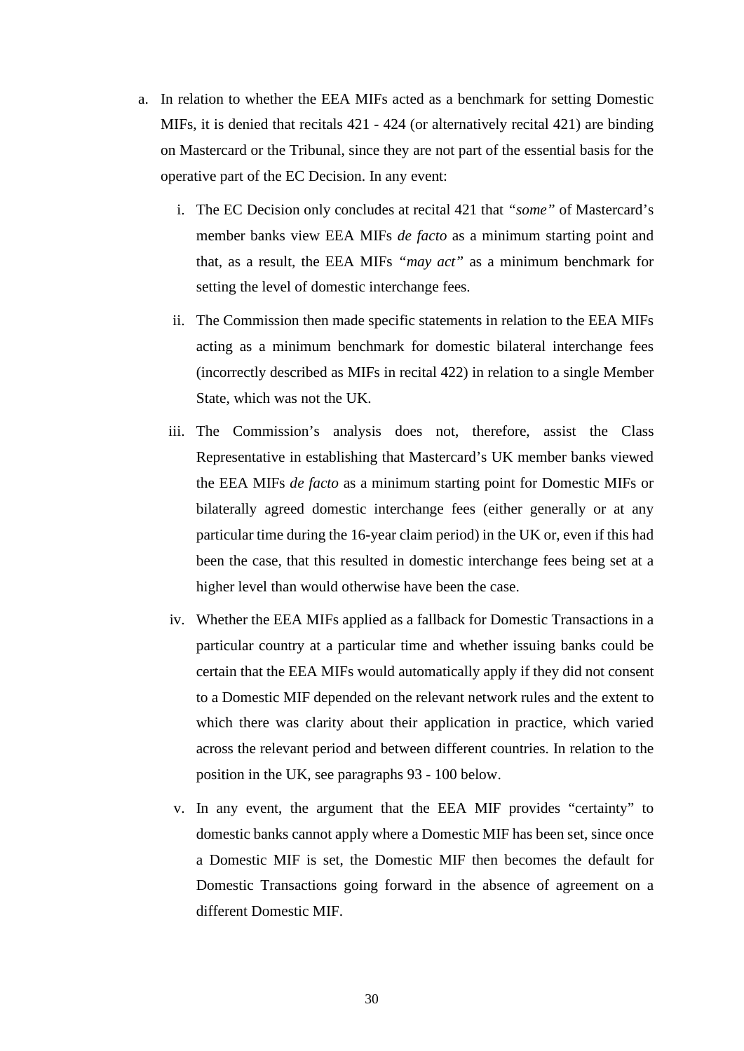- a. In relation to whether the EEA MIFs acted as a benchmark for setting Domestic MIFs, it is denied that recitals 421 - 424 (or alternatively recital 421) are binding on Mastercard or the Tribunal, since they are not part of the essential basis for the operative part of the EC Decision. In any event:
	- i. The EC Decision only concludes at recital 421 that *"some"* of Mastercard's member banks view EEA MIFs *de facto* as a minimum starting point and that, as a result, the EEA MIFs *"may act"* as a minimum benchmark for setting the level of domestic interchange fees.
	- ii. The Commission then made specific statements in relation to the EEA MIFs acting as a minimum benchmark for domestic bilateral interchange fees (incorrectly described as MIFs in recital 422) in relation to a single Member State, which was not the UK.
	- iii. The Commission's analysis does not, therefore, assist the Class Representative in establishing that Mastercard's UK member banks viewed the EEA MIFs *de facto* as a minimum starting point for Domestic MIFs or bilaterally agreed domestic interchange fees (either generally or at any particular time during the 16-year claim period) in the UK or, even if this had been the case, that this resulted in domestic interchange fees being set at a higher level than would otherwise have been the case.
	- iv. Whether the EEA MIFs applied as a fallback for Domestic Transactions in a particular country at a particular time and whether issuing banks could be certain that the EEA MIFs would automatically apply if they did not consent to a Domestic MIF depended on the relevant network rules and the extent to which there was clarity about their application in practice, which varied across the relevant period and between different countries. In relation to the position in the UK, see paragraphs 93 - 100 below.
	- v. In any event, the argument that the EEA MIF provides "certainty" to domestic banks cannot apply where a Domestic MIF has been set, since once a Domestic MIF is set, the Domestic MIF then becomes the default for Domestic Transactions going forward in the absence of agreement on a different Domestic MIF.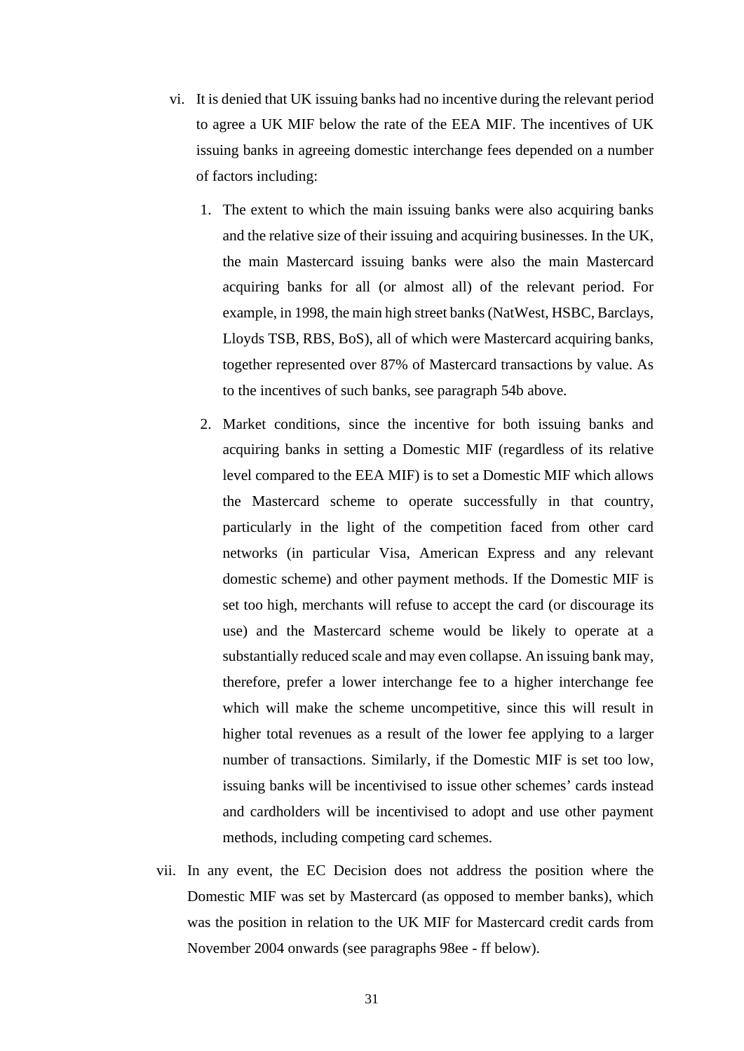- vi. It is denied that UK issuing banks had no incentive during the relevant period to agree a UK MIF below the rate of the EEA MIF. The incentives of UK issuing banks in agreeing domestic interchange fees depended on a number of factors including:
	- 1. The extent to which the main issuing banks were also acquiring banks and the relative size of their issuing and acquiring businesses. In the UK, the main Mastercard issuing banks were also the main Mastercard acquiring banks for all (or almost all) of the relevant period. For example, in 1998, the main high street banks (NatWest, HSBC, Barclays, Lloyds TSB, RBS, BoS), all of which were Mastercard acquiring banks, together represented over 87% of Mastercard transactions by value. As to the incentives of such banks, see paragraph 54b above.
	- 2. Market conditions, since the incentive for both issuing banks and acquiring banks in setting a Domestic MIF (regardless of its relative level compared to the EEA MIF) is to set a Domestic MIF which allows the Mastercard scheme to operate successfully in that country, particularly in the light of the competition faced from other card networks (in particular Visa, American Express and any relevant domestic scheme) and other payment methods. If the Domestic MIF is set too high, merchants will refuse to accept the card (or discourage its use) and the Mastercard scheme would be likely to operate at a substantially reduced scale and may even collapse. An issuing bank may, therefore, prefer a lower interchange fee to a higher interchange fee which will make the scheme uncompetitive, since this will result in higher total revenues as a result of the lower fee applying to a larger number of transactions. Similarly, if the Domestic MIF is set too low, issuing banks will be incentivised to issue other schemes' cards instead and cardholders will be incentivised to adopt and use other payment methods, including competing card schemes.
- vii. In any event, the EC Decision does not address the position where the Domestic MIF was set by Mastercard (as opposed to member banks), which was the position in relation to the UK MIF for Mastercard credit cards from November 2004 onwards (see paragraphs 98ee - ff below).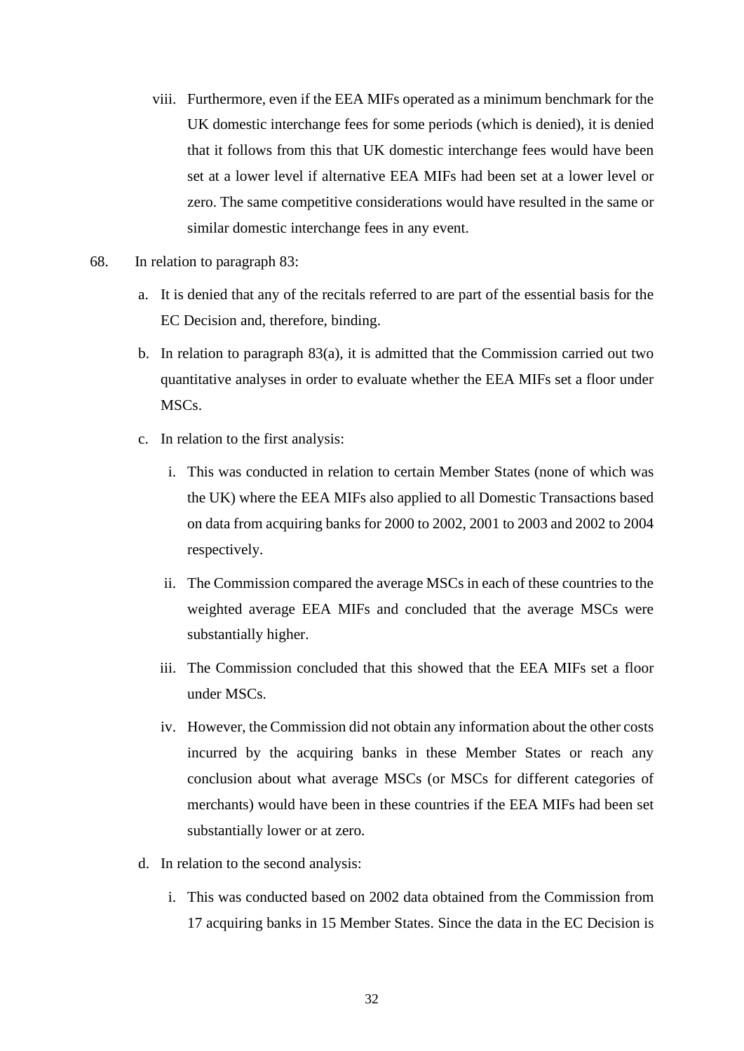- viii. Furthermore, even if the EEA MIFs operated as a minimum benchmark for the UK domestic interchange fees for some periods (which is denied), it is denied that it follows from this that UK domestic interchange fees would have been set at a lower level if alternative EEA MIFs had been set at a lower level or zero. The same competitive considerations would have resulted in the same or similar domestic interchange fees in any event.
- 68. In relation to paragraph 83:
	- a. It is denied that any of the recitals referred to are part of the essential basis for the EC Decision and, therefore, binding.
	- b. In relation to paragraph 83(a), it is admitted that the Commission carried out two quantitative analyses in order to evaluate whether the EEA MIFs set a floor under MSCs.
	- c. In relation to the first analysis:
		- i. This was conducted in relation to certain Member States (none of which was the UK) where the EEA MIFs also applied to all Domestic Transactions based on data from acquiring banks for 2000 to 2002, 2001 to 2003 and 2002 to 2004 respectively.
		- ii. The Commission compared the average MSCs in each of these countries to the weighted average EEA MIFs and concluded that the average MSCs were substantially higher.
		- iii. The Commission concluded that this showed that the EEA MIFs set a floor under MSCs.
		- iv. However, the Commission did not obtain any information about the other costs incurred by the acquiring banks in these Member States or reach any conclusion about what average MSCs (or MSCs for different categories of merchants) would have been in these countries if the EEA MIFs had been set substantially lower or at zero.
	- d. In relation to the second analysis:
		- i. This was conducted based on 2002 data obtained from the Commission from 17 acquiring banks in 15 Member States. Since the data in the EC Decision is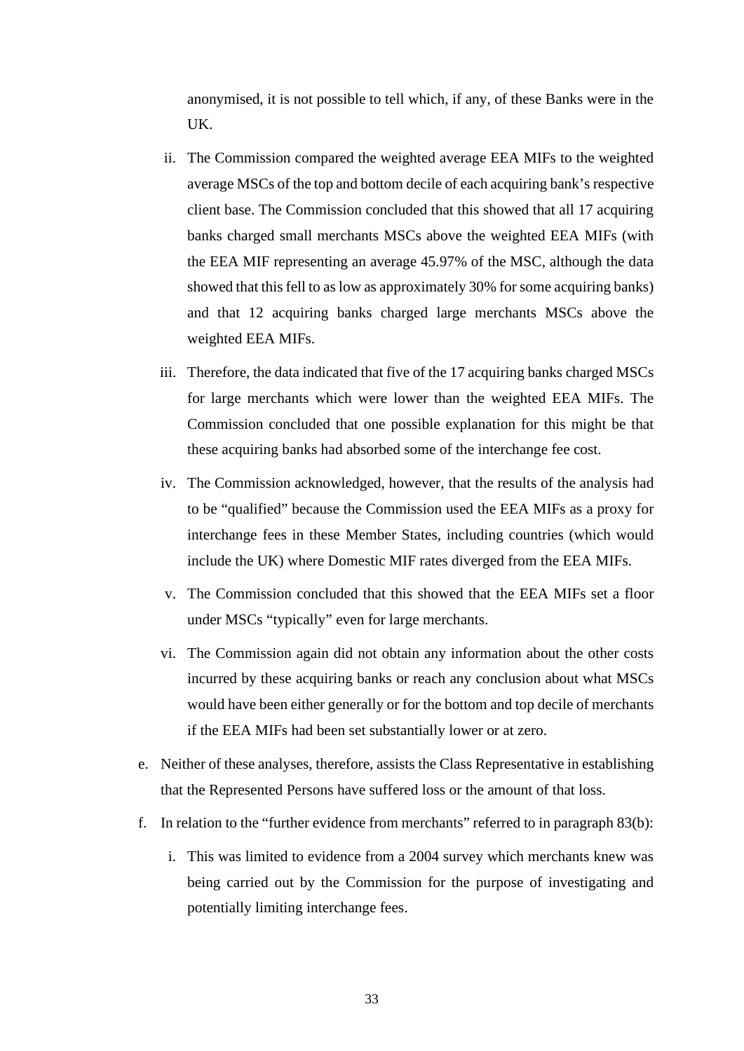anonymised, it is not possible to tell which, if any, of these Banks were in the UK.

- ii. The Commission compared the weighted average EEA MIFs to the weighted average MSCs of the top and bottom decile of each acquiring bank's respective client base. The Commission concluded that this showed that all 17 acquiring banks charged small merchants MSCs above the weighted EEA MIFs (with the EEA MIF representing an average 45.97% of the MSC, although the data showed that this fell to as low as approximately 30% for some acquiring banks) and that 12 acquiring banks charged large merchants MSCs above the weighted EEA MIFs.
- iii. Therefore, the data indicated that five of the 17 acquiring banks charged MSCs for large merchants which were lower than the weighted EEA MIFs. The Commission concluded that one possible explanation for this might be that these acquiring banks had absorbed some of the interchange fee cost.
- iv. The Commission acknowledged, however, that the results of the analysis had to be "qualified" because the Commission used the EEA MIFs as a proxy for interchange fees in these Member States, including countries (which would include the UK) where Domestic MIF rates diverged from the EEA MIFs.
- v. The Commission concluded that this showed that the EEA MIFs set a floor under MSCs "typically" even for large merchants.
- vi. The Commission again did not obtain any information about the other costs incurred by these acquiring banks or reach any conclusion about what MSCs would have been either generally or for the bottom and top decile of merchants if the EEA MIFs had been set substantially lower or at zero.
- e. Neither of these analyses, therefore, assists the Class Representative in establishing that the Represented Persons have suffered loss or the amount of that loss.
- f. In relation to the "further evidence from merchants" referred to in paragraph 83(b):
	- i. This was limited to evidence from a 2004 survey which merchants knew was being carried out by the Commission for the purpose of investigating and potentially limiting interchange fees.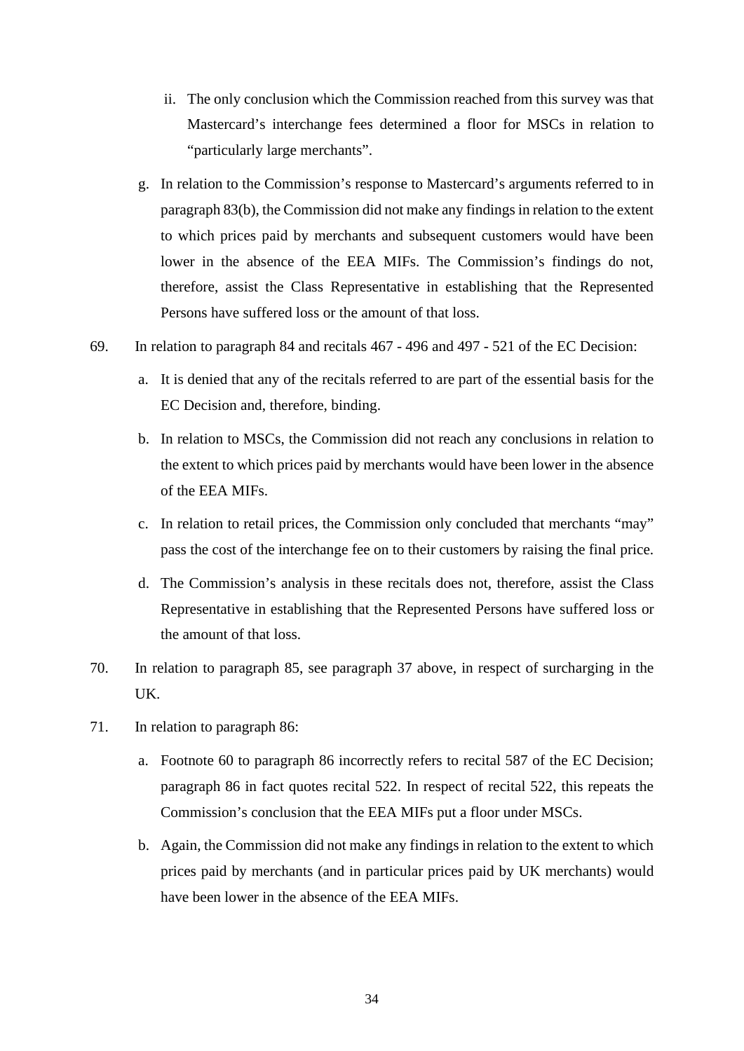- ii. The only conclusion which the Commission reached from this survey was that Mastercard's interchange fees determined a floor for MSCs in relation to "particularly large merchants".
- g. In relation to the Commission's response to Mastercard's arguments referred to in paragraph 83(b), the Commission did not make any findings in relation to the extent to which prices paid by merchants and subsequent customers would have been lower in the absence of the EEA MIFs. The Commission's findings do not, therefore, assist the Class Representative in establishing that the Represented Persons have suffered loss or the amount of that loss.
- 69. In relation to paragraph 84 and recitals 467 496 and 497 521 of the EC Decision:
	- a. It is denied that any of the recitals referred to are part of the essential basis for the EC Decision and, therefore, binding.
	- b. In relation to MSCs, the Commission did not reach any conclusions in relation to the extent to which prices paid by merchants would have been lower in the absence of the EEA MIFs.
	- c. In relation to retail prices, the Commission only concluded that merchants "may" pass the cost of the interchange fee on to their customers by raising the final price.
	- d. The Commission's analysis in these recitals does not, therefore, assist the Class Representative in establishing that the Represented Persons have suffered loss or the amount of that loss.
- 70. In relation to paragraph 85, see paragraph 37 above, in respect of surcharging in the UK.
- 71. In relation to paragraph 86:
	- a. Footnote 60 to paragraph 86 incorrectly refers to recital 587 of the EC Decision; paragraph 86 in fact quotes recital 522. In respect of recital 522, this repeats the Commission's conclusion that the EEA MIFs put a floor under MSCs.
	- b. Again, the Commission did not make any findings in relation to the extent to which prices paid by merchants (and in particular prices paid by UK merchants) would have been lower in the absence of the EEA MIFs.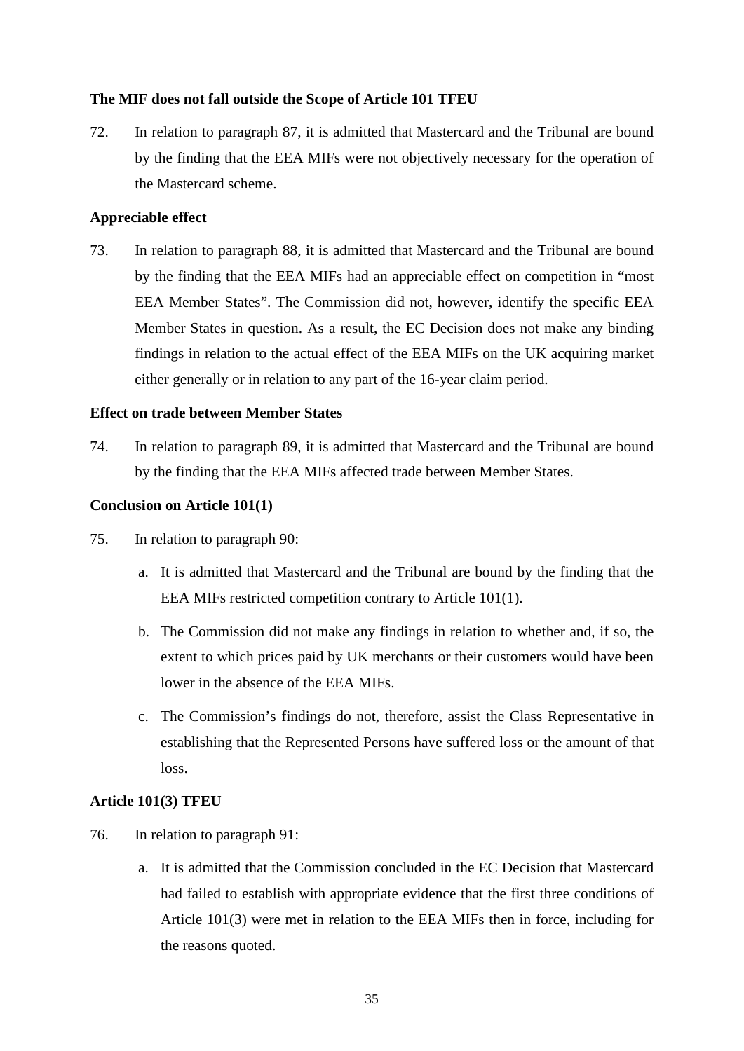## <span id="page-34-0"></span>**The MIF does not fall outside the Scope of Article 101 TFEU**

72. In relation to paragraph 87, it is admitted that Mastercard and the Tribunal are bound by the finding that the EEA MIFs were not objectively necessary for the operation of the Mastercard scheme.

# <span id="page-34-1"></span>**Appreciable effect**

73. In relation to paragraph 88, it is admitted that Mastercard and the Tribunal are bound by the finding that the EEA MIFs had an appreciable effect on competition in "most EEA Member States". The Commission did not, however, identify the specific EEA Member States in question. As a result, the EC Decision does not make any binding findings in relation to the actual effect of the EEA MIFs on the UK acquiring market either generally or in relation to any part of the 16-year claim period.

# <span id="page-34-2"></span>**Effect on trade between Member States**

74. In relation to paragraph 89, it is admitted that Mastercard and the Tribunal are bound by the finding that the EEA MIFs affected trade between Member States.

# <span id="page-34-3"></span>**Conclusion on Article 101(1)**

- 75. In relation to paragraph 90:
	- a. It is admitted that Mastercard and the Tribunal are bound by the finding that the EEA MIFs restricted competition contrary to Article 101(1).
	- b. The Commission did not make any findings in relation to whether and, if so, the extent to which prices paid by UK merchants or their customers would have been lower in the absence of the EEA MIFs.
	- c. The Commission's findings do not, therefore, assist the Class Representative in establishing that the Represented Persons have suffered loss or the amount of that loss.

## <span id="page-34-4"></span>**Article 101(3) TFEU**

- 76. In relation to paragraph 91:
	- a. It is admitted that the Commission concluded in the EC Decision that Mastercard had failed to establish with appropriate evidence that the first three conditions of Article 101(3) were met in relation to the EEA MIFs then in force, including for the reasons quoted.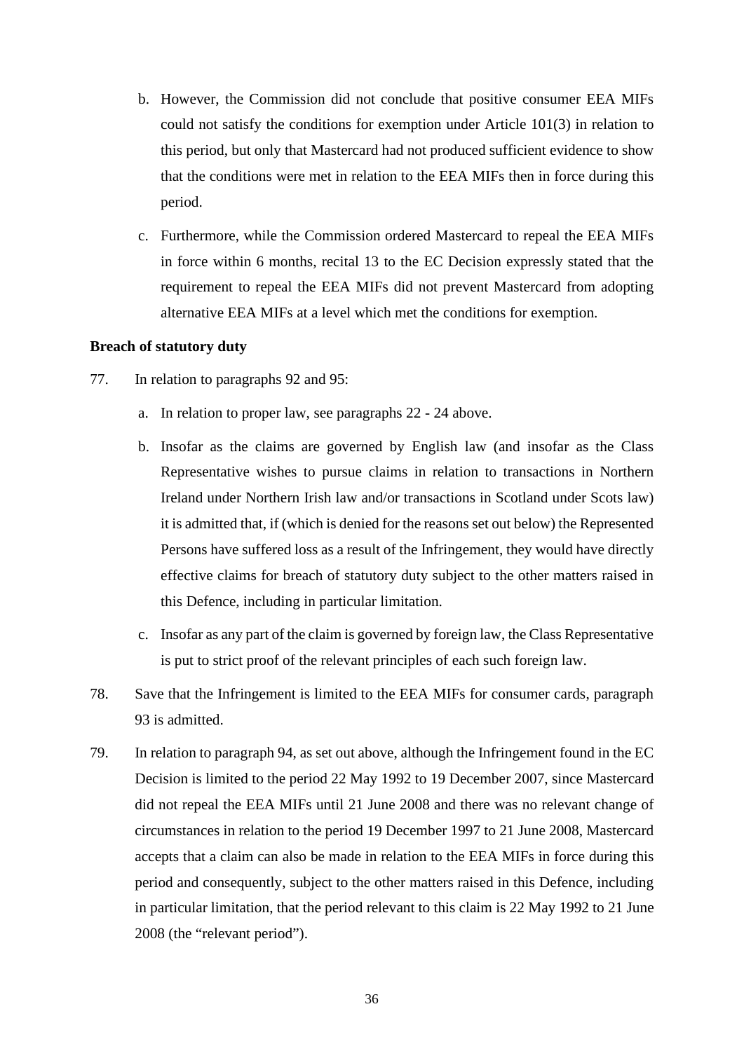- b. However, the Commission did not conclude that positive consumer EEA MIFs could not satisfy the conditions for exemption under Article 101(3) in relation to this period, but only that Mastercard had not produced sufficient evidence to show that the conditions were met in relation to the EEA MIFs then in force during this period.
- c. Furthermore, while the Commission ordered Mastercard to repeal the EEA MIFs in force within 6 months, recital 13 to the EC Decision expressly stated that the requirement to repeal the EEA MIFs did not prevent Mastercard from adopting alternative EEA MIFs at a level which met the conditions for exemption.

## <span id="page-35-0"></span>**Breach of statutory duty**

- 77. In relation to paragraphs 92 and 95:
	- a. In relation to proper law, see paragraphs 22 24 above.
	- b. Insofar as the claims are governed by English law (and insofar as the Class Representative wishes to pursue claims in relation to transactions in Northern Ireland under Northern Irish law and/or transactions in Scotland under Scots law) it is admitted that, if (which is denied for the reasons set out below) the Represented Persons have suffered loss as a result of the Infringement, they would have directly effective claims for breach of statutory duty subject to the other matters raised in this Defence, including in particular limitation.
	- c. Insofar as any part of the claim is governed by foreign law, the Class Representative is put to strict proof of the relevant principles of each such foreign law.
- 78. Save that the Infringement is limited to the EEA MIFs for consumer cards, paragraph 93 is admitted.
- 79. In relation to paragraph 94, as set out above, although the Infringement found in the EC Decision is limited to the period 22 May 1992 to 19 December 2007, since Mastercard did not repeal the EEA MIFs until 21 June 2008 and there was no relevant change of circumstances in relation to the period 19 December 1997 to 21 June 2008, Mastercard accepts that a claim can also be made in relation to the EEA MIFs in force during this period and consequently, subject to the other matters raised in this Defence, including in particular limitation, that the period relevant to this claim is 22 May 1992 to 21 June 2008 (the "relevant period").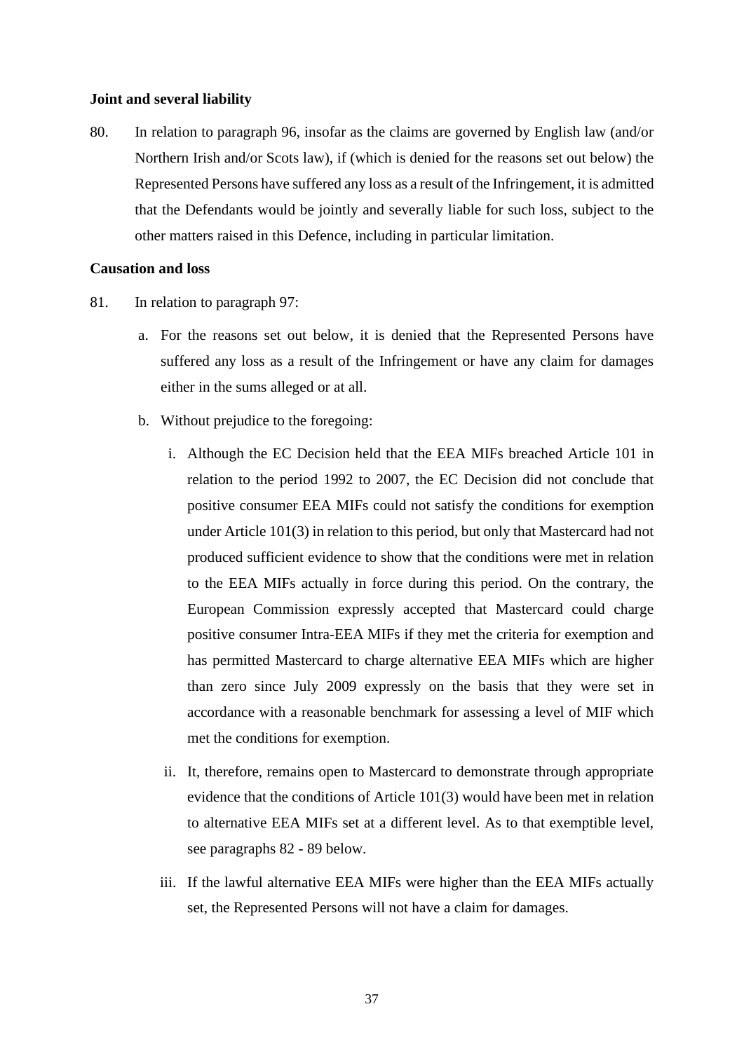#### **Joint and several liability**

80. In relation to paragraph 96, insofar as the claims are governed by English law (and/or Northern Irish and/or Scots law), if (which is denied for the reasons set out below) the Represented Persons have suffered any loss as a result of the Infringement, it is admitted that the Defendants would be jointly and severally liable for such loss, subject to the other matters raised in this Defence, including in particular limitation.

# **Causation and loss**

- 81. In relation to paragraph 97:
	- a. For the reasons set out below, it is denied that the Represented Persons have suffered any loss as a result of the Infringement or have any claim for damages either in the sums alleged or at all.
	- b. Without prejudice to the foregoing:
		- i. Although the EC Decision held that the EEA MIFs breached Article 101 in relation to the period 1992 to 2007, the EC Decision did not conclude that positive consumer EEA MIFs could not satisfy the conditions for exemption under Article 101(3) in relation to this period, but only that Mastercard had not produced sufficient evidence to show that the conditions were met in relation to the EEA MIFs actually in force during this period. On the contrary, the European Commission expressly accepted that Mastercard could charge positive consumer Intra-EEA MIFs if they met the criteria for exemption and has permitted Mastercard to charge alternative EEA MIFs which are higher than zero since July 2009 expressly on the basis that they were set in accordance with a reasonable benchmark for assessing a level of MIF which met the conditions for exemption.
		- ii. It, therefore, remains open to Mastercard to demonstrate through appropriate evidence that the conditions of Article 101(3) would have been met in relation to alternative EEA MIFs set at a different level. As to that exemptible level, see paragraphs 82 - 89 below.
		- iii. If the lawful alternative EEA MIFs were higher than the EEA MIFs actually set, the Represented Persons will not have a claim for damages.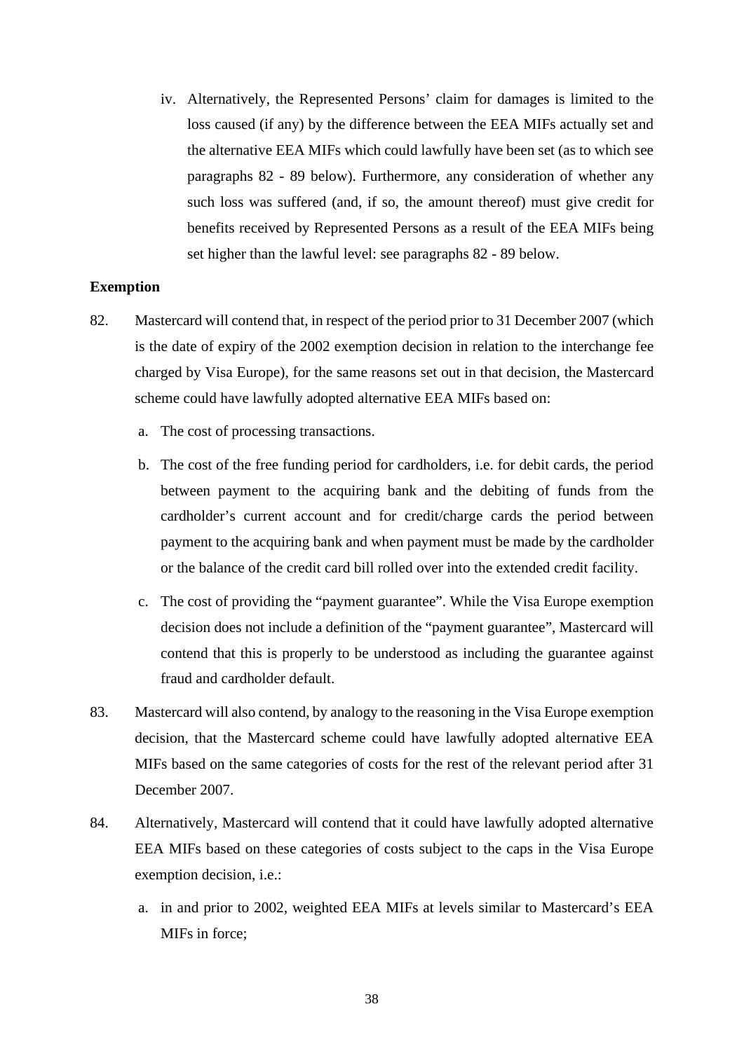iv. Alternatively, the Represented Persons' claim for damages is limited to the loss caused (if any) by the difference between the EEA MIFs actually set and the alternative EEA MIFs which could lawfully have been set (as to which see paragraphs 82 - 89 below). Furthermore, any consideration of whether any such loss was suffered (and, if so, the amount thereof) must give credit for benefits received by Represented Persons as a result of the EEA MIFs being set higher than the lawful level: see paragraphs 82 - 89 below.

### **Exemption**

- 82. Mastercard will contend that, in respect of the period prior to 31 December 2007 (which is the date of expiry of the 2002 exemption decision in relation to the interchange fee charged by Visa Europe), for the same reasons set out in that decision, the Mastercard scheme could have lawfully adopted alternative EEA MIFs based on:
	- a. The cost of processing transactions.
	- b. The cost of the free funding period for cardholders, i.e. for debit cards, the period between payment to the acquiring bank and the debiting of funds from the cardholder's current account and for credit/charge cards the period between payment to the acquiring bank and when payment must be made by the cardholder or the balance of the credit card bill rolled over into the extended credit facility.
	- c. The cost of providing the "payment guarantee". While the Visa Europe exemption decision does not include a definition of the "payment guarantee", Mastercard will contend that this is properly to be understood as including the guarantee against fraud and cardholder default.
- 83. Mastercard will also contend, by analogy to the reasoning in the Visa Europe exemption decision, that the Mastercard scheme could have lawfully adopted alternative EEA MIFs based on the same categories of costs for the rest of the relevant period after 31 December 2007.
- 84. Alternatively, Mastercard will contend that it could have lawfully adopted alternative EEA MIFs based on these categories of costs subject to the caps in the Visa Europe exemption decision, i.e.:
	- a. in and prior to 2002, weighted EEA MIFs at levels similar to Mastercard's EEA MIFs in force;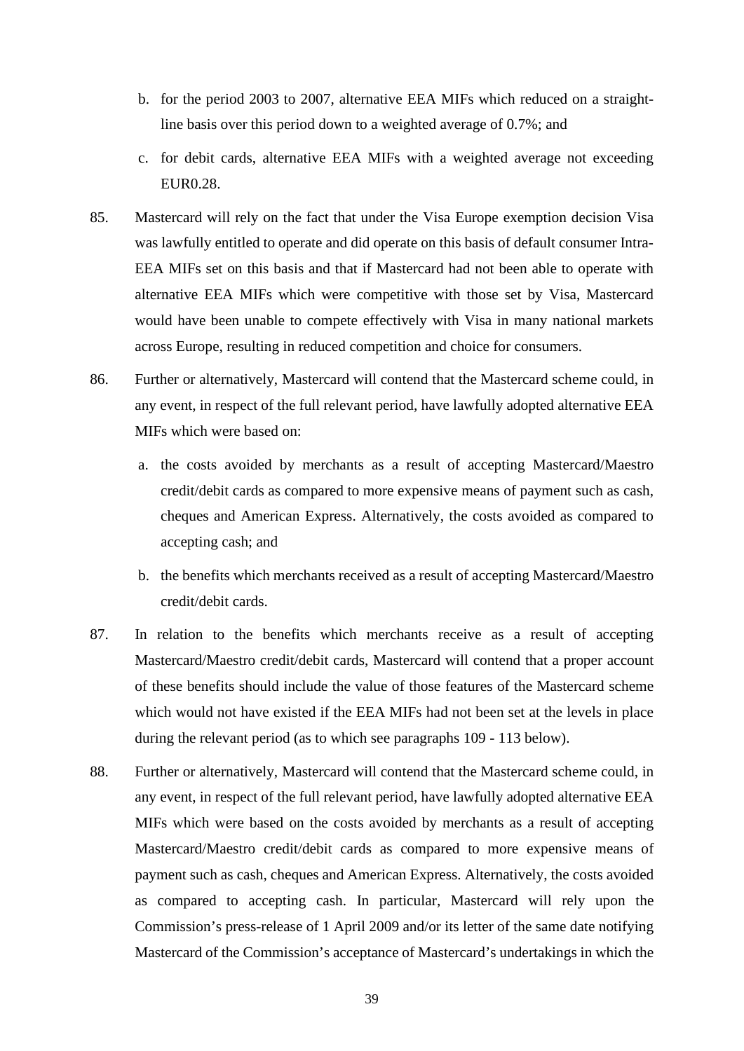- b. for the period 2003 to 2007, alternative EEA MIFs which reduced on a straightline basis over this period down to a weighted average of 0.7%; and
- c. for debit cards, alternative EEA MIFs with a weighted average not exceeding EUR0.28.
- 85. Mastercard will rely on the fact that under the Visa Europe exemption decision Visa was lawfully entitled to operate and did operate on this basis of default consumer Intra-EEA MIFs set on this basis and that if Mastercard had not been able to operate with alternative EEA MIFs which were competitive with those set by Visa, Mastercard would have been unable to compete effectively with Visa in many national markets across Europe, resulting in reduced competition and choice for consumers.
- 86. Further or alternatively, Mastercard will contend that the Mastercard scheme could, in any event, in respect of the full relevant period, have lawfully adopted alternative EEA MIFs which were based on:
	- a. the costs avoided by merchants as a result of accepting Mastercard/Maestro credit/debit cards as compared to more expensive means of payment such as cash, cheques and American Express. Alternatively, the costs avoided as compared to accepting cash; and
	- b. the benefits which merchants received as a result of accepting Mastercard/Maestro credit/debit cards.
- 87. In relation to the benefits which merchants receive as a result of accepting Mastercard/Maestro credit/debit cards, Mastercard will contend that a proper account of these benefits should include the value of those features of the Mastercard scheme which would not have existed if the EEA MIFs had not been set at the levels in place during the relevant period (as to which see paragraphs 109 - 113 below).
- 88. Further or alternatively, Mastercard will contend that the Mastercard scheme could, in any event, in respect of the full relevant period, have lawfully adopted alternative EEA MIFs which were based on the costs avoided by merchants as a result of accepting Mastercard/Maestro credit/debit cards as compared to more expensive means of payment such as cash, cheques and American Express. Alternatively, the costs avoided as compared to accepting cash. In particular, Mastercard will rely upon the Commission's press-release of 1 April 2009 and/or its letter of the same date notifying Mastercard of the Commission's acceptance of Mastercard's undertakings in which the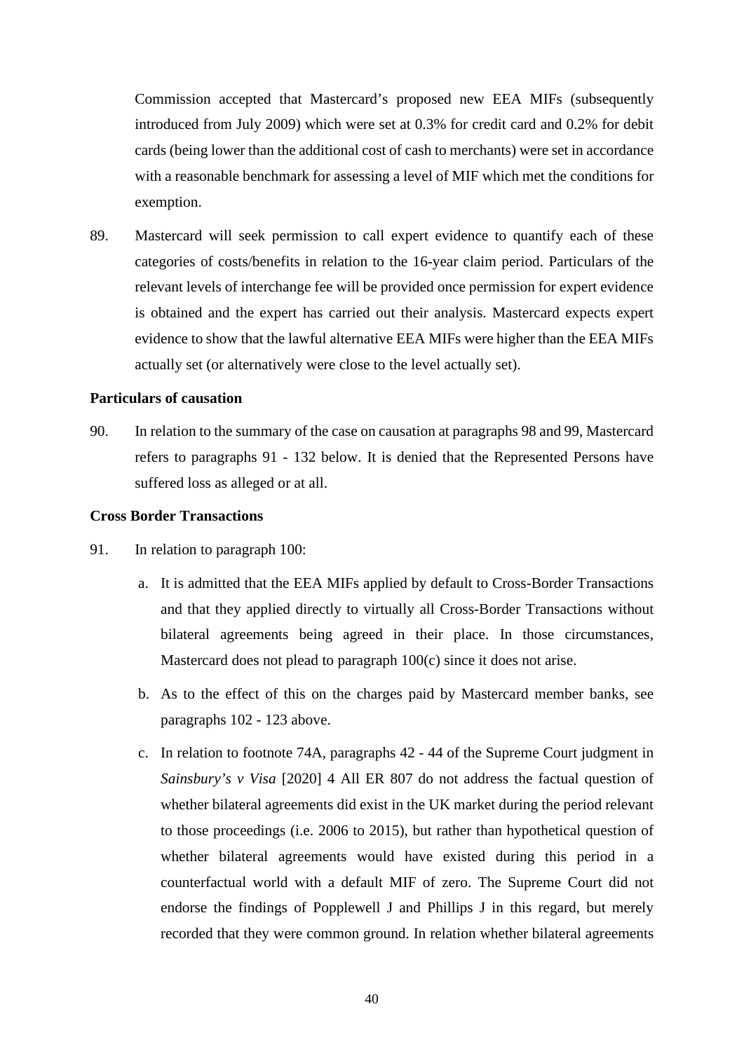Commission accepted that Mastercard's proposed new EEA MIFs (subsequently introduced from July 2009) which were set at 0.3% for credit card and 0.2% for debit cards (being lower than the additional cost of cash to merchants) were set in accordance with a reasonable benchmark for assessing a level of MIF which met the conditions for exemption.

89. Mastercard will seek permission to call expert evidence to quantify each of these categories of costs/benefits in relation to the 16-year claim period. Particulars of the relevant levels of interchange fee will be provided once permission for expert evidence is obtained and the expert has carried out their analysis. Mastercard expects expert evidence to show that the lawful alternative EEA MIFs were higher than the EEA MIFs actually set (or alternatively were close to the level actually set).

# **Particulars of causation**

90. In relation to the summary of the case on causation at paragraphs 98 and 99, Mastercard refers to paragraphs 91 - 132 below. It is denied that the Represented Persons have suffered loss as alleged or at all.

# **Cross Border Transactions**

- 91. In relation to paragraph 100:
	- a. It is admitted that the EEA MIFs applied by default to Cross-Border Transactions and that they applied directly to virtually all Cross-Border Transactions without bilateral agreements being agreed in their place. In those circumstances, Mastercard does not plead to paragraph 100(c) since it does not arise.
	- b. As to the effect of this on the charges paid by Mastercard member banks, see paragraphs 102 - 123 above.
	- c. In relation to footnote 74A, paragraphs 42 44 of the Supreme Court judgment in *Sainsbury's v Visa* [2020] 4 All ER 807 do not address the factual question of whether bilateral agreements did exist in the UK market during the period relevant to those proceedings (i.e. 2006 to 2015), but rather than hypothetical question of whether bilateral agreements would have existed during this period in a counterfactual world with a default MIF of zero. The Supreme Court did not endorse the findings of Popplewell J and Phillips J in this regard, but merely recorded that they were common ground. In relation whether bilateral agreements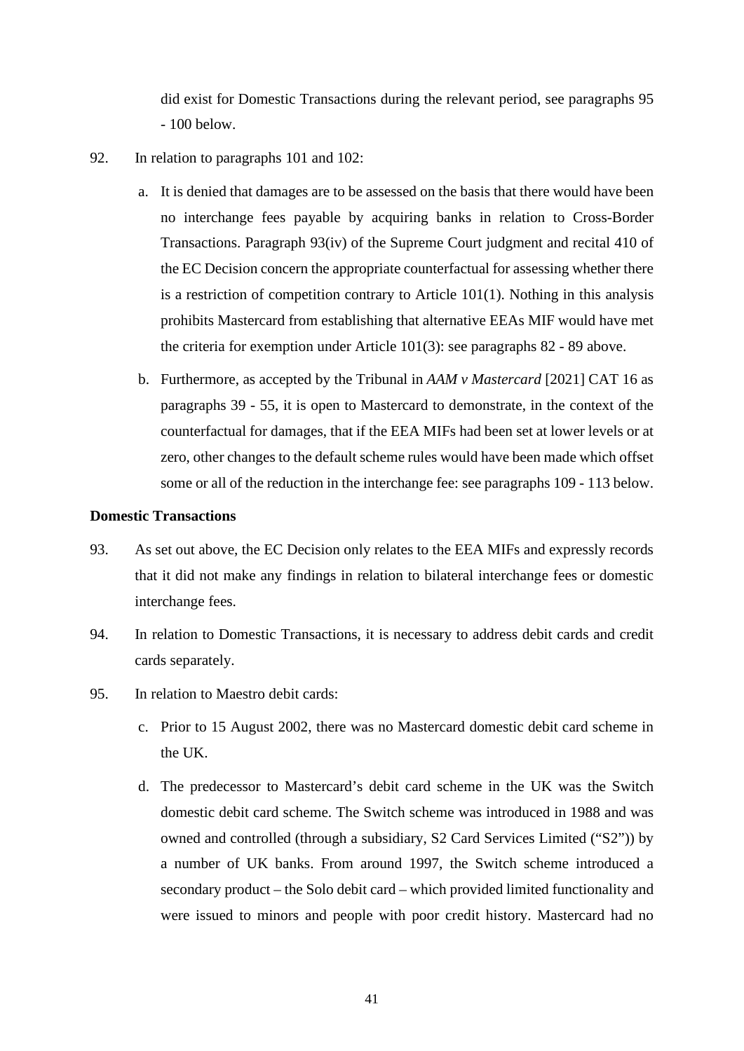did exist for Domestic Transactions during the relevant period, see paragraphs 95 - 100 below.

- 92. In relation to paragraphs 101 and 102:
	- a. It is denied that damages are to be assessed on the basis that there would have been no interchange fees payable by acquiring banks in relation to Cross-Border Transactions. Paragraph 93(iv) of the Supreme Court judgment and recital 410 of the EC Decision concern the appropriate counterfactual for assessing whether there is a restriction of competition contrary to Article 101(1). Nothing in this analysis prohibits Mastercard from establishing that alternative EEAs MIF would have met the criteria for exemption under Article 101(3): see paragraphs 82 - 89 above.
	- b. Furthermore, as accepted by the Tribunal in *AAM v Mastercard* [2021] CAT 16 as paragraphs 39 - 55, it is open to Mastercard to demonstrate, in the context of the counterfactual for damages, that if the EEA MIFs had been set at lower levels or at zero, other changes to the default scheme rules would have been made which offset some or all of the reduction in the interchange fee: see paragraphs 109 - 113 below.

# **Domestic Transactions**

- 93. As set out above, the EC Decision only relates to the EEA MIFs and expressly records that it did not make any findings in relation to bilateral interchange fees or domestic interchange fees.
- 94. In relation to Domestic Transactions, it is necessary to address debit cards and credit cards separately.
- 95. In relation to Maestro debit cards:
	- c. Prior to 15 August 2002, there was no Mastercard domestic debit card scheme in the UK.
	- d. The predecessor to Mastercard's debit card scheme in the UK was the Switch domestic debit card scheme. The Switch scheme was introduced in 1988 and was owned and controlled (through a subsidiary, S2 Card Services Limited ("S2")) by a number of UK banks. From around 1997, the Switch scheme introduced a secondary product – the Solo debit card – which provided limited functionality and were issued to minors and people with poor credit history. Mastercard had no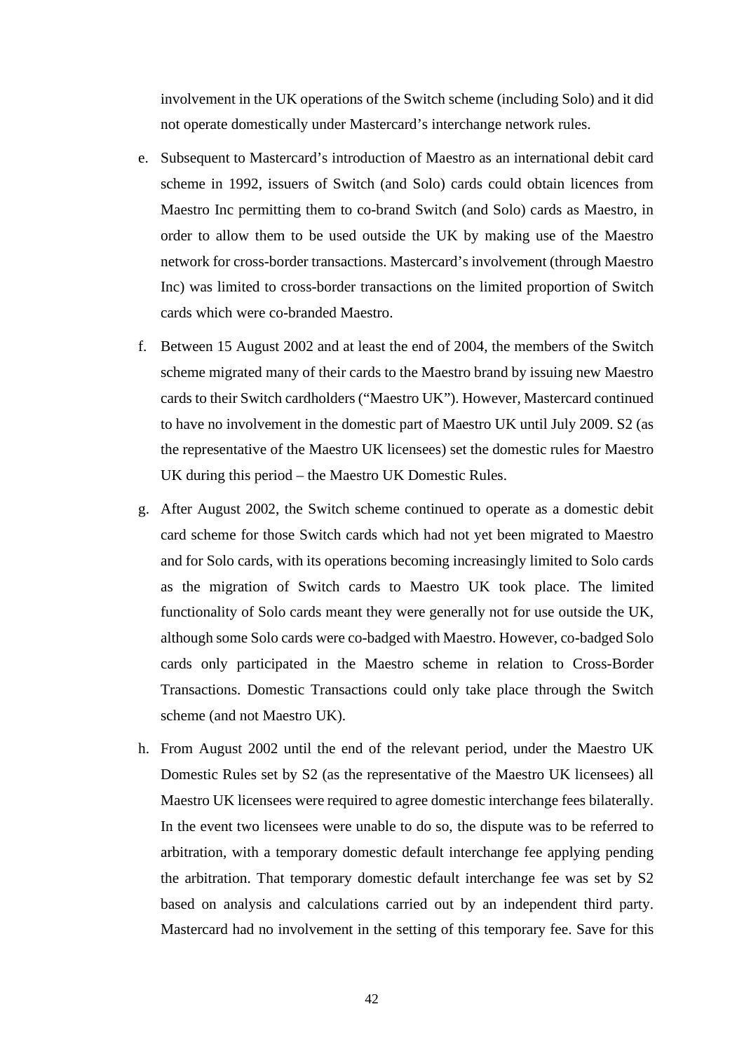involvement in the UK operations of the Switch scheme (including Solo) and it did not operate domestically under Mastercard's interchange network rules.

- e. Subsequent to Mastercard's introduction of Maestro as an international debit card scheme in 1992, issuers of Switch (and Solo) cards could obtain licences from Maestro Inc permitting them to co-brand Switch (and Solo) cards as Maestro, in order to allow them to be used outside the UK by making use of the Maestro network for cross-border transactions. Mastercard's involvement (through Maestro Inc) was limited to cross-border transactions on the limited proportion of Switch cards which were co-branded Maestro.
- f. Between 15 August 2002 and at least the end of 2004, the members of the Switch scheme migrated many of their cards to the Maestro brand by issuing new Maestro cards to their Switch cardholders ("Maestro UK"). However, Mastercard continued to have no involvement in the domestic part of Maestro UK until July 2009. S2 (as the representative of the Maestro UK licensees) set the domestic rules for Maestro UK during this period – the Maestro UK Domestic Rules.
- g. After August 2002, the Switch scheme continued to operate as a domestic debit card scheme for those Switch cards which had not yet been migrated to Maestro and for Solo cards, with its operations becoming increasingly limited to Solo cards as the migration of Switch cards to Maestro UK took place. The limited functionality of Solo cards meant they were generally not for use outside the UK, although some Solo cards were co-badged with Maestro. However, co-badged Solo cards only participated in the Maestro scheme in relation to Cross-Border Transactions. Domestic Transactions could only take place through the Switch scheme (and not Maestro UK).
- h. From August 2002 until the end of the relevant period, under the Maestro UK Domestic Rules set by S2 (as the representative of the Maestro UK licensees) all Maestro UK licensees were required to agree domestic interchange fees bilaterally. In the event two licensees were unable to do so, the dispute was to be referred to arbitration, with a temporary domestic default interchange fee applying pending the arbitration. That temporary domestic default interchange fee was set by S2 based on analysis and calculations carried out by an independent third party. Mastercard had no involvement in the setting of this temporary fee. Save for this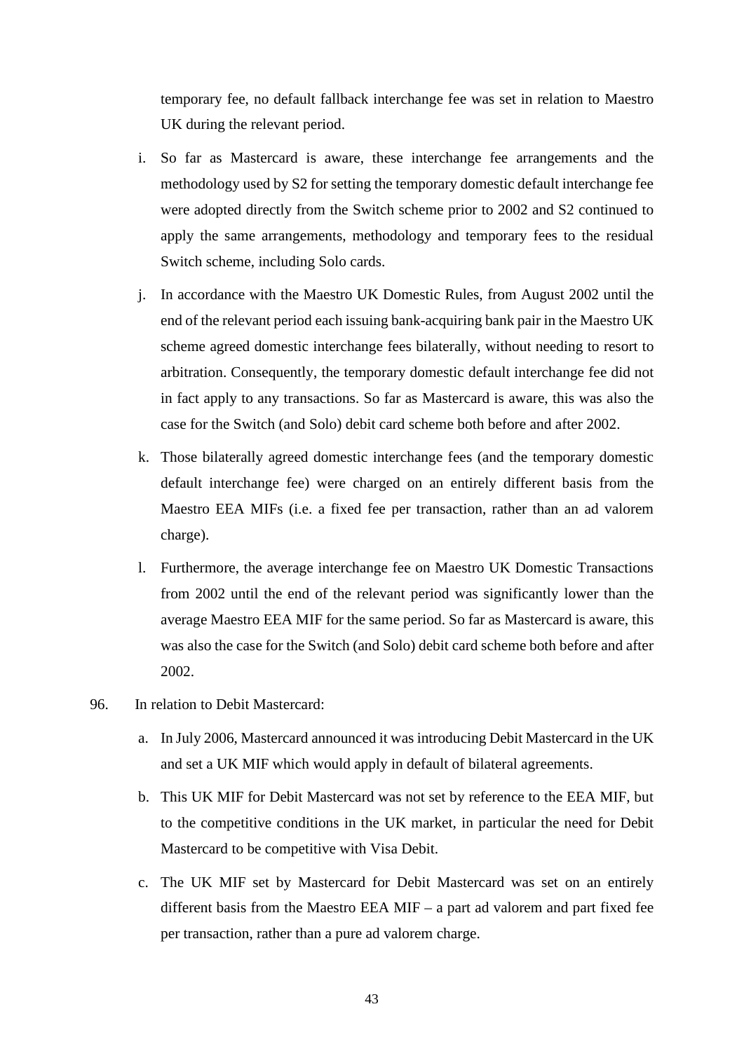temporary fee, no default fallback interchange fee was set in relation to Maestro UK during the relevant period.

- i. So far as Mastercard is aware, these interchange fee arrangements and the methodology used by S2 for setting the temporary domestic default interchange fee were adopted directly from the Switch scheme prior to 2002 and S2 continued to apply the same arrangements, methodology and temporary fees to the residual Switch scheme, including Solo cards.
- j. In accordance with the Maestro UK Domestic Rules, from August 2002 until the end of the relevant period each issuing bank-acquiring bank pair in the Maestro UK scheme agreed domestic interchange fees bilaterally, without needing to resort to arbitration. Consequently, the temporary domestic default interchange fee did not in fact apply to any transactions. So far as Mastercard is aware, this was also the case for the Switch (and Solo) debit card scheme both before and after 2002.
- k. Those bilaterally agreed domestic interchange fees (and the temporary domestic default interchange fee) were charged on an entirely different basis from the Maestro EEA MIFs (i.e. a fixed fee per transaction, rather than an ad valorem charge).
- l. Furthermore, the average interchange fee on Maestro UK Domestic Transactions from 2002 until the end of the relevant period was significantly lower than the average Maestro EEA MIF for the same period. So far as Mastercard is aware, this was also the case for the Switch (and Solo) debit card scheme both before and after 2002.
- 96. In relation to Debit Mastercard:
	- a. In July 2006, Mastercard announced it was introducing Debit Mastercard in the UK and set a UK MIF which would apply in default of bilateral agreements.
	- b. This UK MIF for Debit Mastercard was not set by reference to the EEA MIF, but to the competitive conditions in the UK market, in particular the need for Debit Mastercard to be competitive with Visa Debit.
	- c. The UK MIF set by Mastercard for Debit Mastercard was set on an entirely different basis from the Maestro EEA MIF – a part ad valorem and part fixed fee per transaction, rather than a pure ad valorem charge.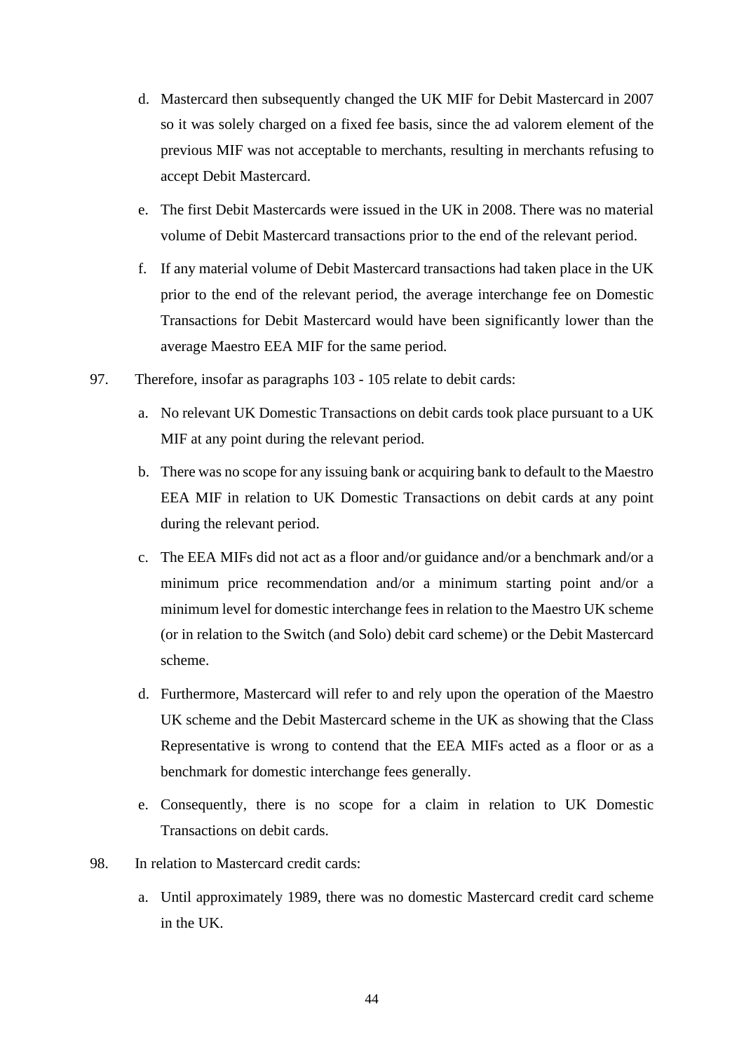- d. Mastercard then subsequently changed the UK MIF for Debit Mastercard in 2007 so it was solely charged on a fixed fee basis, since the ad valorem element of the previous MIF was not acceptable to merchants, resulting in merchants refusing to accept Debit Mastercard.
- e. The first Debit Mastercards were issued in the UK in 2008. There was no material volume of Debit Mastercard transactions prior to the end of the relevant period.
- f. If any material volume of Debit Mastercard transactions had taken place in the UK prior to the end of the relevant period, the average interchange fee on Domestic Transactions for Debit Mastercard would have been significantly lower than the average Maestro EEA MIF for the same period.
- 97. Therefore, insofar as paragraphs 103 105 relate to debit cards:
	- a. No relevant UK Domestic Transactions on debit cards took place pursuant to a UK MIF at any point during the relevant period.
	- b. There was no scope for any issuing bank or acquiring bank to default to the Maestro EEA MIF in relation to UK Domestic Transactions on debit cards at any point during the relevant period.
	- c. The EEA MIFs did not act as a floor and/or guidance and/or a benchmark and/or a minimum price recommendation and/or a minimum starting point and/or a minimum level for domestic interchange fees in relation to the Maestro UK scheme (or in relation to the Switch (and Solo) debit card scheme) or the Debit Mastercard scheme.
	- d. Furthermore, Mastercard will refer to and rely upon the operation of the Maestro UK scheme and the Debit Mastercard scheme in the UK as showing that the Class Representative is wrong to contend that the EEA MIFs acted as a floor or as a benchmark for domestic interchange fees generally.
	- e. Consequently, there is no scope for a claim in relation to UK Domestic Transactions on debit cards.
- 98. In relation to Mastercard credit cards:
	- a. Until approximately 1989, there was no domestic Mastercard credit card scheme in the UK.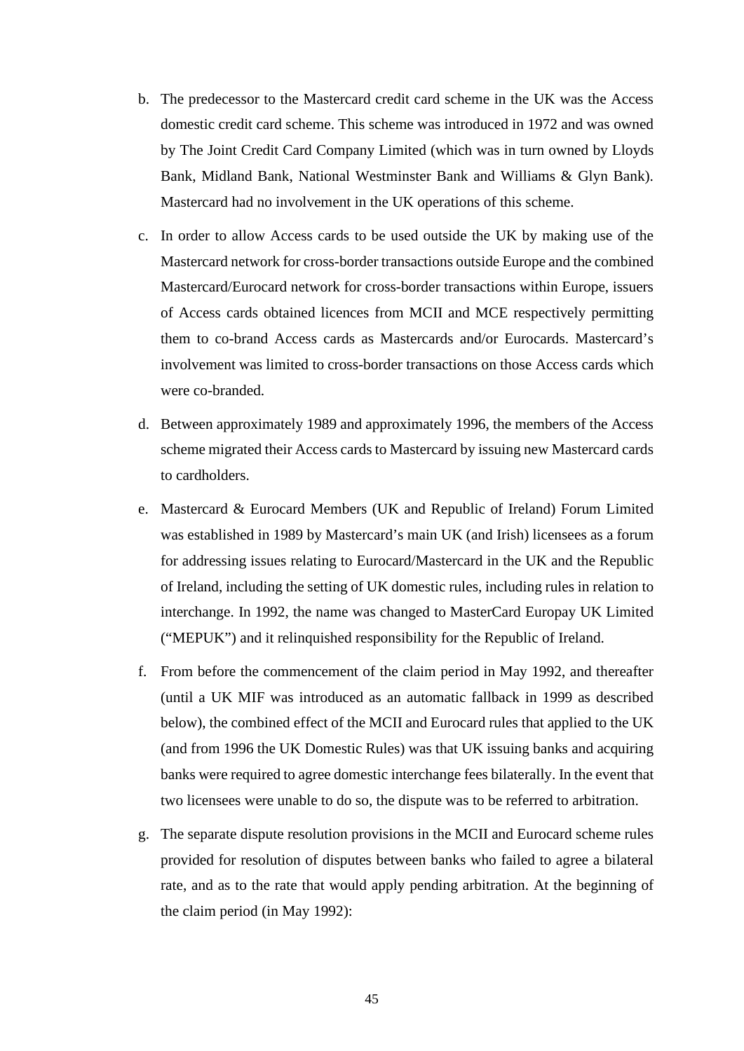- b. The predecessor to the Mastercard credit card scheme in the UK was the Access domestic credit card scheme. This scheme was introduced in 1972 and was owned by The Joint Credit Card Company Limited (which was in turn owned by Lloyds Bank, Midland Bank, National Westminster Bank and Williams & Glyn Bank). Mastercard had no involvement in the UK operations of this scheme.
- c. In order to allow Access cards to be used outside the UK by making use of the Mastercard network for cross-border transactions outside Europe and the combined Mastercard/Eurocard network for cross-border transactions within Europe, issuers of Access cards obtained licences from MCII and MCE respectively permitting them to co-brand Access cards as Mastercards and/or Eurocards. Mastercard's involvement was limited to cross-border transactions on those Access cards which were co-branded.
- d. Between approximately 1989 and approximately 1996, the members of the Access scheme migrated their Access cards to Mastercard by issuing new Mastercard cards to cardholders.
- e. Mastercard & Eurocard Members (UK and Republic of Ireland) Forum Limited was established in 1989 by Mastercard's main UK (and Irish) licensees as a forum for addressing issues relating to Eurocard/Mastercard in the UK and the Republic of Ireland, including the setting of UK domestic rules, including rules in relation to interchange. In 1992, the name was changed to MasterCard Europay UK Limited ("MEPUK") and it relinquished responsibility for the Republic of Ireland.
- f. From before the commencement of the claim period in May 1992, and thereafter (until a UK MIF was introduced as an automatic fallback in 1999 as described below), the combined effect of the MCII and Eurocard rules that applied to the UK (and from 1996 the UK Domestic Rules) was that UK issuing banks and acquiring banks were required to agree domestic interchange fees bilaterally. In the event that two licensees were unable to do so, the dispute was to be referred to arbitration.
- g. The separate dispute resolution provisions in the MCII and Eurocard scheme rules provided for resolution of disputes between banks who failed to agree a bilateral rate, and as to the rate that would apply pending arbitration. At the beginning of the claim period (in May 1992):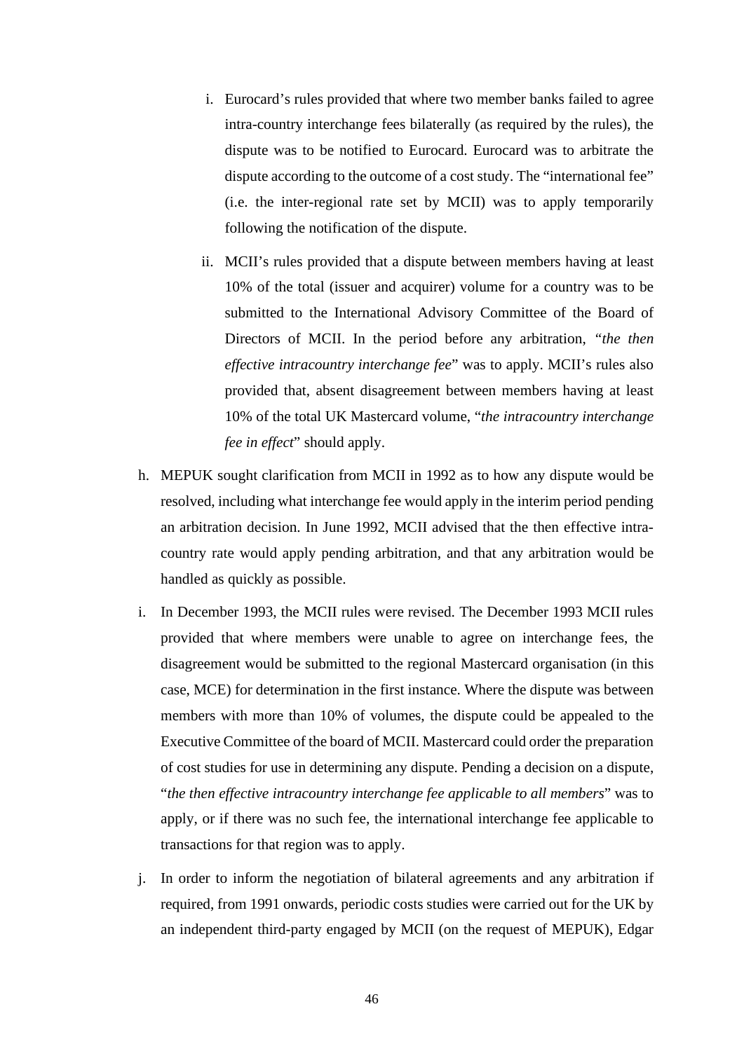- i. Eurocard's rules provided that where two member banks failed to agree intra-country interchange fees bilaterally (as required by the rules), the dispute was to be notified to Eurocard. Eurocard was to arbitrate the dispute according to the outcome of a cost study. The "international fee" (i.e. the inter-regional rate set by MCII) was to apply temporarily following the notification of the dispute.
- ii. MCII's rules provided that a dispute between members having at least 10% of the total (issuer and acquirer) volume for a country was to be submitted to the International Advisory Committee of the Board of Directors of MCII. In the period before any arbitration, *"the then effective intracountry interchange fee*" was to apply. MCII's rules also provided that, absent disagreement between members having at least 10% of the total UK Mastercard volume, "*the intracountry interchange fee in effect*" should apply.
- h. MEPUK sought clarification from MCII in 1992 as to how any dispute would be resolved, including what interchange fee would apply in the interim period pending an arbitration decision. In June 1992, MCII advised that the then effective intracountry rate would apply pending arbitration, and that any arbitration would be handled as quickly as possible.
- i. In December 1993, the MCII rules were revised. The December 1993 MCII rules provided that where members were unable to agree on interchange fees, the disagreement would be submitted to the regional Mastercard organisation (in this case, MCE) for determination in the first instance. Where the dispute was between members with more than 10% of volumes, the dispute could be appealed to the Executive Committee of the board of MCII. Mastercard could order the preparation of cost studies for use in determining any dispute. Pending a decision on a dispute, "*the then effective intracountry interchange fee applicable to all members*" was to apply, or if there was no such fee, the international interchange fee applicable to transactions for that region was to apply.
- j. In order to inform the negotiation of bilateral agreements and any arbitration if required, from 1991 onwards, periodic costs studies were carried out for the UK by an independent third-party engaged by MCII (on the request of MEPUK), Edgar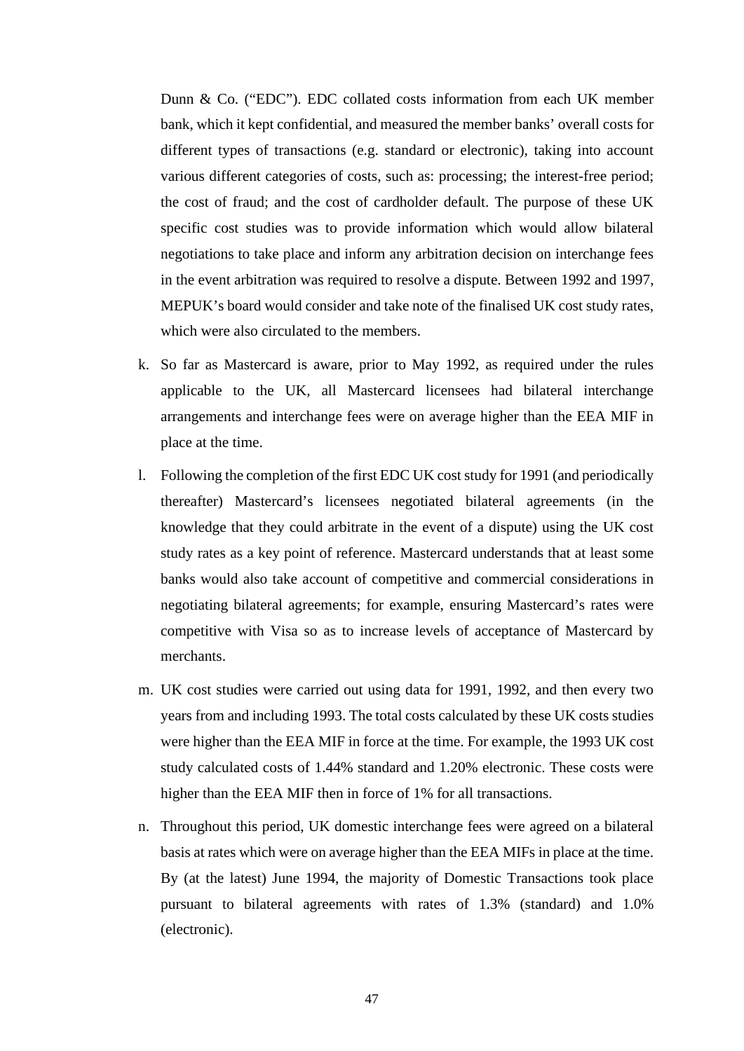Dunn & Co. ("EDC"). EDC collated costs information from each UK member bank, which it kept confidential, and measured the member banks' overall costs for different types of transactions (e.g. standard or electronic), taking into account various different categories of costs, such as: processing; the interest-free period; the cost of fraud; and the cost of cardholder default. The purpose of these UK specific cost studies was to provide information which would allow bilateral negotiations to take place and inform any arbitration decision on interchange fees in the event arbitration was required to resolve a dispute. Between 1992 and 1997, MEPUK's board would consider and take note of the finalised UK cost study rates, which were also circulated to the members.

- k. So far as Mastercard is aware, prior to May 1992, as required under the rules applicable to the UK, all Mastercard licensees had bilateral interchange arrangements and interchange fees were on average higher than the EEA MIF in place at the time.
- l. Following the completion of the first EDC UK cost study for 1991 (and periodically thereafter) Mastercard's licensees negotiated bilateral agreements (in the knowledge that they could arbitrate in the event of a dispute) using the UK cost study rates as a key point of reference. Mastercard understands that at least some banks would also take account of competitive and commercial considerations in negotiating bilateral agreements; for example, ensuring Mastercard's rates were competitive with Visa so as to increase levels of acceptance of Mastercard by merchants.
- m. UK cost studies were carried out using data for 1991, 1992, and then every two years from and including 1993. The total costs calculated by these UK costs studies were higher than the EEA MIF in force at the time. For example, the 1993 UK cost study calculated costs of 1.44% standard and 1.20% electronic. These costs were higher than the EEA MIF then in force of 1% for all transactions.
- n. Throughout this period, UK domestic interchange fees were agreed on a bilateral basis at rates which were on average higher than the EEA MIFs in place at the time. By (at the latest) June 1994, the majority of Domestic Transactions took place pursuant to bilateral agreements with rates of 1.3% (standard) and 1.0% (electronic).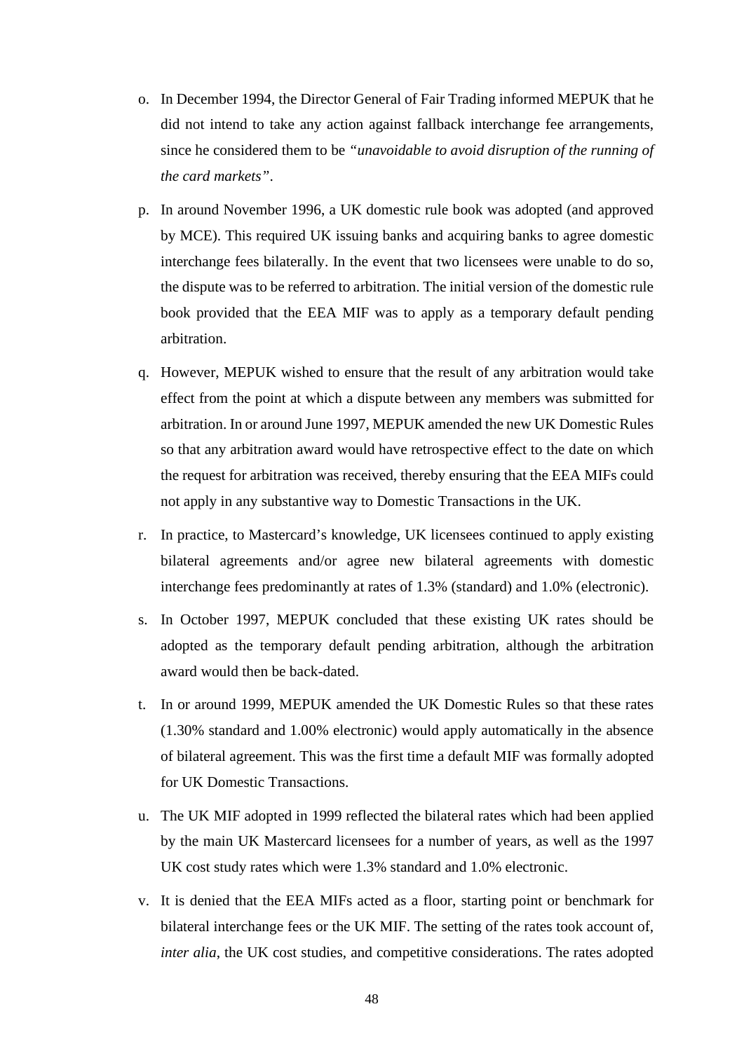- o. In December 1994, the Director General of Fair Trading informed MEPUK that he did not intend to take any action against fallback interchange fee arrangements, since he considered them to be *"unavoidable to avoid disruption of the running of the card markets"*.
- p. In around November 1996, a UK domestic rule book was adopted (and approved by MCE). This required UK issuing banks and acquiring banks to agree domestic interchange fees bilaterally. In the event that two licensees were unable to do so, the dispute was to be referred to arbitration. The initial version of the domestic rule book provided that the EEA MIF was to apply as a temporary default pending arbitration.
- q. However, MEPUK wished to ensure that the result of any arbitration would take effect from the point at which a dispute between any members was submitted for arbitration. In or around June 1997, MEPUK amended the new UK Domestic Rules so that any arbitration award would have retrospective effect to the date on which the request for arbitration was received, thereby ensuring that the EEA MIFs could not apply in any substantive way to Domestic Transactions in the UK.
- r. In practice, to Mastercard's knowledge, UK licensees continued to apply existing bilateral agreements and/or agree new bilateral agreements with domestic interchange fees predominantly at rates of 1.3% (standard) and 1.0% (electronic).
- s. In October 1997, MEPUK concluded that these existing UK rates should be adopted as the temporary default pending arbitration, although the arbitration award would then be back-dated.
- t. In or around 1999, MEPUK amended the UK Domestic Rules so that these rates (1.30% standard and 1.00% electronic) would apply automatically in the absence of bilateral agreement. This was the first time a default MIF was formally adopted for UK Domestic Transactions.
- u. The UK MIF adopted in 1999 reflected the bilateral rates which had been applied by the main UK Mastercard licensees for a number of years, as well as the 1997 UK cost study rates which were 1.3% standard and 1.0% electronic.
- v. It is denied that the EEA MIFs acted as a floor, starting point or benchmark for bilateral interchange fees or the UK MIF. The setting of the rates took account of, *inter alia*, the UK cost studies, and competitive considerations. The rates adopted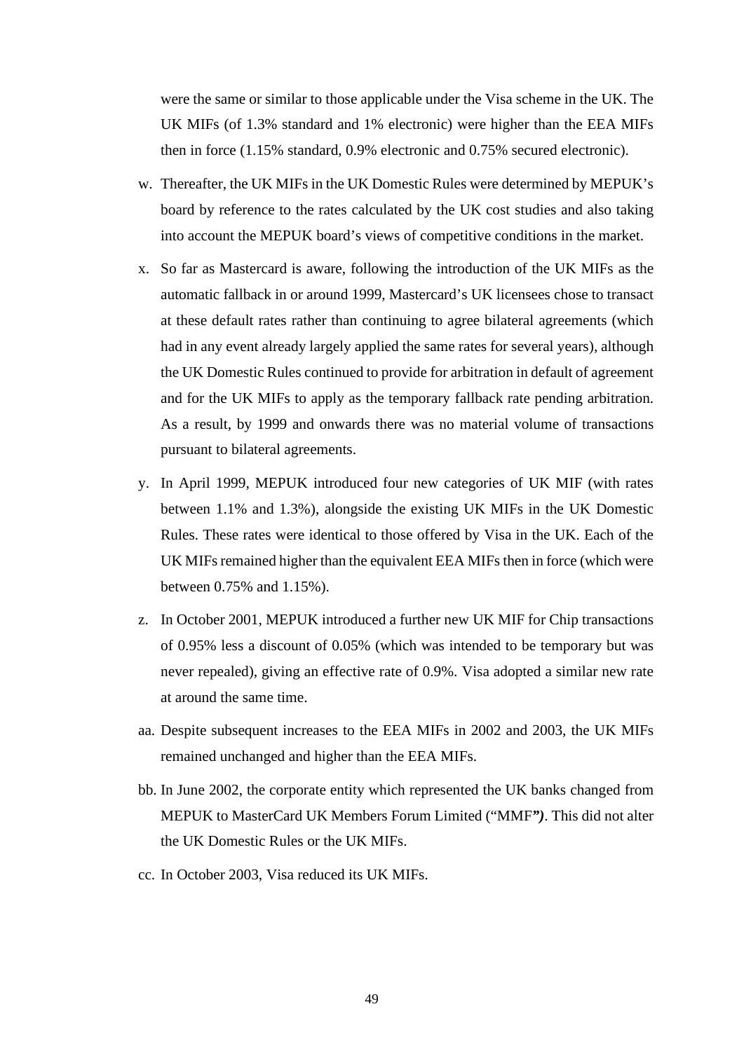were the same or similar to those applicable under the Visa scheme in the UK. The UK MIFs (of 1.3% standard and 1% electronic) were higher than the EEA MIFs then in force (1.15% standard, 0.9% electronic and 0.75% secured electronic).

- w. Thereafter, the UK MIFs in the UK Domestic Rules were determined by MEPUK's board by reference to the rates calculated by the UK cost studies and also taking into account the MEPUK board's views of competitive conditions in the market.
- x. So far as Mastercard is aware, following the introduction of the UK MIFs as the automatic fallback in or around 1999, Mastercard's UK licensees chose to transact at these default rates rather than continuing to agree bilateral agreements (which had in any event already largely applied the same rates for several years), although the UK Domestic Rules continued to provide for arbitration in default of agreement and for the UK MIFs to apply as the temporary fallback rate pending arbitration. As a result, by 1999 and onwards there was no material volume of transactions pursuant to bilateral agreements.
- y. In April 1999, MEPUK introduced four new categories of UK MIF (with rates between 1.1% and 1.3%), alongside the existing UK MIFs in the UK Domestic Rules. These rates were identical to those offered by Visa in the UK. Each of the UK MIFs remained higher than the equivalent EEA MIFs then in force (which were between 0.75% and 1.15%).
- z. In October 2001, MEPUK introduced a further new UK MIF for Chip transactions of 0.95% less a discount of 0.05% (which was intended to be temporary but was never repealed), giving an effective rate of 0.9%. Visa adopted a similar new rate at around the same time.
- aa. Despite subsequent increases to the EEA MIFs in 2002 and 2003, the UK MIFs remained unchanged and higher than the EEA MIFs.
- bb. In June 2002, the corporate entity which represented the UK banks changed from MEPUK to MasterCard UK Members Forum Limited ("MMF*")*. This did not alter the UK Domestic Rules or the UK MIFs.
- cc. In October 2003, Visa reduced its UK MIFs.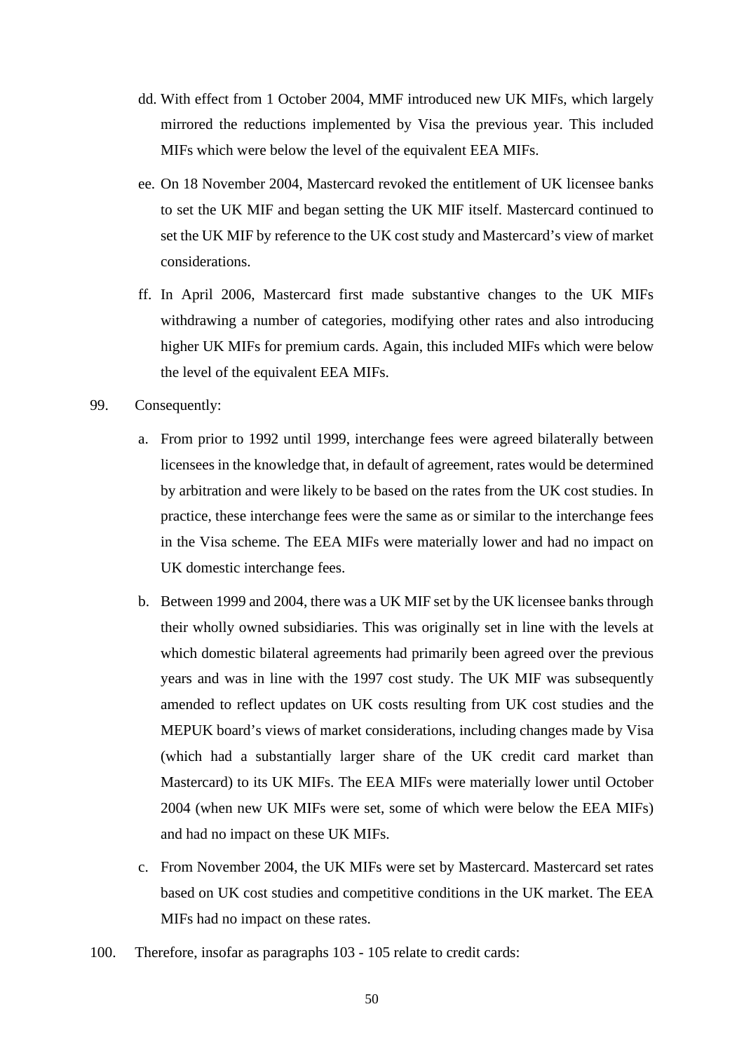- dd. With effect from 1 October 2004, MMF introduced new UK MIFs, which largely mirrored the reductions implemented by Visa the previous year. This included MIFs which were below the level of the equivalent EEA MIFs.
- ee. On 18 November 2004, Mastercard revoked the entitlement of UK licensee banks to set the UK MIF and began setting the UK MIF itself. Mastercard continued to set the UK MIF by reference to the UK cost study and Mastercard's view of market considerations.
- ff. In April 2006, Mastercard first made substantive changes to the UK MIFs withdrawing a number of categories, modifying other rates and also introducing higher UK MIFs for premium cards. Again, this included MIFs which were below the level of the equivalent EEA MIFs.
- 99. Consequently:
	- a. From prior to 1992 until 1999, interchange fees were agreed bilaterally between licensees in the knowledge that, in default of agreement, rates would be determined by arbitration and were likely to be based on the rates from the UK cost studies. In practice, these interchange fees were the same as or similar to the interchange fees in the Visa scheme. The EEA MIFs were materially lower and had no impact on UK domestic interchange fees.
	- b. Between 1999 and 2004, there was a UK MIF set by the UK licensee banks through their wholly owned subsidiaries. This was originally set in line with the levels at which domestic bilateral agreements had primarily been agreed over the previous years and was in line with the 1997 cost study. The UK MIF was subsequently amended to reflect updates on UK costs resulting from UK cost studies and the MEPUK board's views of market considerations, including changes made by Visa (which had a substantially larger share of the UK credit card market than Mastercard) to its UK MIFs. The EEA MIFs were materially lower until October 2004 (when new UK MIFs were set, some of which were below the EEA MIFs) and had no impact on these UK MIFs.
	- c. From November 2004, the UK MIFs were set by Mastercard. Mastercard set rates based on UK cost studies and competitive conditions in the UK market. The EEA MIFs had no impact on these rates.
- 100. Therefore, insofar as paragraphs 103 105 relate to credit cards: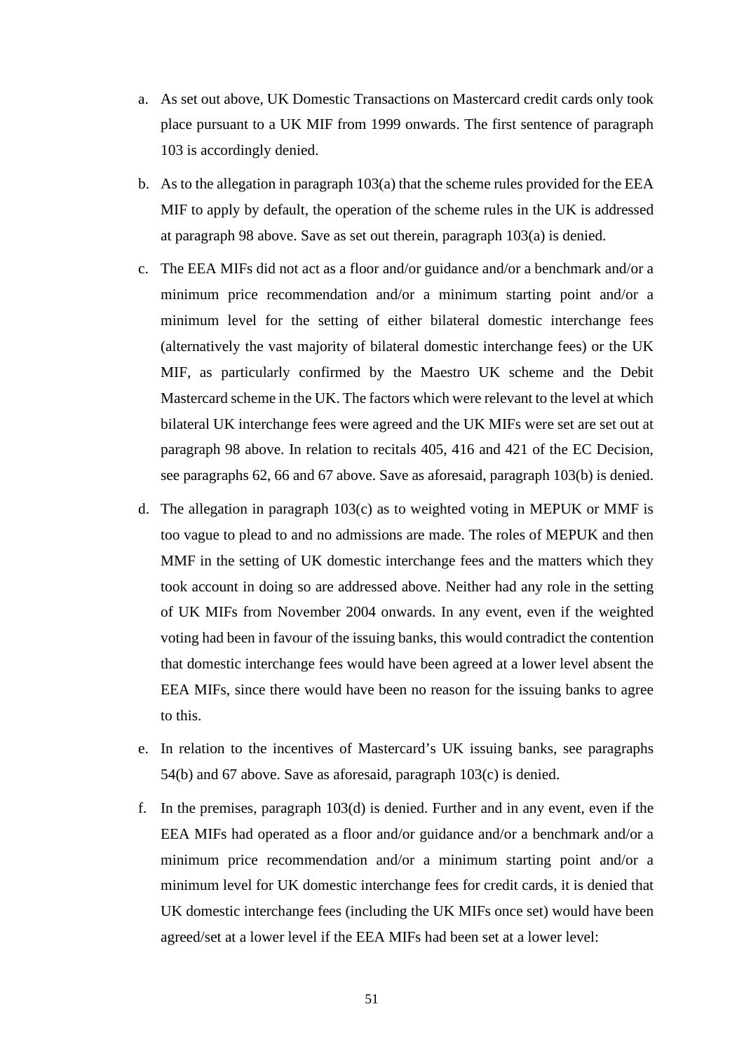- a. As set out above, UK Domestic Transactions on Mastercard credit cards only took place pursuant to a UK MIF from 1999 onwards. The first sentence of paragraph 103 is accordingly denied.
- b. As to the allegation in paragraph 103(a) that the scheme rules provided for the EEA MIF to apply by default, the operation of the scheme rules in the UK is addressed at paragraph 98 above. Save as set out therein, paragraph 103(a) is denied.
- c. The EEA MIFs did not act as a floor and/or guidance and/or a benchmark and/or a minimum price recommendation and/or a minimum starting point and/or a minimum level for the setting of either bilateral domestic interchange fees (alternatively the vast majority of bilateral domestic interchange fees) or the UK MIF, as particularly confirmed by the Maestro UK scheme and the Debit Mastercard scheme in the UK. The factors which were relevant to the level at which bilateral UK interchange fees were agreed and the UK MIFs were set are set out at paragraph 98 above. In relation to recitals 405, 416 and 421 of the EC Decision, see paragraphs 62, 66 and 67 above. Save as aforesaid, paragraph 103(b) is denied.
- d. The allegation in paragraph 103(c) as to weighted voting in MEPUK or MMF is too vague to plead to and no admissions are made. The roles of MEPUK and then MMF in the setting of UK domestic interchange fees and the matters which they took account in doing so are addressed above. Neither had any role in the setting of UK MIFs from November 2004 onwards. In any event, even if the weighted voting had been in favour of the issuing banks, this would contradict the contention that domestic interchange fees would have been agreed at a lower level absent the EEA MIFs, since there would have been no reason for the issuing banks to agree to this.
- e. In relation to the incentives of Mastercard's UK issuing banks, see paragraphs 54(b) and 67 above. Save as aforesaid, paragraph 103(c) is denied.
- f. In the premises, paragraph 103(d) is denied. Further and in any event, even if the EEA MIFs had operated as a floor and/or guidance and/or a benchmark and/or a minimum price recommendation and/or a minimum starting point and/or a minimum level for UK domestic interchange fees for credit cards, it is denied that UK domestic interchange fees (including the UK MIFs once set) would have been agreed/set at a lower level if the EEA MIFs had been set at a lower level: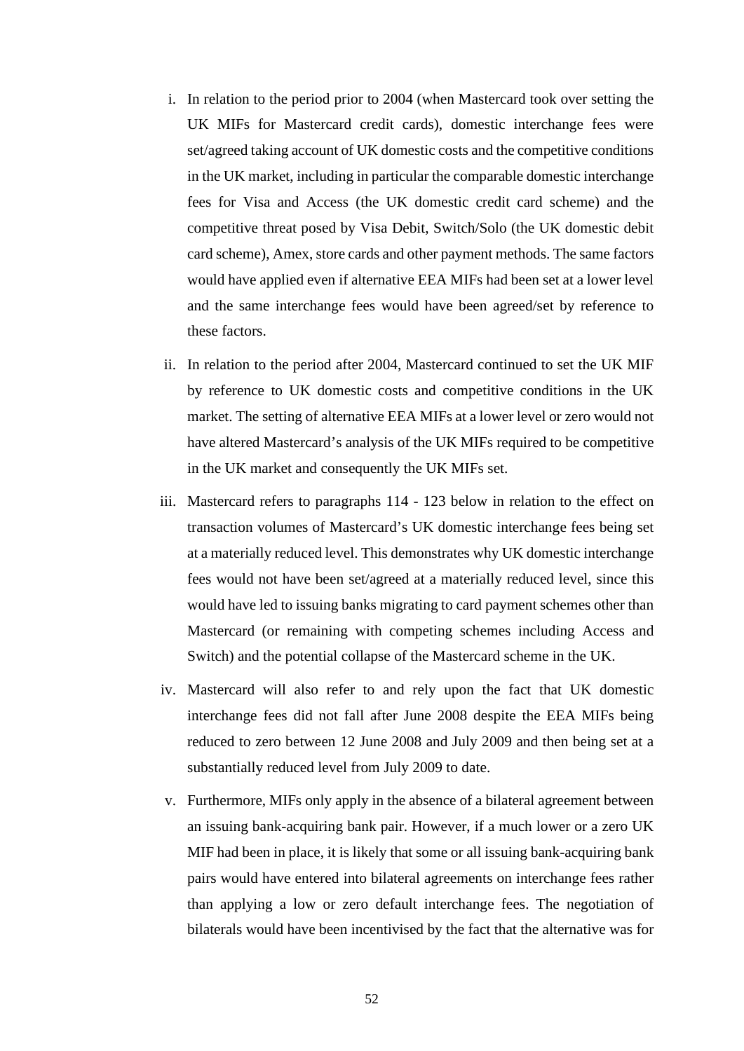- i. In relation to the period prior to 2004 (when Mastercard took over setting the UK MIFs for Mastercard credit cards), domestic interchange fees were set/agreed taking account of UK domestic costs and the competitive conditions in the UK market, including in particular the comparable domestic interchange fees for Visa and Access (the UK domestic credit card scheme) and the competitive threat posed by Visa Debit, Switch/Solo (the UK domestic debit card scheme), Amex, store cards and other payment methods. The same factors would have applied even if alternative EEA MIFs had been set at a lower level and the same interchange fees would have been agreed/set by reference to these factors.
- ii. In relation to the period after 2004, Mastercard continued to set the UK MIF by reference to UK domestic costs and competitive conditions in the UK market. The setting of alternative EEA MIFs at a lower level or zero would not have altered Mastercard's analysis of the UK MIFs required to be competitive in the UK market and consequently the UK MIFs set.
- iii. Mastercard refers to paragraphs 114 123 below in relation to the effect on transaction volumes of Mastercard's UK domestic interchange fees being set at a materially reduced level. This demonstrates why UK domestic interchange fees would not have been set/agreed at a materially reduced level, since this would have led to issuing banks migrating to card payment schemes other than Mastercard (or remaining with competing schemes including Access and Switch) and the potential collapse of the Mastercard scheme in the UK.
- iv. Mastercard will also refer to and rely upon the fact that UK domestic interchange fees did not fall after June 2008 despite the EEA MIFs being reduced to zero between 12 June 2008 and July 2009 and then being set at a substantially reduced level from July 2009 to date.
- v. Furthermore, MIFs only apply in the absence of a bilateral agreement between an issuing bank-acquiring bank pair. However, if a much lower or a zero UK MIF had been in place, it is likely that some or all issuing bank-acquiring bank pairs would have entered into bilateral agreements on interchange fees rather than applying a low or zero default interchange fees. The negotiation of bilaterals would have been incentivised by the fact that the alternative was for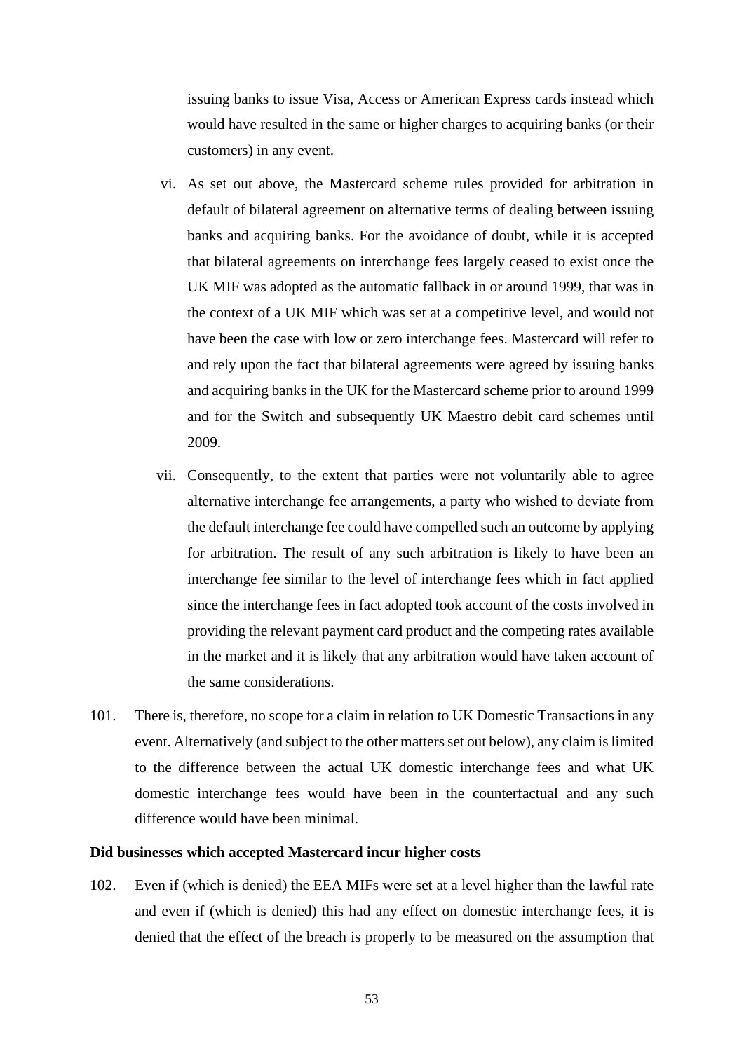issuing banks to issue Visa, Access or American Express cards instead which would have resulted in the same or higher charges to acquiring banks (or their customers) in any event.

- vi. As set out above, the Mastercard scheme rules provided for arbitration in default of bilateral agreement on alternative terms of dealing between issuing banks and acquiring banks. For the avoidance of doubt, while it is accepted that bilateral agreements on interchange fees largely ceased to exist once the UK MIF was adopted as the automatic fallback in or around 1999, that was in the context of a UK MIF which was set at a competitive level, and would not have been the case with low or zero interchange fees. Mastercard will refer to and rely upon the fact that bilateral agreements were agreed by issuing banks and acquiring banks in the UK for the Mastercard scheme prior to around 1999 and for the Switch and subsequently UK Maestro debit card schemes until 2009.
- vii. Consequently, to the extent that parties were not voluntarily able to agree alternative interchange fee arrangements, a party who wished to deviate from the default interchange fee could have compelled such an outcome by applying for arbitration. The result of any such arbitration is likely to have been an interchange fee similar to the level of interchange fees which in fact applied since the interchange fees in fact adopted took account of the costs involved in providing the relevant payment card product and the competing rates available in the market and it is likely that any arbitration would have taken account of the same considerations.
- 101. There is, therefore, no scope for a claim in relation to UK Domestic Transactions in any event. Alternatively (and subject to the other matters set out below), any claim is limited to the difference between the actual UK domestic interchange fees and what UK domestic interchange fees would have been in the counterfactual and any such difference would have been minimal.

#### **Did businesses which accepted Mastercard incur higher costs**

102. Even if (which is denied) the EEA MIFs were set at a level higher than the lawful rate and even if (which is denied) this had any effect on domestic interchange fees, it is denied that the effect of the breach is properly to be measured on the assumption that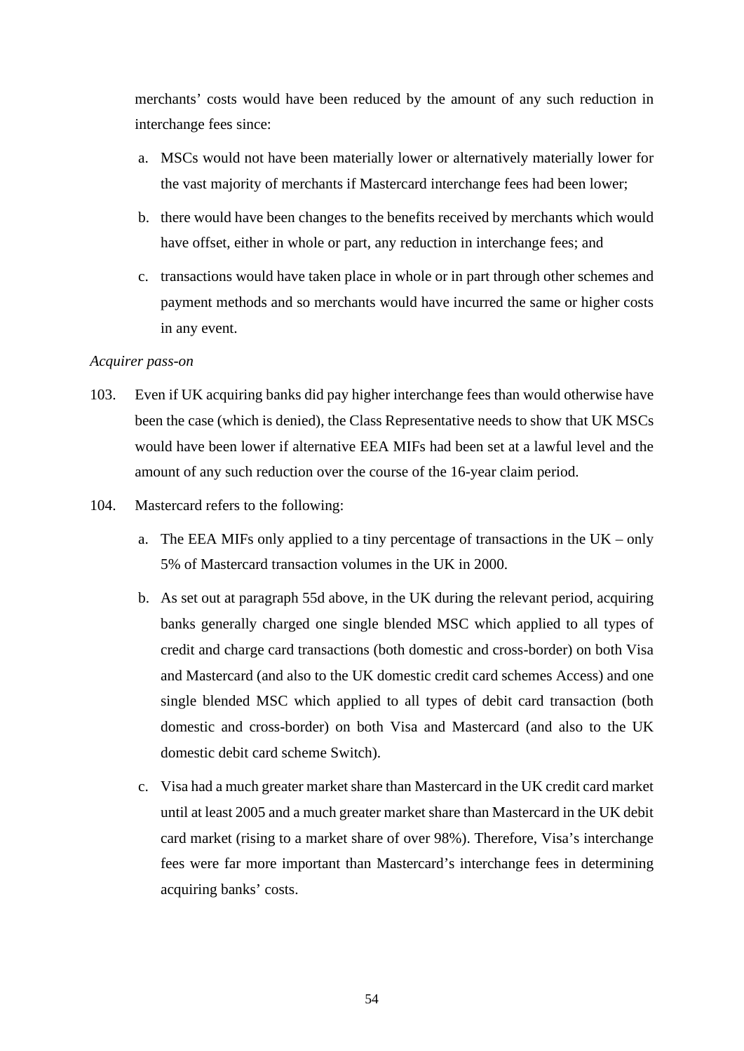merchants' costs would have been reduced by the amount of any such reduction in interchange fees since:

- a. MSCs would not have been materially lower or alternatively materially lower for the vast majority of merchants if Mastercard interchange fees had been lower;
- b. there would have been changes to the benefits received by merchants which would have offset, either in whole or part, any reduction in interchange fees; and
- c. transactions would have taken place in whole or in part through other schemes and payment methods and so merchants would have incurred the same or higher costs in any event.

### *Acquirer pass-on*

- 103. Even if UK acquiring banks did pay higher interchange fees than would otherwise have been the case (which is denied), the Class Representative needs to show that UK MSCs would have been lower if alternative EEA MIFs had been set at a lawful level and the amount of any such reduction over the course of the 16-year claim period.
- 104. Mastercard refers to the following:
	- a. The EEA MIFs only applied to a tiny percentage of transactions in the UK only 5% of Mastercard transaction volumes in the UK in 2000.
	- b. As set out at paragraph 55d above, in the UK during the relevant period, acquiring banks generally charged one single blended MSC which applied to all types of credit and charge card transactions (both domestic and cross-border) on both Visa and Mastercard (and also to the UK domestic credit card schemes Access) and one single blended MSC which applied to all types of debit card transaction (both domestic and cross-border) on both Visa and Mastercard (and also to the UK domestic debit card scheme Switch).
	- c. Visa had a much greater market share than Mastercard in the UK credit card market until at least 2005 and a much greater market share than Mastercard in the UK debit card market (rising to a market share of over 98%). Therefore, Visa's interchange fees were far more important than Mastercard's interchange fees in determining acquiring banks' costs.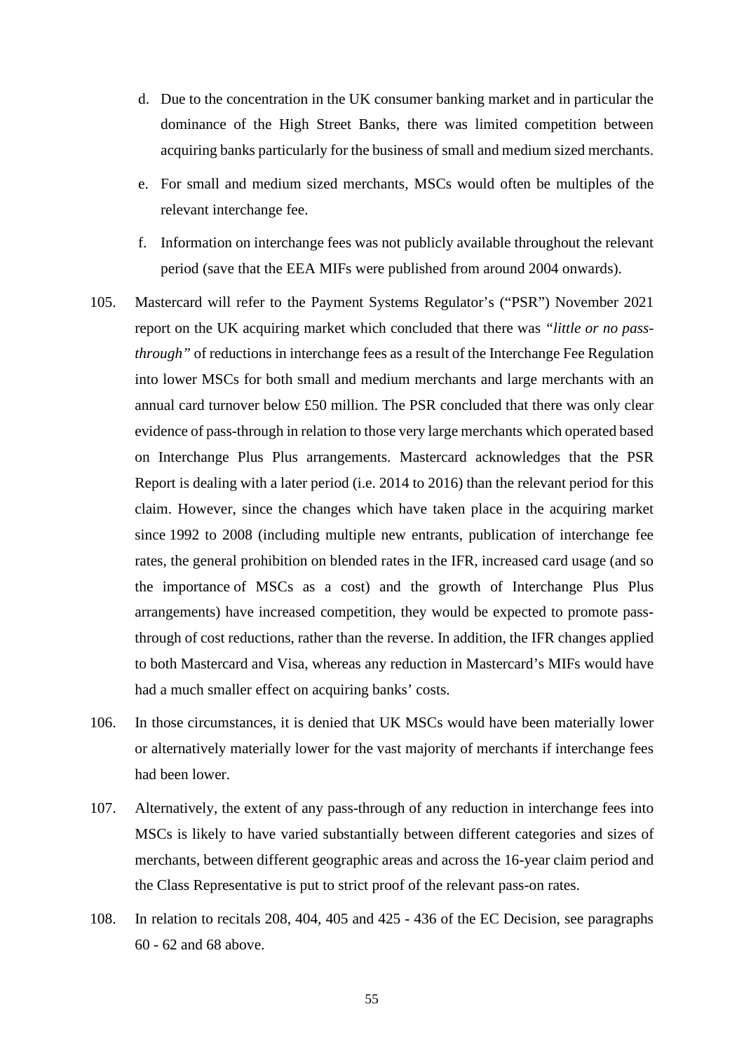- d. Due to the concentration in the UK consumer banking market and in particular the dominance of the High Street Banks, there was limited competition between acquiring banks particularly for the business of small and medium sized merchants.
- e. For small and medium sized merchants, MSCs would often be multiples of the relevant interchange fee.
- f. Information on interchange fees was not publicly available throughout the relevant period (save that the EEA MIFs were published from around 2004 onwards).
- 105. Mastercard will refer to the Payment Systems Regulator's ("PSR") November 2021 report on the UK acquiring market which concluded that there was *"little or no passthrough"* of reductions in interchange fees as a result of the Interchange Fee Regulation into lower MSCs for both small and medium merchants and large merchants with an annual card turnover below £50 million. The PSR concluded that there was only clear evidence of pass-through in relation to those very large merchants which operated based on Interchange Plus Plus arrangements. Mastercard acknowledges that the PSR Report is dealing with a later period (i.e. 2014 to 2016) than the relevant period for this claim. However, since the changes which have taken place in the acquiring market since 1992 to 2008 (including multiple new entrants, publication of interchange fee rates, the general prohibition on blended rates in the IFR, increased card usage (and so the importance of MSCs as a cost) and the growth of Interchange Plus Plus arrangements) have increased competition, they would be expected to promote passthrough of cost reductions, rather than the reverse. In addition, the IFR changes applied to both Mastercard and Visa, whereas any reduction in Mastercard's MIFs would have had a much smaller effect on acquiring banks' costs.
- 106. In those circumstances, it is denied that UK MSCs would have been materially lower or alternatively materially lower for the vast majority of merchants if interchange fees had been lower.
- 107. Alternatively, the extent of any pass-through of any reduction in interchange fees into MSCs is likely to have varied substantially between different categories and sizes of merchants, between different geographic areas and across the 16-year claim period and the Class Representative is put to strict proof of the relevant pass-on rates.
- 108. In relation to recitals 208, 404, 405 and 425 436 of the EC Decision, see paragraphs 60 - 62 and 68 above.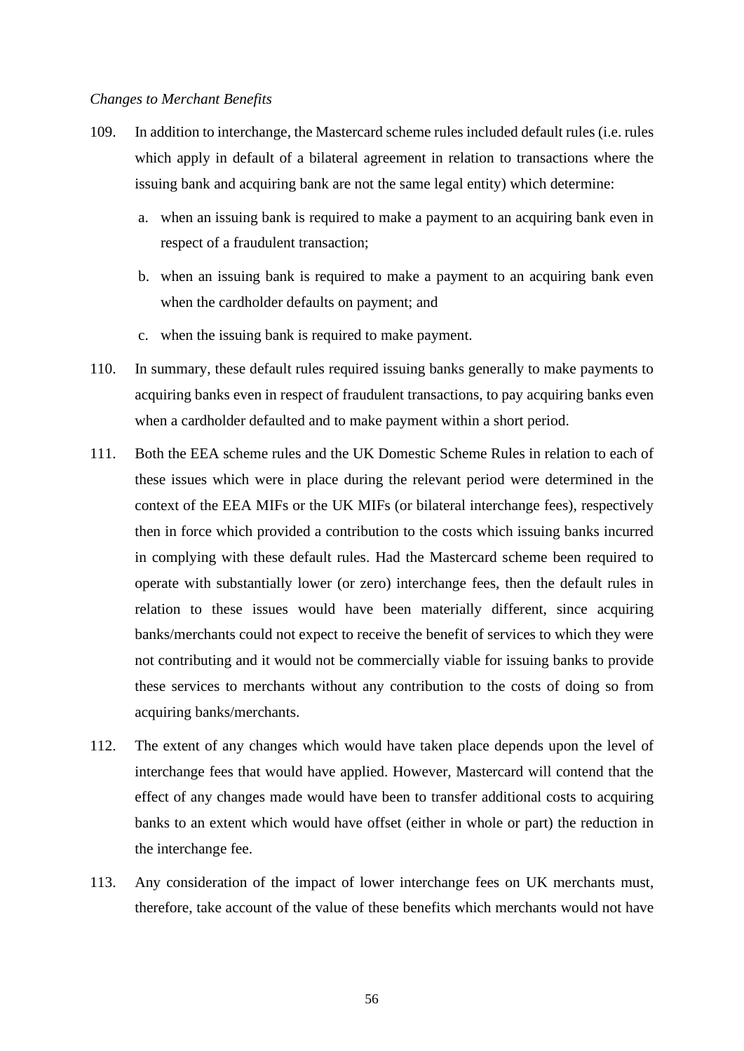#### *Changes to Merchant Benefits*

- 109. In addition to interchange, the Mastercard scheme rules included default rules (i.e. rules which apply in default of a bilateral agreement in relation to transactions where the issuing bank and acquiring bank are not the same legal entity) which determine:
	- a. when an issuing bank is required to make a payment to an acquiring bank even in respect of a fraudulent transaction;
	- b. when an issuing bank is required to make a payment to an acquiring bank even when the cardholder defaults on payment; and
	- c. when the issuing bank is required to make payment.
- 110. In summary, these default rules required issuing banks generally to make payments to acquiring banks even in respect of fraudulent transactions, to pay acquiring banks even when a cardholder defaulted and to make payment within a short period.
- 111. Both the EEA scheme rules and the UK Domestic Scheme Rules in relation to each of these issues which were in place during the relevant period were determined in the context of the EEA MIFs or the UK MIFs (or bilateral interchange fees), respectively then in force which provided a contribution to the costs which issuing banks incurred in complying with these default rules. Had the Mastercard scheme been required to operate with substantially lower (or zero) interchange fees, then the default rules in relation to these issues would have been materially different, since acquiring banks/merchants could not expect to receive the benefit of services to which they were not contributing and it would not be commercially viable for issuing banks to provide these services to merchants without any contribution to the costs of doing so from acquiring banks/merchants.
- 112. The extent of any changes which would have taken place depends upon the level of interchange fees that would have applied. However, Mastercard will contend that the effect of any changes made would have been to transfer additional costs to acquiring banks to an extent which would have offset (either in whole or part) the reduction in the interchange fee.
- 113. Any consideration of the impact of lower interchange fees on UK merchants must, therefore, take account of the value of these benefits which merchants would not have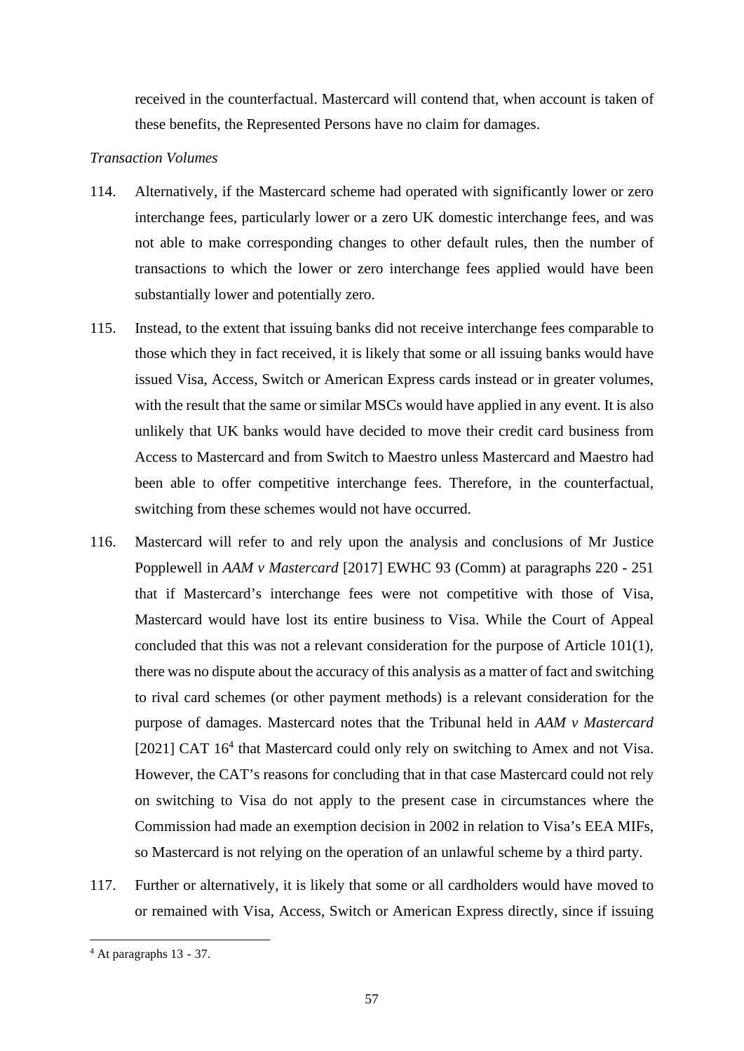received in the counterfactual. Mastercard will contend that, when account is taken of these benefits, the Represented Persons have no claim for damages.

# *Transaction Volumes*

- 114. Alternatively, if the Mastercard scheme had operated with significantly lower or zero interchange fees, particularly lower or a zero UK domestic interchange fees, and was not able to make corresponding changes to other default rules, then the number of transactions to which the lower or zero interchange fees applied would have been substantially lower and potentially zero.
- 115. Instead, to the extent that issuing banks did not receive interchange fees comparable to those which they in fact received, it is likely that some or all issuing banks would have issued Visa, Access, Switch or American Express cards instead or in greater volumes, with the result that the same or similar MSCs would have applied in any event. It is also unlikely that UK banks would have decided to move their credit card business from Access to Mastercard and from Switch to Maestro unless Mastercard and Maestro had been able to offer competitive interchange fees. Therefore, in the counterfactual, switching from these schemes would not have occurred.
- 116. Mastercard will refer to and rely upon the analysis and conclusions of Mr Justice Popplewell in *AAM v Mastercard* [2017] EWHC 93 (Comm) at paragraphs 220 - 251 that if Mastercard's interchange fees were not competitive with those of Visa, Mastercard would have lost its entire business to Visa. While the Court of Appeal concluded that this was not a relevant consideration for the purpose of Article 101(1), there was no dispute about the accuracy of this analysis as a matter of fact and switching to rival card schemes (or other payment methods) is a relevant consideration for the purpose of damages. Mastercard notes that the Tribunal held in *AAM v Mastercard* [2021] CAT 16<sup>4</sup> that Mastercard could only rely on switching to Amex and not Visa. However, the CAT's reasons for concluding that in that case Mastercard could not rely on switching to Visa do not apply to the present case in circumstances where the Commission had made an exemption decision in 2002 in relation to Visa's EEA MIFs, so Mastercard is not relying on the operation of an unlawful scheme by a third party.
- 117. Further or alternatively, it is likely that some or all cardholders would have moved to or remained with Visa, Access, Switch or American Express directly, since if issuing

<sup>4</sup> At paragraphs 13 - 37.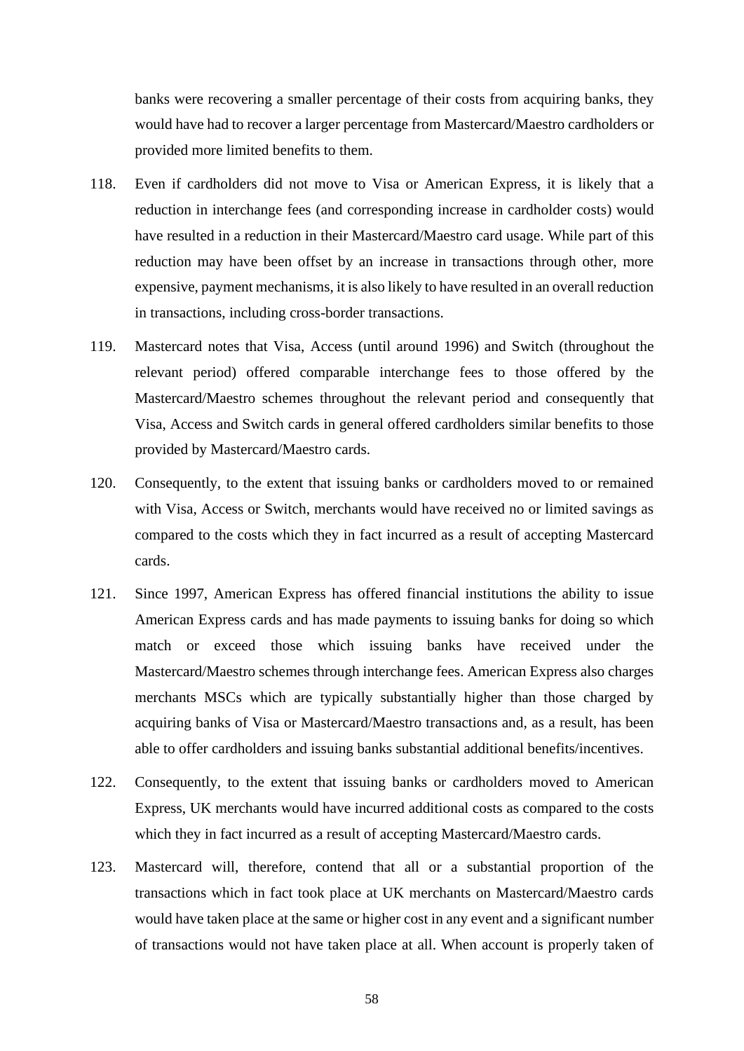banks were recovering a smaller percentage of their costs from acquiring banks, they would have had to recover a larger percentage from Mastercard/Maestro cardholders or provided more limited benefits to them.

- 118. Even if cardholders did not move to Visa or American Express, it is likely that a reduction in interchange fees (and corresponding increase in cardholder costs) would have resulted in a reduction in their Mastercard/Maestro card usage. While part of this reduction may have been offset by an increase in transactions through other, more expensive, payment mechanisms, it is also likely to have resulted in an overall reduction in transactions, including cross-border transactions.
- 119. Mastercard notes that Visa, Access (until around 1996) and Switch (throughout the relevant period) offered comparable interchange fees to those offered by the Mastercard/Maestro schemes throughout the relevant period and consequently that Visa, Access and Switch cards in general offered cardholders similar benefits to those provided by Mastercard/Maestro cards.
- 120. Consequently, to the extent that issuing banks or cardholders moved to or remained with Visa, Access or Switch, merchants would have received no or limited savings as compared to the costs which they in fact incurred as a result of accepting Mastercard cards.
- 121. Since 1997, American Express has offered financial institutions the ability to issue American Express cards and has made payments to issuing banks for doing so which match or exceed those which issuing banks have received under the Mastercard/Maestro schemes through interchange fees. American Express also charges merchants MSCs which are typically substantially higher than those charged by acquiring banks of Visa or Mastercard/Maestro transactions and, as a result, has been able to offer cardholders and issuing banks substantial additional benefits/incentives.
- 122. Consequently, to the extent that issuing banks or cardholders moved to American Express, UK merchants would have incurred additional costs as compared to the costs which they in fact incurred as a result of accepting Mastercard/Maestro cards.
- 123. Mastercard will, therefore, contend that all or a substantial proportion of the transactions which in fact took place at UK merchants on Mastercard/Maestro cards would have taken place at the same or higher cost in any event and a significant number of transactions would not have taken place at all. When account is properly taken of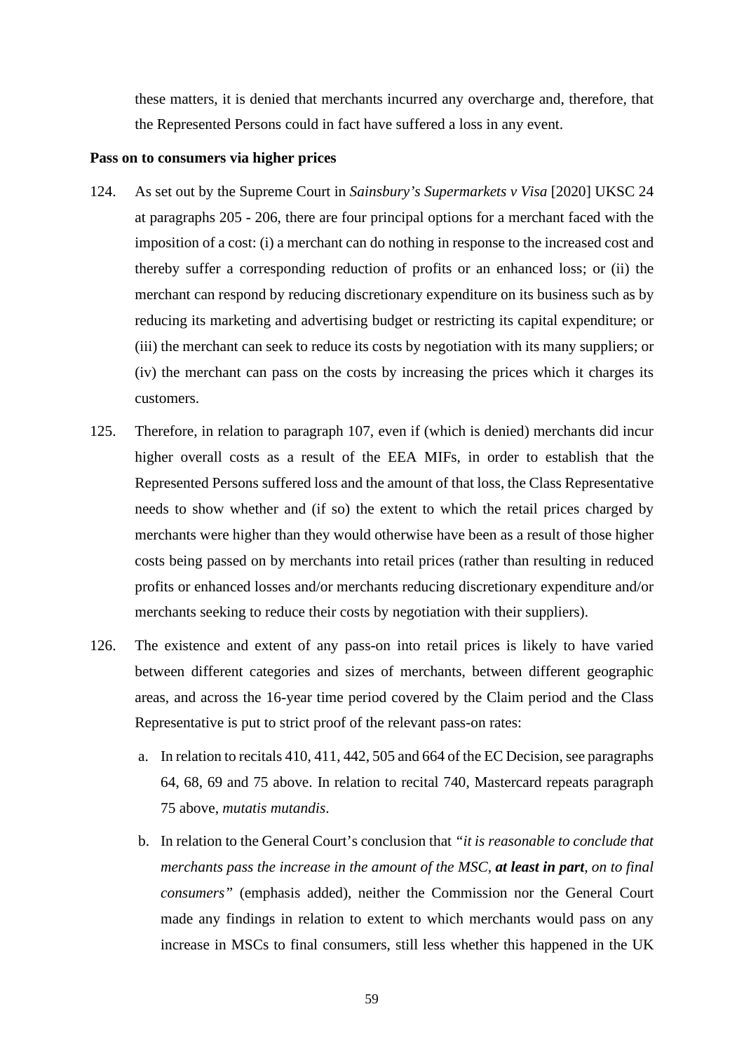these matters, it is denied that merchants incurred any overcharge and, therefore, that the Represented Persons could in fact have suffered a loss in any event.

#### **Pass on to consumers via higher prices**

- 124. As set out by the Supreme Court in *Sainsbury's Supermarkets v Visa* [2020] UKSC 24 at paragraphs 205 - 206, there are four principal options for a merchant faced with the imposition of a cost: (i) a merchant can do nothing in response to the increased cost and thereby suffer a corresponding reduction of profits or an enhanced loss; or (ii) the merchant can respond by reducing discretionary expenditure on its business such as by reducing its marketing and advertising budget or restricting its capital expenditure; or (iii) the merchant can seek to reduce its costs by negotiation with its many suppliers; or (iv) the merchant can pass on the costs by increasing the prices which it charges its customers.
- 125. Therefore, in relation to paragraph 107, even if (which is denied) merchants did incur higher overall costs as a result of the EEA MIFs, in order to establish that the Represented Persons suffered loss and the amount of that loss, the Class Representative needs to show whether and (if so) the extent to which the retail prices charged by merchants were higher than they would otherwise have been as a result of those higher costs being passed on by merchants into retail prices (rather than resulting in reduced profits or enhanced losses and/or merchants reducing discretionary expenditure and/or merchants seeking to reduce their costs by negotiation with their suppliers).
- 126. The existence and extent of any pass-on into retail prices is likely to have varied between different categories and sizes of merchants, between different geographic areas, and across the 16-year time period covered by the Claim period and the Class Representative is put to strict proof of the relevant pass-on rates:
	- a. In relation to recitals 410, 411, 442, 505 and 664 of the EC Decision, see paragraphs 64, 68, 69 and 75 above. In relation to recital 740, Mastercard repeats paragraph 75 above, *mutatis mutandis*.
	- b. In relation to the General Court's conclusion that *"it is reasonable to conclude that merchants pass the increase in the amount of the MSC, at least in part, on to final consumers"* (emphasis added), neither the Commission nor the General Court made any findings in relation to extent to which merchants would pass on any increase in MSCs to final consumers, still less whether this happened in the UK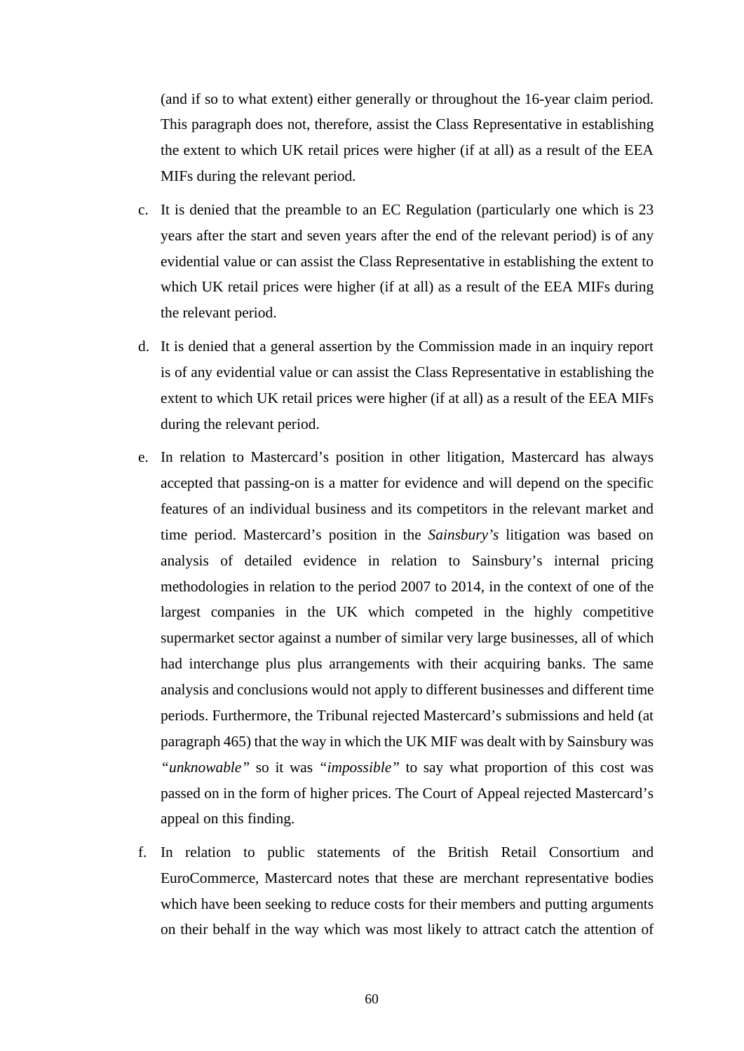(and if so to what extent) either generally or throughout the 16-year claim period. This paragraph does not, therefore, assist the Class Representative in establishing the extent to which UK retail prices were higher (if at all) as a result of the EEA MIFs during the relevant period.

- c. It is denied that the preamble to an EC Regulation (particularly one which is 23 years after the start and seven years after the end of the relevant period) is of any evidential value or can assist the Class Representative in establishing the extent to which UK retail prices were higher (if at all) as a result of the EEA MIFs during the relevant period.
- d. It is denied that a general assertion by the Commission made in an inquiry report is of any evidential value or can assist the Class Representative in establishing the extent to which UK retail prices were higher (if at all) as a result of the EEA MIFs during the relevant period.
- e. In relation to Mastercard's position in other litigation, Mastercard has always accepted that passing-on is a matter for evidence and will depend on the specific features of an individual business and its competitors in the relevant market and time period. Mastercard's position in the *Sainsbury's* litigation was based on analysis of detailed evidence in relation to Sainsbury's internal pricing methodologies in relation to the period 2007 to 2014, in the context of one of the largest companies in the UK which competed in the highly competitive supermarket sector against a number of similar very large businesses, all of which had interchange plus plus arrangements with their acquiring banks. The same analysis and conclusions would not apply to different businesses and different time periods. Furthermore, the Tribunal rejected Mastercard's submissions and held (at paragraph 465) that the way in which the UK MIF was dealt with by Sainsbury was *"unknowable"* so it was *"impossible"* to say what proportion of this cost was passed on in the form of higher prices. The Court of Appeal rejected Mastercard's appeal on this finding.
- f. In relation to public statements of the British Retail Consortium and EuroCommerce, Mastercard notes that these are merchant representative bodies which have been seeking to reduce costs for their members and putting arguments on their behalf in the way which was most likely to attract catch the attention of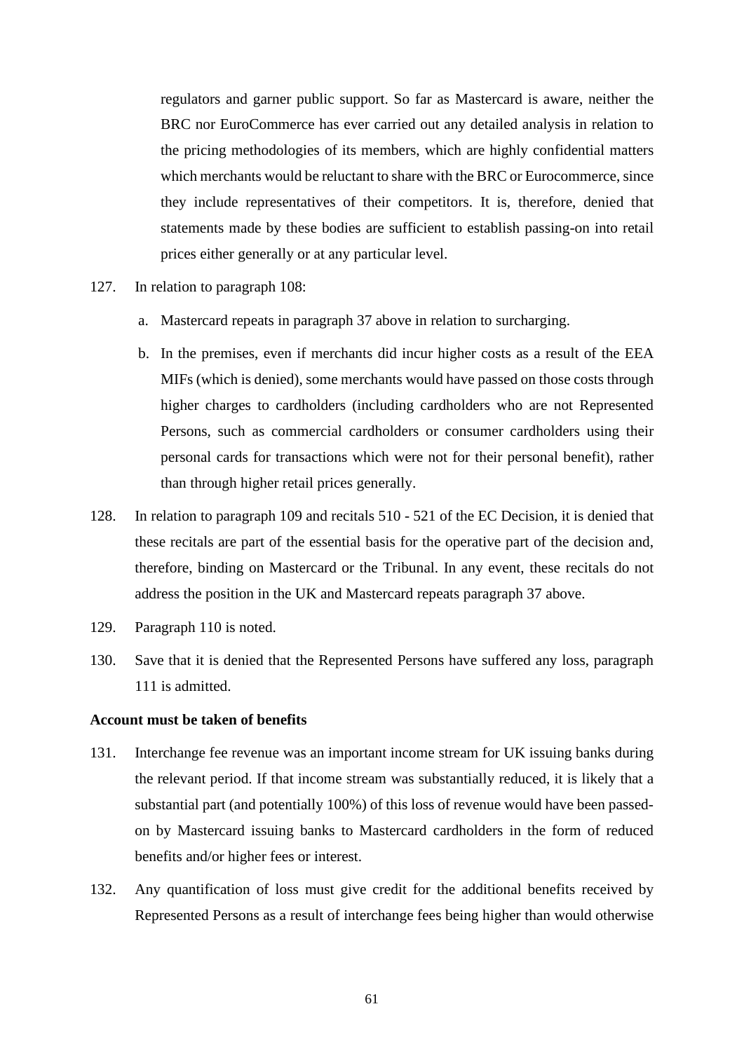regulators and garner public support. So far as Mastercard is aware, neither the BRC nor EuroCommerce has ever carried out any detailed analysis in relation to the pricing methodologies of its members, which are highly confidential matters which merchants would be reluctant to share with the BRC or Eurocommerce, since they include representatives of their competitors. It is, therefore, denied that statements made by these bodies are sufficient to establish passing-on into retail prices either generally or at any particular level.

- 127. In relation to paragraph 108:
	- a. Mastercard repeats in paragraph 37 above in relation to surcharging.
	- b. In the premises, even if merchants did incur higher costs as a result of the EEA MIFs (which is denied), some merchants would have passed on those costs through higher charges to cardholders (including cardholders who are not Represented Persons, such as commercial cardholders or consumer cardholders using their personal cards for transactions which were not for their personal benefit), rather than through higher retail prices generally.
- 128. In relation to paragraph 109 and recitals 510 521 of the EC Decision, it is denied that these recitals are part of the essential basis for the operative part of the decision and, therefore, binding on Mastercard or the Tribunal. In any event, these recitals do not address the position in the UK and Mastercard repeats paragraph 37 above.
- 129. Paragraph 110 is noted.
- 130. Save that it is denied that the Represented Persons have suffered any loss, paragraph 111 is admitted.

# **Account must be taken of benefits**

- 131. Interchange fee revenue was an important income stream for UK issuing banks during the relevant period. If that income stream was substantially reduced, it is likely that a substantial part (and potentially 100%) of this loss of revenue would have been passedon by Mastercard issuing banks to Mastercard cardholders in the form of reduced benefits and/or higher fees or interest.
- 132. Any quantification of loss must give credit for the additional benefits received by Represented Persons as a result of interchange fees being higher than would otherwise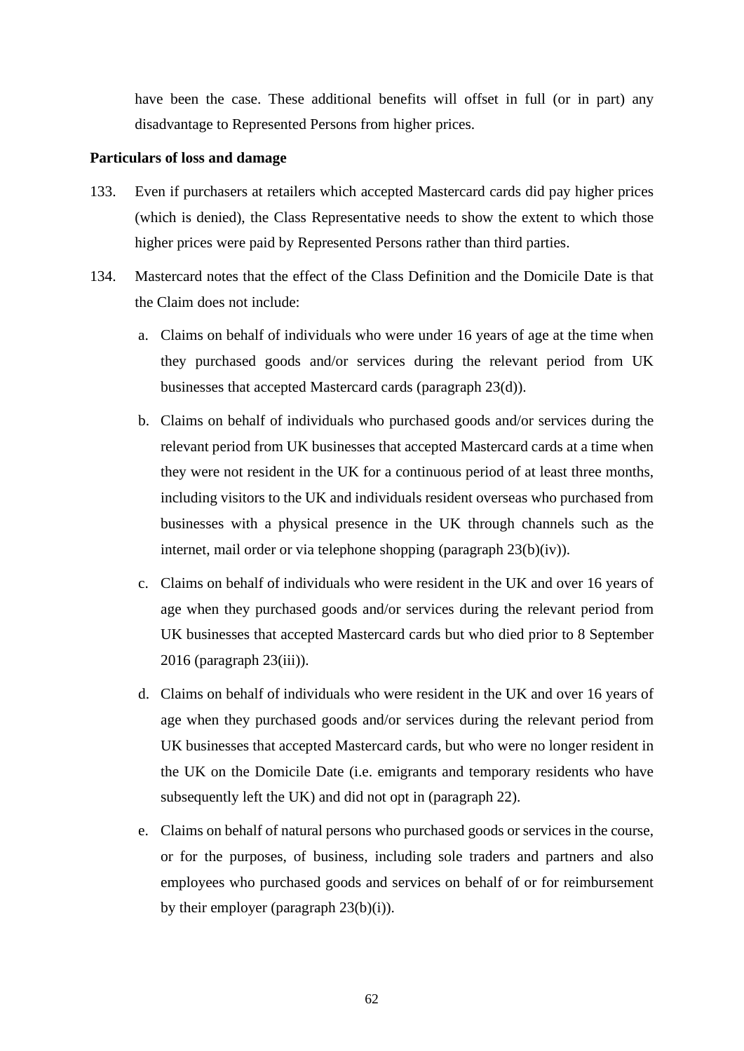have been the case. These additional benefits will offset in full (or in part) any disadvantage to Represented Persons from higher prices.

#### **Particulars of loss and damage**

- 133. Even if purchasers at retailers which accepted Mastercard cards did pay higher prices (which is denied), the Class Representative needs to show the extent to which those higher prices were paid by Represented Persons rather than third parties.
- 134. Mastercard notes that the effect of the Class Definition and the Domicile Date is that the Claim does not include:
	- a. Claims on behalf of individuals who were under 16 years of age at the time when they purchased goods and/or services during the relevant period from UK businesses that accepted Mastercard cards (paragraph 23(d)).
	- b. Claims on behalf of individuals who purchased goods and/or services during the relevant period from UK businesses that accepted Mastercard cards at a time when they were not resident in the UK for a continuous period of at least three months, including visitors to the UK and individuals resident overseas who purchased from businesses with a physical presence in the UK through channels such as the internet, mail order or via telephone shopping (paragraph 23(b)(iv)).
	- c. Claims on behalf of individuals who were resident in the UK and over 16 years of age when they purchased goods and/or services during the relevant period from UK businesses that accepted Mastercard cards but who died prior to 8 September 2016 (paragraph 23(iii)).
	- d. Claims on behalf of individuals who were resident in the UK and over 16 years of age when they purchased goods and/or services during the relevant period from UK businesses that accepted Mastercard cards, but who were no longer resident in the UK on the Domicile Date (i.e. emigrants and temporary residents who have subsequently left the UK) and did not opt in (paragraph 22).
	- e. Claims on behalf of natural persons who purchased goods or services in the course, or for the purposes, of business, including sole traders and partners and also employees who purchased goods and services on behalf of or for reimbursement by their employer (paragraph  $23(b)(i)$ ).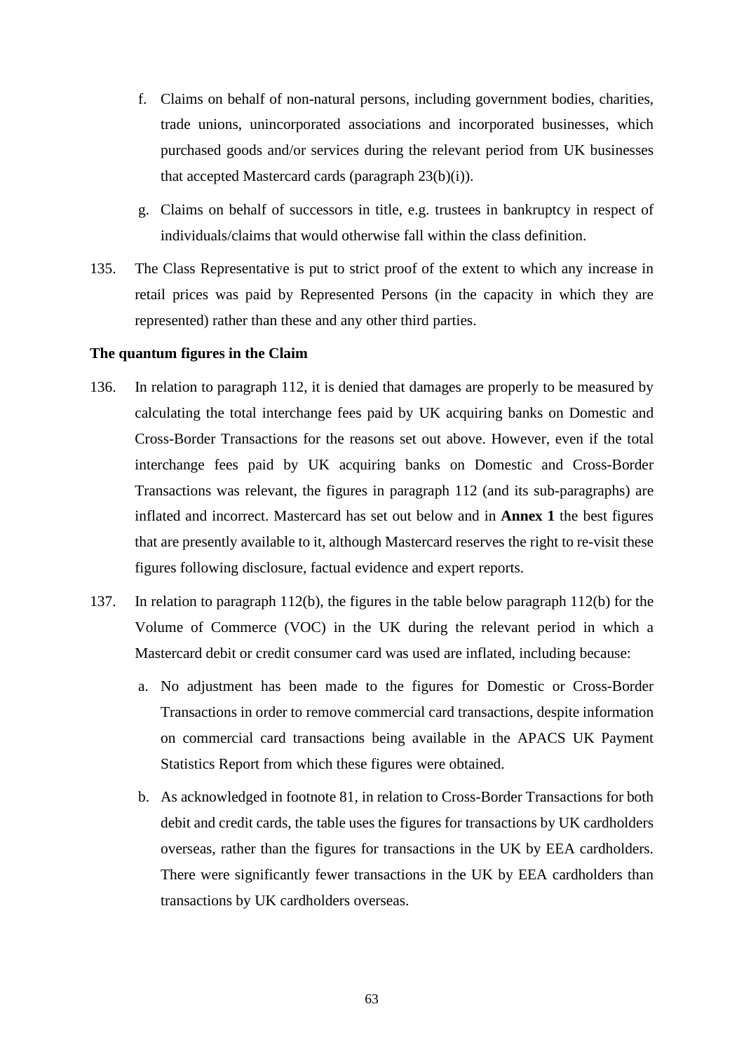- f. Claims on behalf of non-natural persons, including government bodies, charities, trade unions, unincorporated associations and incorporated businesses, which purchased goods and/or services during the relevant period from UK businesses that accepted Mastercard cards (paragraph 23(b)(i)).
- g. Claims on behalf of successors in title, e.g. trustees in bankruptcy in respect of individuals/claims that would otherwise fall within the class definition.
- 135. The Class Representative is put to strict proof of the extent to which any increase in retail prices was paid by Represented Persons (in the capacity in which they are represented) rather than these and any other third parties.

#### **The quantum figures in the Claim**

- 136. In relation to paragraph 112, it is denied that damages are properly to be measured by calculating the total interchange fees paid by UK acquiring banks on Domestic and Cross-Border Transactions for the reasons set out above. However, even if the total interchange fees paid by UK acquiring banks on Domestic and Cross-Border Transactions was relevant, the figures in paragraph 112 (and its sub-paragraphs) are inflated and incorrect. Mastercard has set out below and in **Annex 1** the best figures that are presently available to it, although Mastercard reserves the right to re-visit these figures following disclosure, factual evidence and expert reports.
- 137. In relation to paragraph 112(b), the figures in the table below paragraph 112(b) for the Volume of Commerce (VOC) in the UK during the relevant period in which a Mastercard debit or credit consumer card was used are inflated, including because:
	- a. No adjustment has been made to the figures for Domestic or Cross-Border Transactions in order to remove commercial card transactions, despite information on commercial card transactions being available in the APACS UK Payment Statistics Report from which these figures were obtained.
	- b. As acknowledged in footnote 81, in relation to Cross-Border Transactions for both debit and credit cards, the table uses the figures for transactions by UK cardholders overseas, rather than the figures for transactions in the UK by EEA cardholders. There were significantly fewer transactions in the UK by EEA cardholders than transactions by UK cardholders overseas.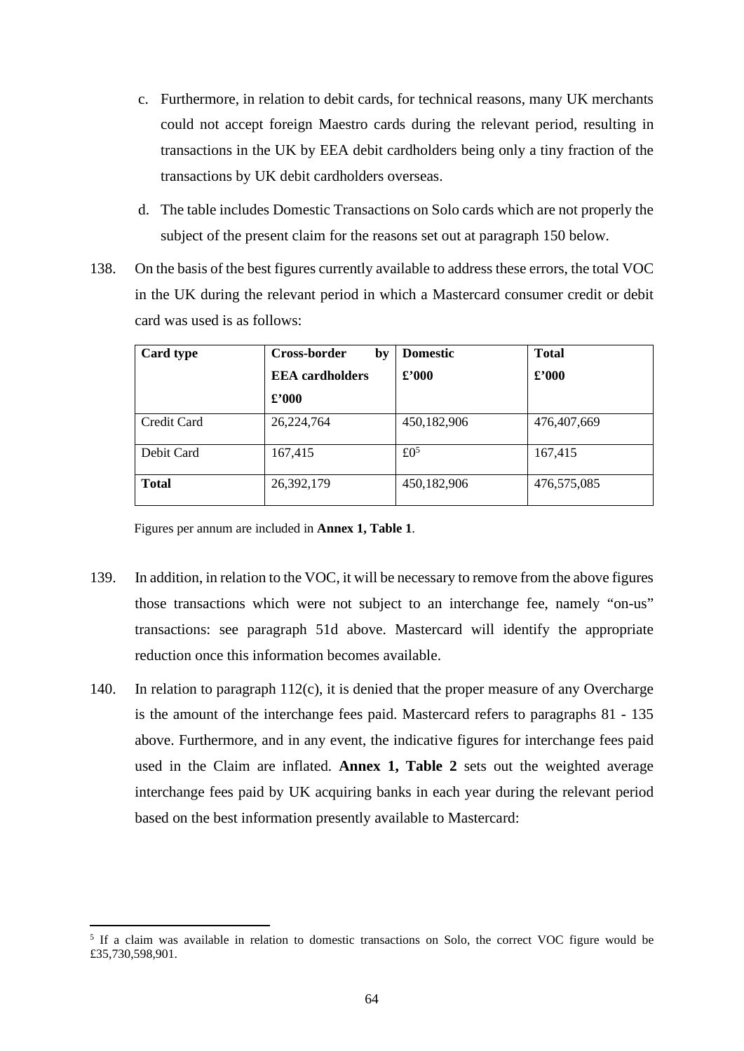- c. Furthermore, in relation to debit cards, for technical reasons, many UK merchants could not accept foreign Maestro cards during the relevant period, resulting in transactions in the UK by EEA debit cardholders being only a tiny fraction of the transactions by UK debit cardholders overseas.
- d. The table includes Domestic Transactions on Solo cards which are not properly the subject of the present claim for the reasons set out at paragraph 150 below.
- 138. On the basis of the best figures currently available to address these errors, the total VOC in the UK during the relevant period in which a Mastercard consumer credit or debit card was used is as follows:

| Card type    | <b>Cross-border</b><br>by | <b>Domestic</b> | <b>Total</b> |
|--------------|---------------------------|-----------------|--------------|
|              | <b>EEA</b> cardholders    | £2000           | £2000        |
|              | $\pounds 000$             |                 |              |
| Credit Card  | 26,224,764                | 450,182,906     | 476,407,669  |
| Debit Card   | 167,415                   | £0 <sup>5</sup> | 167,415      |
| <b>Total</b> | 26,392,179                | 450,182,906     | 476,575,085  |

Figures per annum are included in **Annex 1, Table 1**.

- 139. In addition, in relation to the VOC, it will be necessary to remove from the above figures those transactions which were not subject to an interchange fee, namely "on-us" transactions: see paragraph 51d above. Mastercard will identify the appropriate reduction once this information becomes available.
- 140. In relation to paragraph 112(c), it is denied that the proper measure of any Overcharge is the amount of the interchange fees paid. Mastercard refers to paragraphs 81 - 135 above. Furthermore, and in any event, the indicative figures for interchange fees paid used in the Claim are inflated. **Annex 1, Table 2** sets out the weighted average interchange fees paid by UK acquiring banks in each year during the relevant period based on the best information presently available to Mastercard:

<sup>&</sup>lt;sup>5</sup> If a claim was available in relation to domestic transactions on Solo, the correct VOC figure would be £35,730,598,901.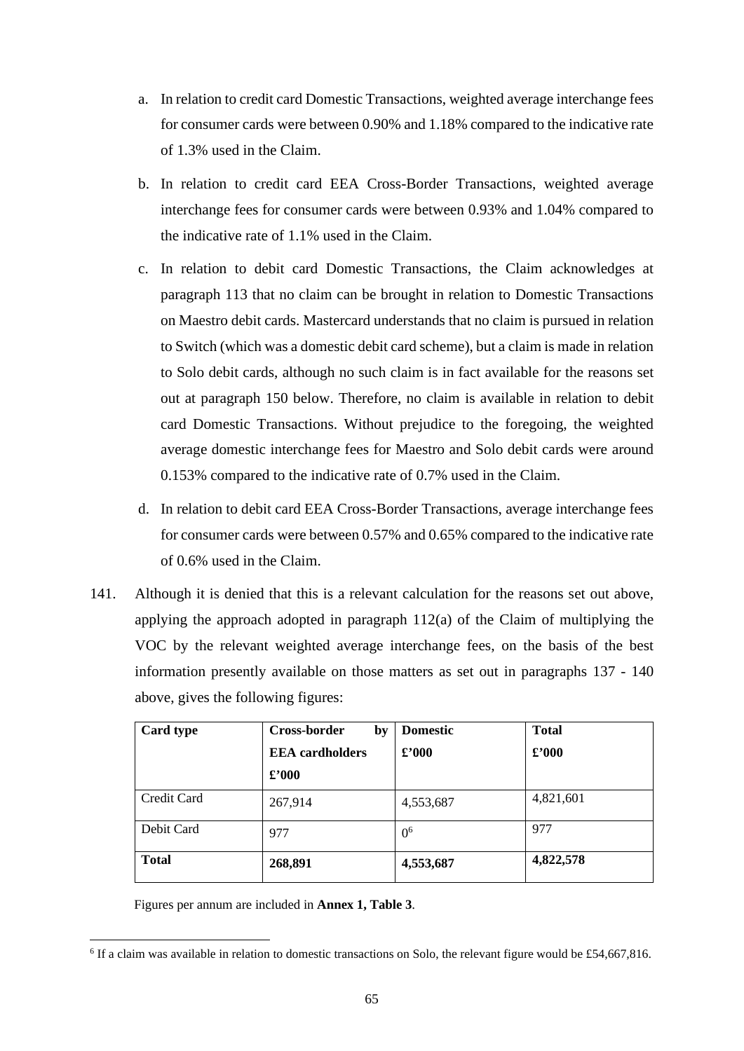- a. In relation to credit card Domestic Transactions, weighted average interchange fees for consumer cards were between 0.90% and 1.18% compared to the indicative rate of 1.3% used in the Claim.
- b. In relation to credit card EEA Cross-Border Transactions, weighted average interchange fees for consumer cards were between 0.93% and 1.04% compared to the indicative rate of 1.1% used in the Claim.
- c. In relation to debit card Domestic Transactions, the Claim acknowledges at paragraph 113 that no claim can be brought in relation to Domestic Transactions on Maestro debit cards. Mastercard understands that no claim is pursued in relation to Switch (which was a domestic debit card scheme), but a claim is made in relation to Solo debit cards, although no such claim is in fact available for the reasons set out at paragraph 150 below. Therefore, no claim is available in relation to debit card Domestic Transactions. Without prejudice to the foregoing, the weighted average domestic interchange fees for Maestro and Solo debit cards were around 0.153% compared to the indicative rate of 0.7% used in the Claim.
- d. In relation to debit card EEA Cross-Border Transactions, average interchange fees for consumer cards were between 0.57% and 0.65% compared to the indicative rate of 0.6% used in the Claim.
- 141. Although it is denied that this is a relevant calculation for the reasons set out above, applying the approach adopted in paragraph 112(a) of the Claim of multiplying the VOC by the relevant weighted average interchange fees, on the basis of the best information presently available on those matters as set out in paragraphs 137 - 140 above, gives the following figures:

| Card type    | Cross-border<br>by     | <b>Domestic</b> | <b>Total</b>   |
|--------------|------------------------|-----------------|----------------|
|              | <b>EEA</b> cardholders | $\pounds$ '000  | $\pounds$ '000 |
|              | $\pounds$ '000         |                 |                |
| Credit Card  | 267,914                | 4,553,687       | 4,821,601      |
| Debit Card   | 977                    | 0 <sup>6</sup>  | 977            |
| <b>Total</b> | 268,891                | 4,553,687       | 4,822,578      |

Figures per annum are included in **Annex 1, Table 3**.

<sup>&</sup>lt;sup>6</sup> If a claim was available in relation to domestic transactions on Solo, the relevant figure would be £54,667,816.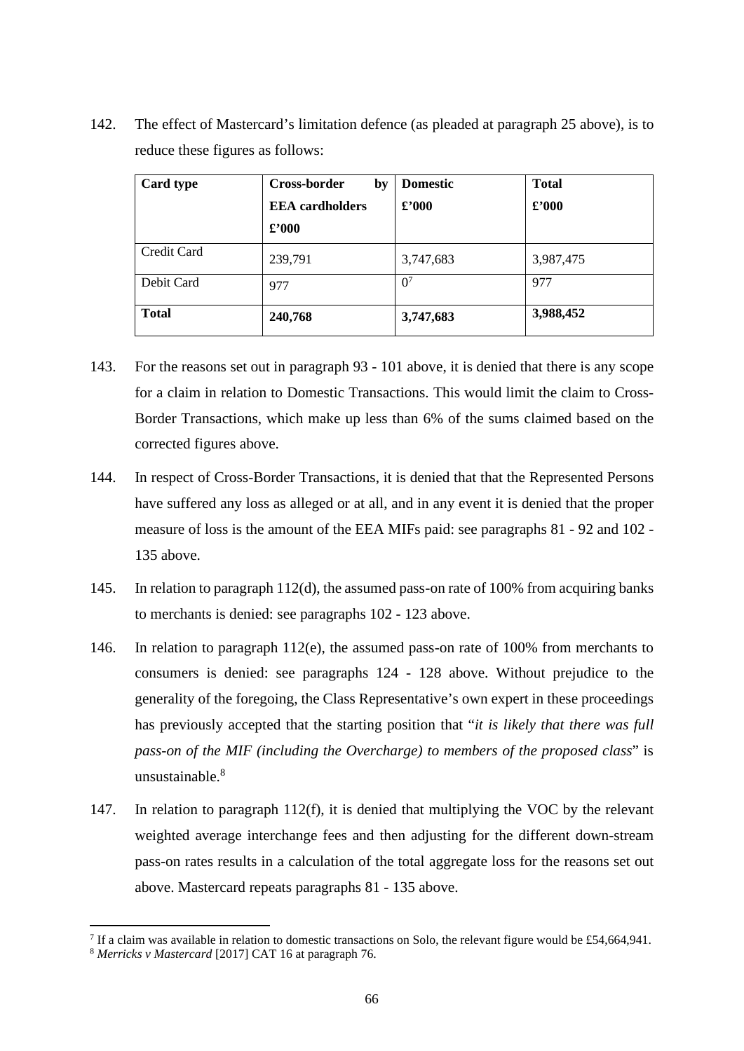142. The effect of Mastercard's limitation defence (as pleaded at paragraph 25 above), is to reduce these figures as follows:

| Card type    | <b>Cross-border</b><br>by | <b>Domestic</b> | <b>Total</b>   |
|--------------|---------------------------|-----------------|----------------|
|              | <b>EEA</b> cardholders    | $\pounds$ '000  | $\pounds$ '000 |
|              | $\pounds$ '000            |                 |                |
| Credit Card  | 239,791                   | 3,747,683       | 3,987,475      |
| Debit Card   | 977                       | 0 <sup>7</sup>  | 977            |
| <b>Total</b> | 240,768                   | 3,747,683       | 3,988,452      |

- 143. For the reasons set out in paragraph 93 101 above, it is denied that there is any scope for a claim in relation to Domestic Transactions. This would limit the claim to Cross-Border Transactions, which make up less than 6% of the sums claimed based on the corrected figures above.
- 144. In respect of Cross-Border Transactions, it is denied that that the Represented Persons have suffered any loss as alleged or at all, and in any event it is denied that the proper measure of loss is the amount of the EEA MIFs paid: see paragraphs 81 - 92 and 102 - 135 above.
- 145. In relation to paragraph 112(d), the assumed pass-on rate of 100% from acquiring banks to merchants is denied: see paragraphs 102 - 123 above.
- 146. In relation to paragraph 112(e), the assumed pass-on rate of 100% from merchants to consumers is denied: see paragraphs 124 - 128 above. Without prejudice to the generality of the foregoing, the Class Representative's own expert in these proceedings has previously accepted that the starting position that "*it is likely that there was full pass-on of the MIF (including the Overcharge) to members of the proposed class*" is unsustainable.<sup>8</sup>
- 147. In relation to paragraph 112(f), it is denied that multiplying the VOC by the relevant weighted average interchange fees and then adjusting for the different down-stream pass-on rates results in a calculation of the total aggregate loss for the reasons set out above. Mastercard repeats paragraphs 81 - 135 above.

<sup>&</sup>lt;sup>7</sup> If a claim was available in relation to domestic transactions on Solo, the relevant figure would be £54,664,941.

<sup>8</sup> *Merricks v Mastercard* [2017] CAT 16 at paragraph 76.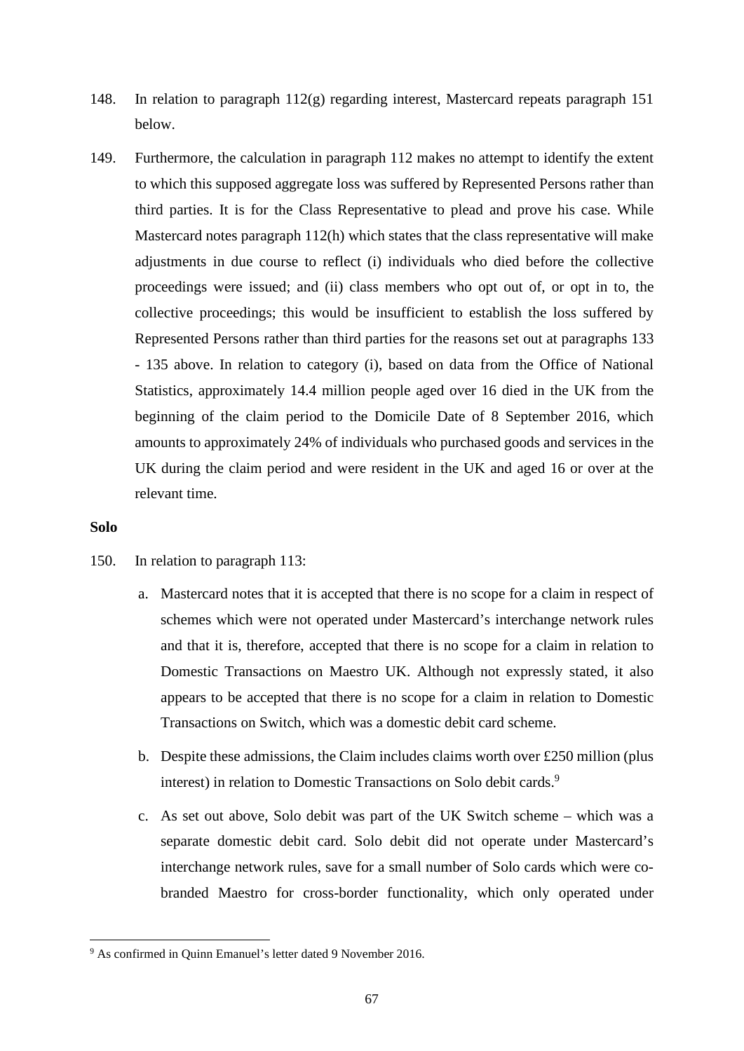- 148. In relation to paragraph 112(g) regarding interest, Mastercard repeats paragraph 151 below.
- 149. Furthermore, the calculation in paragraph 112 makes no attempt to identify the extent to which this supposed aggregate loss was suffered by Represented Persons rather than third parties. It is for the Class Representative to plead and prove his case. While Mastercard notes paragraph 112(h) which states that the class representative will make adjustments in due course to reflect (i) individuals who died before the collective proceedings were issued; and (ii) class members who opt out of, or opt in to, the collective proceedings; this would be insufficient to establish the loss suffered by Represented Persons rather than third parties for the reasons set out at paragraphs 133 - 135 above. In relation to category (i), based on data from the Office of National Statistics, approximately 14.4 million people aged over 16 died in the UK from the beginning of the claim period to the Domicile Date of 8 September 2016, which amounts to approximately 24% of individuals who purchased goods and services in the UK during the claim period and were resident in the UK and aged 16 or over at the relevant time.

### **Solo**

- 150. In relation to paragraph 113:
	- a. Mastercard notes that it is accepted that there is no scope for a claim in respect of schemes which were not operated under Mastercard's interchange network rules and that it is, therefore, accepted that there is no scope for a claim in relation to Domestic Transactions on Maestro UK. Although not expressly stated, it also appears to be accepted that there is no scope for a claim in relation to Domestic Transactions on Switch, which was a domestic debit card scheme.
	- b. Despite these admissions, the Claim includes claims worth over £250 million (plus interest) in relation to Domestic Transactions on Solo debit cards.<sup>9</sup>
	- c. As set out above, Solo debit was part of the UK Switch scheme which was a separate domestic debit card. Solo debit did not operate under Mastercard's interchange network rules, save for a small number of Solo cards which were cobranded Maestro for cross-border functionality, which only operated under

<sup>&</sup>lt;sup>9</sup> As confirmed in Quinn Emanuel's letter dated 9 November 2016.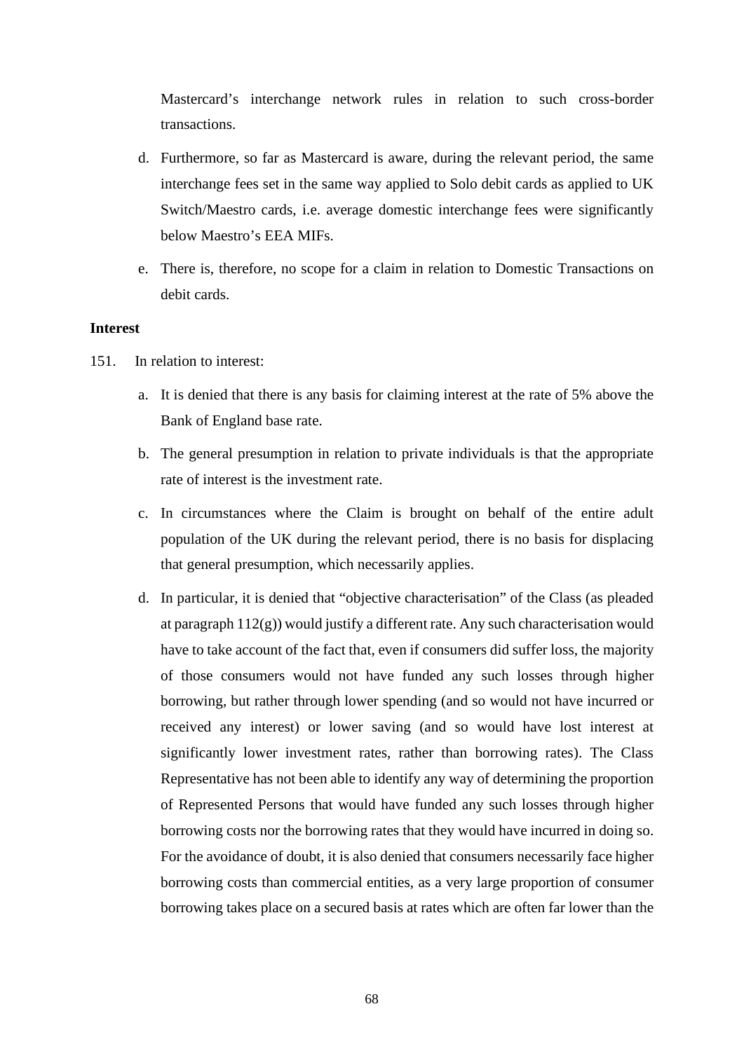Mastercard's interchange network rules in relation to such cross-border transactions.

- d. Furthermore, so far as Mastercard is aware, during the relevant period, the same interchange fees set in the same way applied to Solo debit cards as applied to UK Switch/Maestro cards, i.e. average domestic interchange fees were significantly below Maestro's EEA MIFs.
- e. There is, therefore, no scope for a claim in relation to Domestic Transactions on debit cards.

### **Interest**

- 151. In relation to interest:
	- a. It is denied that there is any basis for claiming interest at the rate of 5% above the Bank of England base rate.
	- b. The general presumption in relation to private individuals is that the appropriate rate of interest is the investment rate.
	- c. In circumstances where the Claim is brought on behalf of the entire adult population of the UK during the relevant period, there is no basis for displacing that general presumption, which necessarily applies.
	- d. In particular, it is denied that "objective characterisation" of the Class (as pleaded at paragraph  $112(g)$ ) would justify a different rate. Any such characterisation would have to take account of the fact that, even if consumers did suffer loss, the majority of those consumers would not have funded any such losses through higher borrowing, but rather through lower spending (and so would not have incurred or received any interest) or lower saving (and so would have lost interest at significantly lower investment rates, rather than borrowing rates). The Class Representative has not been able to identify any way of determining the proportion of Represented Persons that would have funded any such losses through higher borrowing costs nor the borrowing rates that they would have incurred in doing so. For the avoidance of doubt, it is also denied that consumers necessarily face higher borrowing costs than commercial entities, as a very large proportion of consumer borrowing takes place on a secured basis at rates which are often far lower than the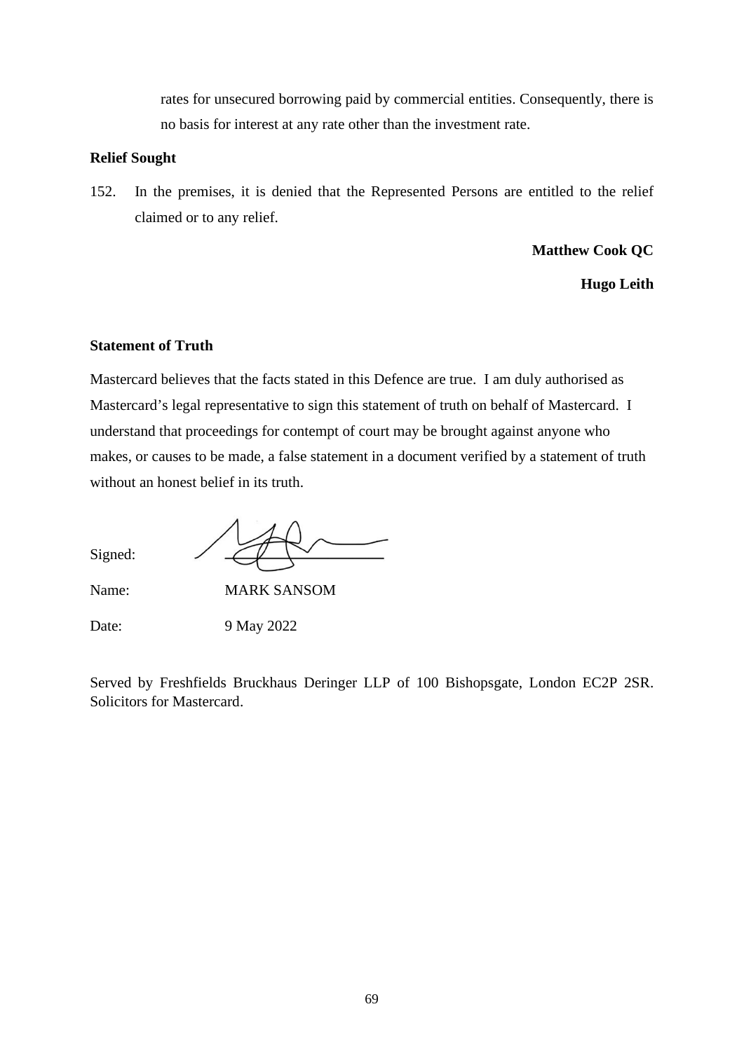rates for unsecured borrowing paid by commercial entities. Consequently, there is no basis for interest at any rate other than the investment rate.

# **Relief Sought**

152. In the premises, it is denied that the Represented Persons are entitled to the relief claimed or to any relief.

**Matthew Cook QC** 

**Hugo Leith** 

### **Statement of Truth**

Mastercard believes that the facts stated in this Defence are true. I am duly authorised as Mastercard's legal representative to sign this statement of truth on behalf of Mastercard. I understand that proceedings for contempt of court may be brought against anyone who makes, or causes to be made, a false statement in a document verified by a statement of truth without an honest belief in its truth.

Signed:

Name: MARK SANSOM

Date: 9 May 2022

Served by Freshfields Bruckhaus Deringer LLP of 100 Bishopsgate, London EC2P 2SR. Solicitors for Mastercard.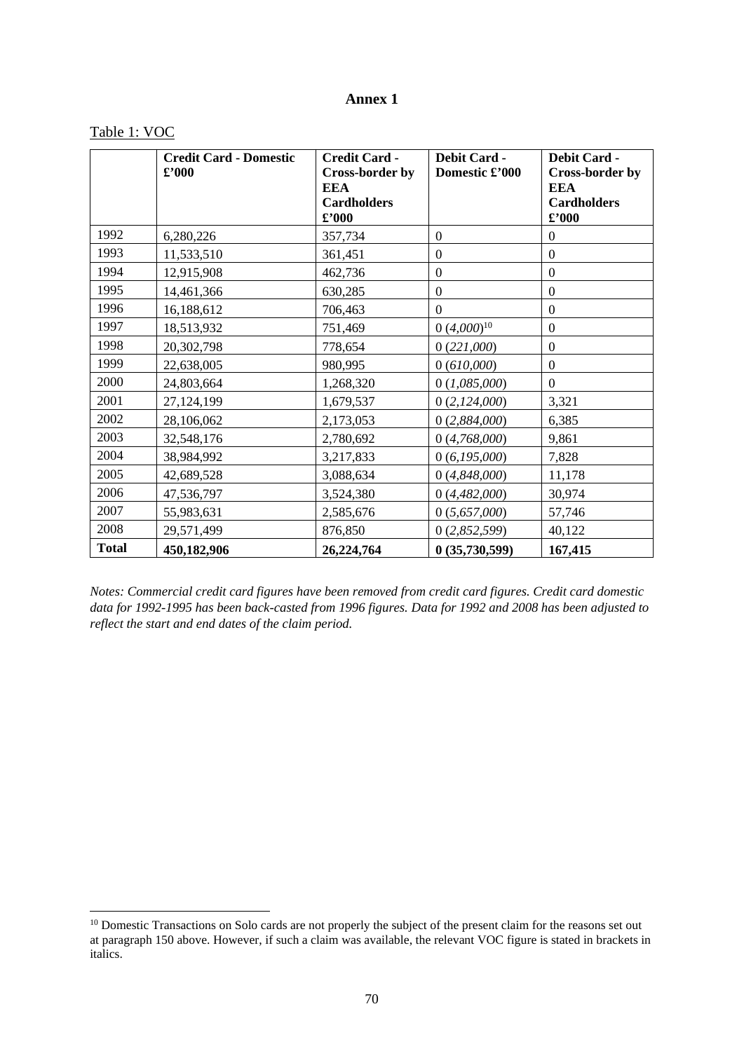# **Annex 1**

# Table 1: VOC

|              | <b>Credit Card - Domestic</b><br>$\pounds$ '000 | <b>Credit Card -</b><br><b>Cross-border by</b><br><b>EEA</b><br><b>Cardholders</b><br>$\pounds$ '000 | <b>Debit Card -</b><br>Domestic £'000 | <b>Debit Card -</b><br><b>Cross-border by</b><br><b>EEA</b><br><b>Cardholders</b><br>$\pmb{\pounds}^{\prime}000$ |
|--------------|-------------------------------------------------|------------------------------------------------------------------------------------------------------|---------------------------------------|------------------------------------------------------------------------------------------------------------------|
| 1992         | 6,280,226                                       | 357,734                                                                                              | $\boldsymbol{0}$                      | $\boldsymbol{0}$                                                                                                 |
| 1993         | 11,533,510                                      | 361,451                                                                                              | $\boldsymbol{0}$                      | $\boldsymbol{0}$                                                                                                 |
| 1994         | 12,915,908                                      | 462,736                                                                                              | $\boldsymbol{0}$                      | $\mathbf{0}$                                                                                                     |
| 1995         | 14,461,366                                      | 630,285                                                                                              | $\boldsymbol{0}$                      | $\mathbf{0}$                                                                                                     |
| 1996         | 16,188,612                                      | 706,463                                                                                              | $\mathbf{0}$                          | $\boldsymbol{0}$                                                                                                 |
| 1997         | 18,513,932                                      | 751,469                                                                                              | $0 (4,000)^{10}$                      | $\mathbf{0}$                                                                                                     |
| 1998         | 20,302,798                                      | 778,654                                                                                              | 0(221,000)                            | $\mathbf{0}$                                                                                                     |
| 1999         | 22,638,005                                      | 980,995                                                                                              | 0(610,000)                            | $\mathbf{0}$                                                                                                     |
| 2000         | 24,803,664                                      | 1,268,320                                                                                            | 0(1,085,000)                          | $\Omega$                                                                                                         |
| 2001         | 27,124,199                                      | 1,679,537                                                                                            | 0(2,124,000)                          | 3,321                                                                                                            |
| 2002         | 28,106,062                                      | 2,173,053                                                                                            | 0(2,884,000)                          | 6,385                                                                                                            |
| 2003         | 32,548,176                                      | 2,780,692                                                                                            | 0(4,768,000)                          | 9,861                                                                                                            |
| 2004         | 38,984,992                                      | 3,217,833                                                                                            | 0(6,195,000)                          | 7,828                                                                                                            |
| 2005         | 42,689,528                                      | 3,088,634                                                                                            | 0(4,848,000)                          | 11,178                                                                                                           |
| 2006         | 47,536,797                                      | 3,524,380                                                                                            | 0(4,482,000)                          | 30,974                                                                                                           |
| 2007         | 55,983,631                                      | 2,585,676                                                                                            | 0(5,657,000)                          | 57,746                                                                                                           |
| 2008         | 29,571,499                                      | 876,850                                                                                              | 0(2,852,599)                          | 40,122                                                                                                           |
| <b>Total</b> | 450,182,906                                     | 26,224,764                                                                                           | 0(35,730,599)                         | 167,415                                                                                                          |

*Notes: Commercial credit card figures have been removed from credit card figures. Credit card domestic data for 1992-1995 has been back-casted from 1996 figures. Data for 1992 and 2008 has been adjusted to reflect the start and end dates of the claim period.* 

<sup>&</sup>lt;sup>10</sup> Domestic Transactions on Solo cards are not properly the subject of the present claim for the reasons set out at paragraph 150 above. However, if such a claim was available, the relevant VOC figure is stated in brackets in italics.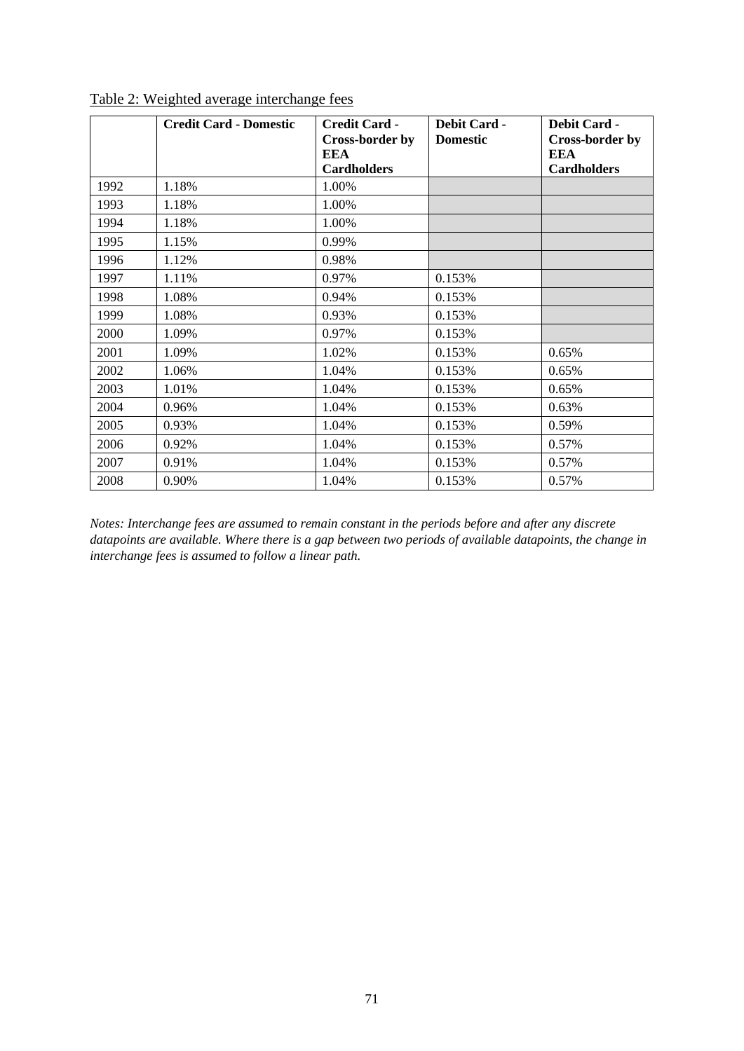|      | <b>Credit Card - Domestic</b> | <b>Credit Card -</b><br><b>Cross-border by</b><br>EEA<br><b>Cardholders</b> | Debit Card -<br><b>Domestic</b> | <b>Debit Card -</b><br>Cross-border by<br>EEA<br><b>Cardholders</b> |
|------|-------------------------------|-----------------------------------------------------------------------------|---------------------------------|---------------------------------------------------------------------|
| 1992 | 1.18%                         | 1.00%                                                                       |                                 |                                                                     |
| 1993 | 1.18%                         | 1.00%                                                                       |                                 |                                                                     |
| 1994 | 1.18%                         | 1.00%                                                                       |                                 |                                                                     |
| 1995 | 1.15%                         | 0.99%                                                                       |                                 |                                                                     |
| 1996 | 1.12%                         | 0.98%                                                                       |                                 |                                                                     |
| 1997 | 1.11%                         | 0.97%                                                                       | 0.153%                          |                                                                     |
| 1998 | 1.08%                         | 0.94%                                                                       | 0.153%                          |                                                                     |
| 1999 | 1.08%                         | 0.93%                                                                       | 0.153%                          |                                                                     |
| 2000 | 1.09%                         | 0.97%                                                                       | 0.153%                          |                                                                     |
| 2001 | 1.09%                         | 1.02%                                                                       | 0.153%                          | 0.65%                                                               |
| 2002 | 1.06%                         | 1.04%                                                                       | 0.153%                          | 0.65%                                                               |
| 2003 | 1.01%                         | 1.04%                                                                       | 0.153%                          | 0.65%                                                               |
| 2004 | 0.96%                         | 1.04%                                                                       | 0.153%                          | 0.63%                                                               |
| 2005 | 0.93%                         | 1.04%                                                                       | 0.153%                          | 0.59%                                                               |
| 2006 | 0.92%                         | 1.04%                                                                       | 0.153%                          | 0.57%                                                               |
| 2007 | 0.91%                         | 1.04%                                                                       | 0.153%                          | 0.57%                                                               |
| 2008 | 0.90%                         | 1.04%                                                                       | 0.153%                          | 0.57%                                                               |

Table 2: Weighted average interchange fees

*Notes: Interchange fees are assumed to remain constant in the periods before and after any discrete datapoints are available. Where there is a gap between two periods of available datapoints, the change in interchange fees is assumed to follow a linear path.*